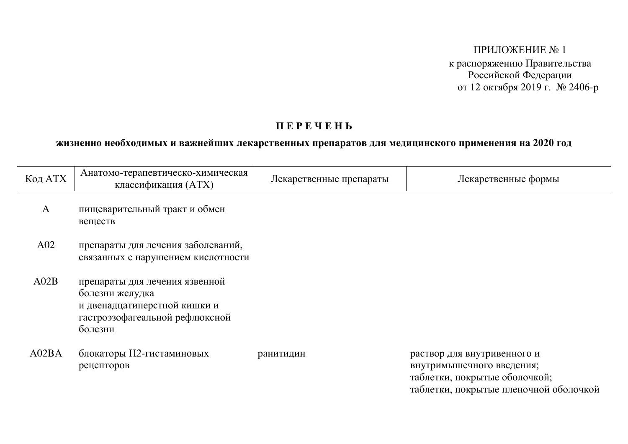ПРИЛОЖЕНИЕ № 1 к распоряжению Правительства Российской Федерации от 12 октября 2019 г. № 2406-р

## **IIEPEYEH5**

## жизненно необходимых и важнейших лекарственных препаратов для медицинского применения на 2020 год

| Код АТХ      | Анатомо-терапевтическо-химическая<br>классификация (ATX)                                                                       | Лекарственные препараты | Лекарственные формы                                                                                                                 |
|--------------|--------------------------------------------------------------------------------------------------------------------------------|-------------------------|-------------------------------------------------------------------------------------------------------------------------------------|
| $\mathbf{A}$ | пищеварительный тракт и обмен<br>веществ                                                                                       |                         |                                                                                                                                     |
| A02          | препараты для лечения заболеваний,<br>связанных с нарушением кислотности                                                       |                         |                                                                                                                                     |
| A02B         | препараты для лечения язвенной<br>болезни желудка<br>и двенадцатиперстной кишки и<br>гастроэзофагеальной рефлюксной<br>болезни |                         |                                                                                                                                     |
| A02BA        | блокаторы Н2-гистаминовых<br>рецепторов                                                                                        | ранитидин               | раствор для внутривенного и<br>внутримышечного введения;<br>таблетки, покрытые оболочкой;<br>таблетки, покрытые пленочной оболочкой |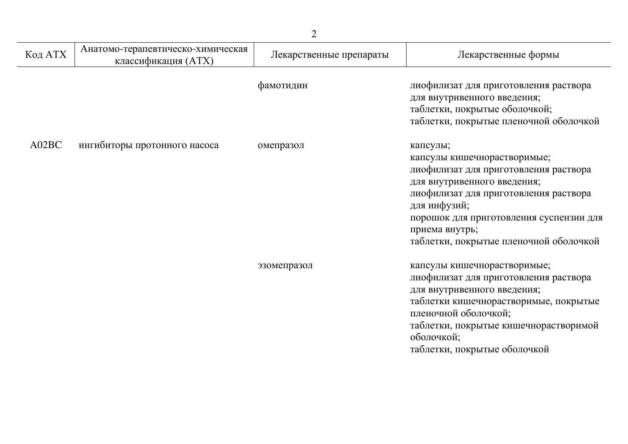| Код АТХ | Анатомо-терапевтическо-химическая<br>классификация (ATX) | Лекарственные препараты | Лекарственные формы                                                                                                                                                                                                                                                             |
|---------|----------------------------------------------------------|-------------------------|---------------------------------------------------------------------------------------------------------------------------------------------------------------------------------------------------------------------------------------------------------------------------------|
|         |                                                          | фамотидин               | лиофилизат для приготовления раствора<br>для внутривенного введения;<br>таблетки, покрытые оболочкой;<br>таблетки, покрытые пленочной оболочкой                                                                                                                                 |
| A02BC   | ингибиторы протонного насоса                             | омепразол               | капсулы;<br>капсулы кишечнорастворимые;<br>лиофилизат для приготовления раствора<br>для внутривенного введения;<br>лиофилизат для приготовления раствора<br>для инфузий;<br>порошок для приготовления суспензии для<br>приема внутрь;<br>таблетки, покрытые пленочной оболочкой |
|         |                                                          | эзомепразол             | капсулы кишечнорастворимые;<br>лиофилизат для приготовления раствора<br>для внутривенного введения;<br>таблетки кишечнорастворимые, покрытые<br>пленочной оболочкой;<br>таблетки, покрытые кишечнорастворимой<br>оболочкой;<br>таблетки, покрытые оболочкой                     |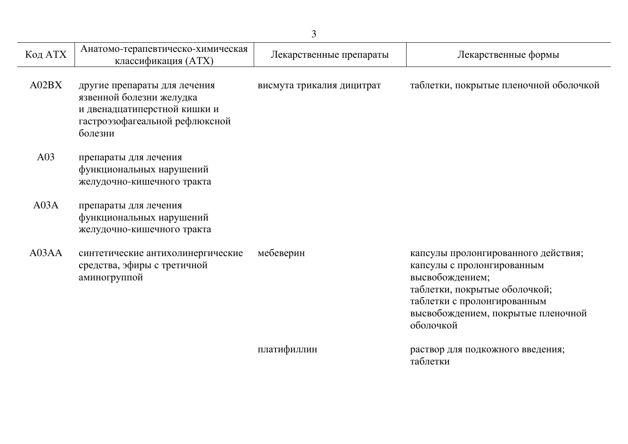| Код АТХ | Анатомо-терапевтическо-химическая<br>классификация (ATX)                                                                              | Лекарственные препараты   | Лекарственные формы                                                                                                                                                                                     |
|---------|---------------------------------------------------------------------------------------------------------------------------------------|---------------------------|---------------------------------------------------------------------------------------------------------------------------------------------------------------------------------------------------------|
| A02BX   | другие препараты для лечения<br>язвенной болезни желудка<br>и двенадцатиперстной кишки и<br>гастроэзофагеальной рефлюксной<br>болезни | висмута трикалия дицитрат | таблетки, покрытые пленочной оболочкой                                                                                                                                                                  |
| A03     | препараты для лечения<br>функциональных нарушений<br>желудочно-кишечного тракта                                                       |                           |                                                                                                                                                                                                         |
| A03A    | препараты для лечения<br>функциональных нарушений<br>желудочно-кишечного тракта                                                       |                           |                                                                                                                                                                                                         |
| A03AA   | синтетические антихолинергические<br>средства, эфиры с третичной<br>аминогруппой                                                      | мебеверин                 | капсулы пролонгированного действия;<br>капсулы с пролонгированным<br>высвобождением;<br>таблетки, покрытые оболочкой;<br>таблетки с пролонгированным<br>высвобождением, покрытые пленочной<br>оболочкой |
|         |                                                                                                                                       | платифиллин               | раствор для подкожного введения;<br>таблетки                                                                                                                                                            |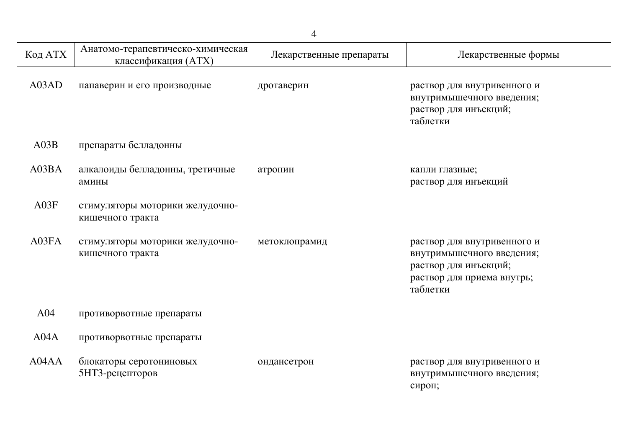| Код АТХ         | Анатомо-терапевтическо-химическая<br>классификация (ATX) | Лекарственные препараты | Лекарственные формы                                                                                                         |
|-----------------|----------------------------------------------------------|-------------------------|-----------------------------------------------------------------------------------------------------------------------------|
| A03AD           | папаверин и его производные                              | дротаверин              | раствор для внутривенного и<br>внутримышечного введения;<br>раствор для инъекций;<br>таблетки                               |
| A03B            | препараты белладонны                                     |                         |                                                                                                                             |
| A03BA           | алкалоиды белладонны, третичные<br>амины                 | атропин                 | капли глазные;<br>раствор для инъекций                                                                                      |
| A03F            | стимуляторы моторики желудочно-<br>кишечного тракта      |                         |                                                                                                                             |
| A03FA           | стимуляторы моторики желудочно-<br>кишечного тракта      | метоклопрамид           | раствор для внутривенного и<br>внутримышечного введения;<br>раствор для инъекций;<br>раствор для приема внутрь;<br>таблетки |
| A <sub>04</sub> | противорвотные препараты                                 |                         |                                                                                                                             |
| A04A            | противорвотные препараты                                 |                         |                                                                                                                             |
| A04AA           | блокаторы серотониновых<br>5НТ3-рецепторов               | ондансетрон             | раствор для внутривенного и<br>внутримышечного введения;<br>сироп;                                                          |

 $\overline{a}$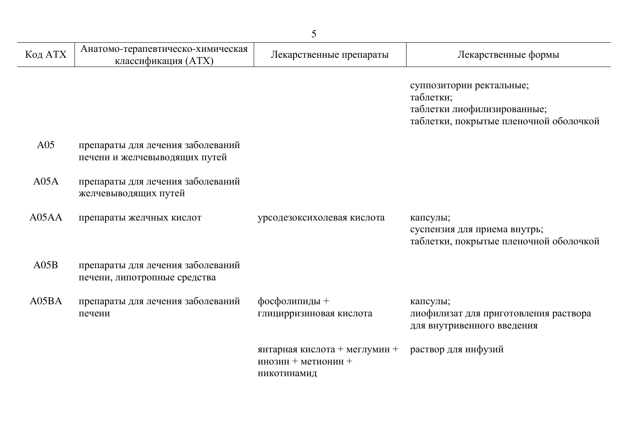| Код АТХ | Анатомо-терапевтическо-химическая<br>классификация (ATX)           | Лекарственные препараты                                             | Лекарственные формы                                                                                            |
|---------|--------------------------------------------------------------------|---------------------------------------------------------------------|----------------------------------------------------------------------------------------------------------------|
|         |                                                                    |                                                                     | суппозитории ректальные;<br>таблетки;<br>таблетки лиофилизированные;<br>таблетки, покрытые пленочной оболочкой |
| A05     | препараты для лечения заболеваний<br>печени и желчевыводящих путей |                                                                     |                                                                                                                |
| A05A    | препараты для лечения заболеваний<br>желчевыводящих путей          |                                                                     |                                                                                                                |
| A05AA   | препараты желчных кислот                                           | урсодезоксихолевая кислота                                          | капсулы;<br>суспензия для приема внутрь;<br>таблетки, покрытые пленочной оболочкой                             |
| A05B    | препараты для лечения заболеваний<br>печени, липотропные средства  |                                                                     |                                                                                                                |
| A05BA   | препараты для лечения заболеваний<br>печени                        | фосфолипиды +<br>глицирризиновая кислота                            | капсулы;<br>лиофилизат для приготовления раствора<br>для внутривенного введения                                |
|         |                                                                    | янтарная кислота + меглумин +<br>инозин + метионин +<br>никотинамид | раствор для инфузий                                                                                            |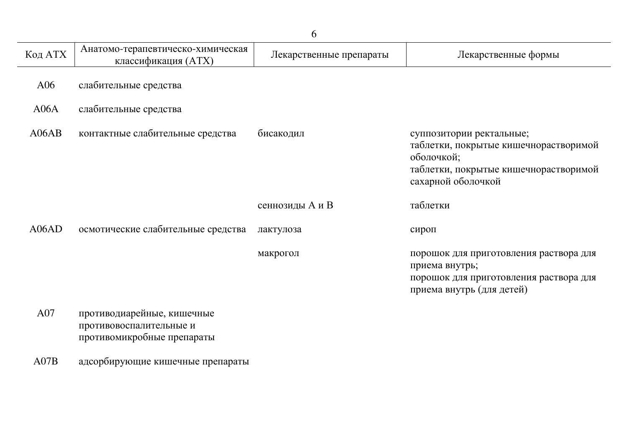| Код АТХ | Анатомо-терапевтическо-химическая<br>классификация (ATX)                            | Лекарственные препараты | Лекарственные формы                                                                                                                            |
|---------|-------------------------------------------------------------------------------------|-------------------------|------------------------------------------------------------------------------------------------------------------------------------------------|
| A06     | слабительные средства                                                               |                         |                                                                                                                                                |
| A06A    | слабительные средства                                                               |                         |                                                                                                                                                |
| A06AB   | контактные слабительные средства                                                    | бисакодил               | суппозитории ректальные;<br>таблетки, покрытые кишечнорастворимой<br>оболочкой;<br>таблетки, покрытые кишечнорастворимой<br>сахарной оболочкой |
|         |                                                                                     | сеннозиды А и В         | таблетки                                                                                                                                       |
| A06AD   | осмотические слабительные средства                                                  | лактулоза               | сироп                                                                                                                                          |
|         |                                                                                     | макрогол                | порошок для приготовления раствора для<br>приема внутрь;<br>порошок для приготовления раствора для<br>приема внутрь (для детей)                |
| A07     | противодиарейные, кишечные<br>противовоспалительные и<br>противомикробные препараты |                         |                                                                                                                                                |
| A07B    | адсорбирующие кишечные препараты                                                    |                         |                                                                                                                                                |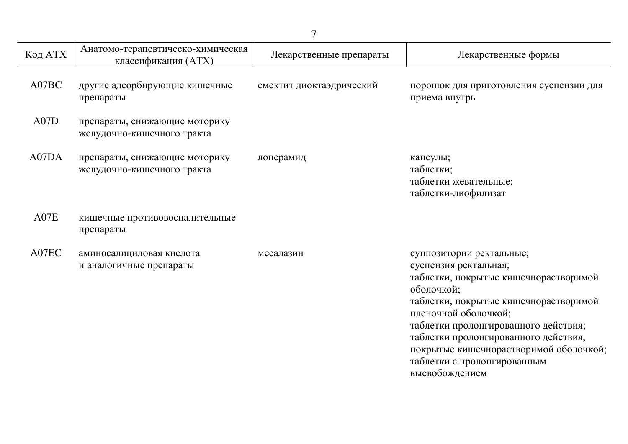| Код АТХ | Анатомо-терапевтическо-химическая<br>классификация (ATX)    | Лекарственные препараты  | Лекарственные формы                                                                                                                                                                                                                                                                                                                |
|---------|-------------------------------------------------------------|--------------------------|------------------------------------------------------------------------------------------------------------------------------------------------------------------------------------------------------------------------------------------------------------------------------------------------------------------------------------|
| A07BC   | другие адсорбирующие кишечные<br>препараты                  | смектит диоктаэдрический | порошок для приготовления суспензии для<br>приема внутрь                                                                                                                                                                                                                                                                           |
| A07D    | препараты, снижающие моторику<br>желудочно-кишечного тракта |                          |                                                                                                                                                                                                                                                                                                                                    |
| A07DA   | препараты, снижающие моторику<br>желудочно-кишечного тракта | лоперамид                | капсулы;<br>таблетки;<br>таблетки жевательные;<br>таблетки-лиофилизат                                                                                                                                                                                                                                                              |
| A07E    | кишечные противовоспалительные<br>препараты                 |                          |                                                                                                                                                                                                                                                                                                                                    |
| A07EC   | аминосалициловая кислота<br>и аналогичные препараты         | месалазин                | суппозитории ректальные;<br>суспензия ректальная;<br>таблетки, покрытые кишечнорастворимой<br>оболочкой;<br>таблетки, покрытые кишечнорастворимой<br>пленочной оболочкой;<br>таблетки пролонгированного действия;<br>таблетки пролонгированного действия,<br>покрытые кишечнорастворимой оболочкой;<br>таблетки с пролонгированным |

высвобождением

7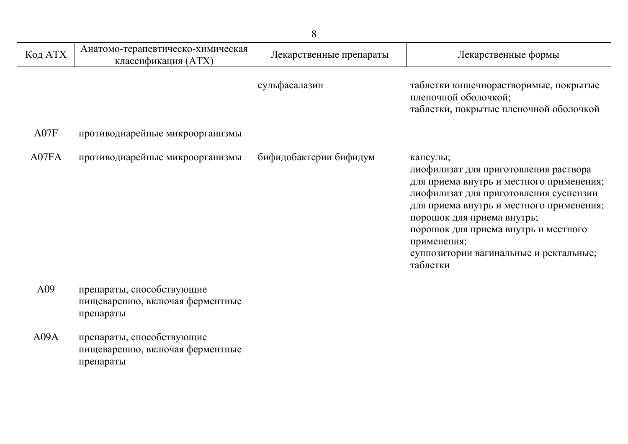| Код АТХ | Анатомо-терапевтическо-химическая<br>классификация (ATX)                  | Лекарственные препараты | Лекарственные формы                                                                                                                                                                                                                                                                                                            |
|---------|---------------------------------------------------------------------------|-------------------------|--------------------------------------------------------------------------------------------------------------------------------------------------------------------------------------------------------------------------------------------------------------------------------------------------------------------------------|
|         |                                                                           | сульфасалазин           | таблетки кишечнорастворимые, покрытые<br>пленочной оболочкой;<br>таблетки, покрытые пленочной оболочкой                                                                                                                                                                                                                        |
| A07F    | противодиарейные микроорганизмы                                           |                         |                                                                                                                                                                                                                                                                                                                                |
| A07FA   | противодиарейные микроорганизмы                                           | бифидобактерии бифидум  | капсулы;<br>лиофилизат для приготовления раствора<br>для приема внутрь и местного применения;<br>лиофилизат для приготовления суспензии<br>для приема внутрь и местного применения;<br>порошок для приема внутрь;<br>порошок для приема внутрь и местного<br>применения;<br>суппозитории вагинальные и ректальные;<br>таблетки |
| A09     | препараты, способствующие<br>пищеварению, включая ферментные<br>препараты |                         |                                                                                                                                                                                                                                                                                                                                |

А09А препараты, способствующие пищеварению, включая ферментные препараты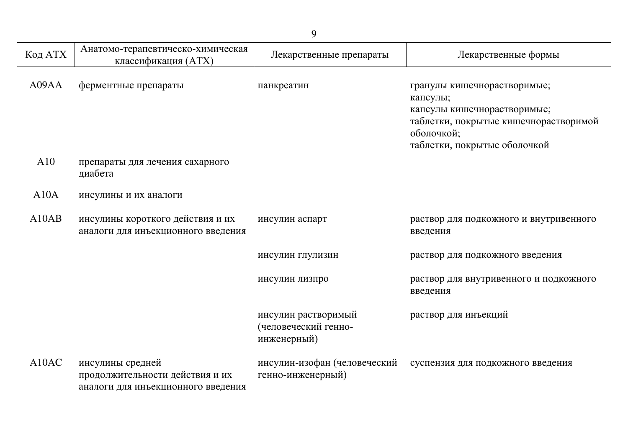|                    | 9                                                                                         |                                                            |                                                                                                                                                               |  |
|--------------------|-------------------------------------------------------------------------------------------|------------------------------------------------------------|---------------------------------------------------------------------------------------------------------------------------------------------------------------|--|
| Код АТХ            | Анатомо-терапевтическо-химическая<br>классификация (ATX)                                  | Лекарственные препараты                                    | Лекарственные формы                                                                                                                                           |  |
| A09AA              | ферментные препараты                                                                      | панкреатин                                                 | гранулы кишечнорастворимые;<br>капсулы;<br>капсулы кишечнорастворимые;<br>таблетки, покрытые кишечнорастворимой<br>оболочкой;<br>таблетки, покрытые оболочкой |  |
| A10                | препараты для лечения сахарного<br>диабета                                                |                                                            |                                                                                                                                                               |  |
| A10A               | инсулины и их аналоги                                                                     |                                                            |                                                                                                                                                               |  |
| A10AB              | инсулины короткого действия и их<br>аналоги для инъекционного введения                    | инсулин аспарт                                             | раствор для подкожного и внутривенного<br>введения                                                                                                            |  |
|                    |                                                                                           | инсулин глулизин                                           | раствор для подкожного введения                                                                                                                               |  |
|                    |                                                                                           | инсулин лизпро                                             | раствор для внутривенного и подкожного<br>введения                                                                                                            |  |
|                    |                                                                                           | инсулин растворимый<br>(человеческий генно-<br>инженерный) | раствор для инъекций                                                                                                                                          |  |
| A <sub>10</sub> AC | инсулины средней<br>продолжительности действия и их<br>аналоги для инъекционного введения | инсулин-изофан (человеческий<br>генно-инженерный)          | суспензия для подкожного введения                                                                                                                             |  |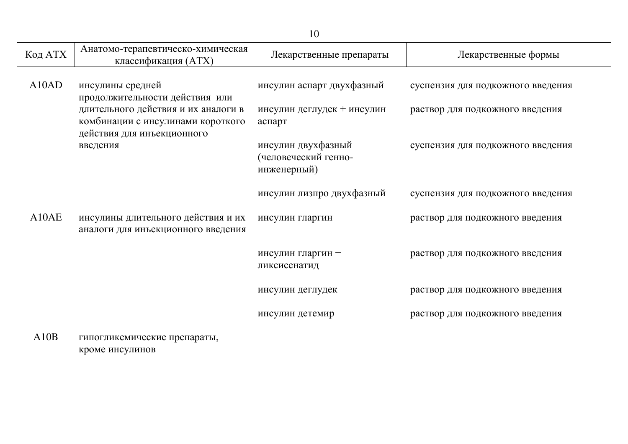| Код АТХ                        | Анатомо-терапевтическо-химическая<br>классификация (ATX)                                               | Лекарственные препараты                                   | Лекарственные формы               |
|--------------------------------|--------------------------------------------------------------------------------------------------------|-----------------------------------------------------------|-----------------------------------|
| A <sub>10</sub> A <sub>D</sub> | инсулины средней<br>продолжительности действия или                                                     | инсулин аспарт двухфазный                                 | суспензия для подкожного введения |
|                                | длительного действия и их аналоги в<br>комбинации с инсулинами короткого<br>действия для инъекционного | инсулин деглудек + инсулин<br>аспарт                      | раствор для подкожного введения   |
|                                | введения                                                                                               | инсулин двухфазный<br>(человеческий генно-<br>инженерный) | суспензия для подкожного введения |
|                                |                                                                                                        | инсулин лизпро двухфазный                                 | суспензия для подкожного введения |
| A10AE                          | инсулины длительного действия и их<br>аналоги для инъекционного введения                               | инсулин гларгин                                           | раствор для подкожного введения   |
|                                |                                                                                                        | инсулин гларгин +<br>ликсисенатид                         | раствор для подкожного введения   |
|                                |                                                                                                        | инсулин деглудек                                          | раствор для подкожного введения   |
|                                |                                                                                                        | инсулин детемир                                           | раствор для подкожного введения   |
| A10B                           | гипогликемические препараты,                                                                           |                                                           |                                   |

кроме инсулинов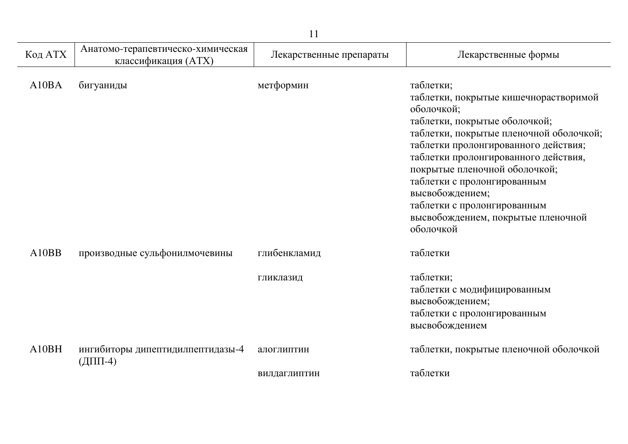| 11      |                                                          |                         |                                                                                                                                                                                                                                                                                                                                                                                                   |
|---------|----------------------------------------------------------|-------------------------|---------------------------------------------------------------------------------------------------------------------------------------------------------------------------------------------------------------------------------------------------------------------------------------------------------------------------------------------------------------------------------------------------|
| Код АТХ | Анатомо-терапевтическо-химическая<br>классификация (ATX) | Лекарственные препараты | Лекарственные формы                                                                                                                                                                                                                                                                                                                                                                               |
| A10BA   | бигуаниды                                                | метформин               | таблетки;<br>таблетки, покрытые кишечнорастворимой<br>оболочкой;<br>таблетки, покрытые оболочкой;<br>таблетки, покрытые пленочной оболочкой;<br>таблетки пролонгированного действия;<br>таблетки пролонгированного действия,<br>покрытые пленочной оболочкой;<br>таблетки с пролонгированным<br>высвобождением;<br>таблетки с пролонгированным<br>высвобождением, покрытые пленочной<br>оболочкой |
| A10BB   | производные сульфонилмочевины                            | глибенкламид            | таблетки                                                                                                                                                                                                                                                                                                                                                                                          |
|         |                                                          | гликлазид               | таблетки;<br>таблетки с модифицированным<br>высвобождением;<br>таблетки с пролонгированным<br>высвобождением                                                                                                                                                                                                                                                                                      |
| A10BH   | ингибиторы дипептидилпептидазы-4<br>$(ДПП-4)$            | алоглиптин              | таблетки, покрытые пленочной оболочкой                                                                                                                                                                                                                                                                                                                                                            |
|         |                                                          | вилдаглиптин            | таблетки                                                                                                                                                                                                                                                                                                                                                                                          |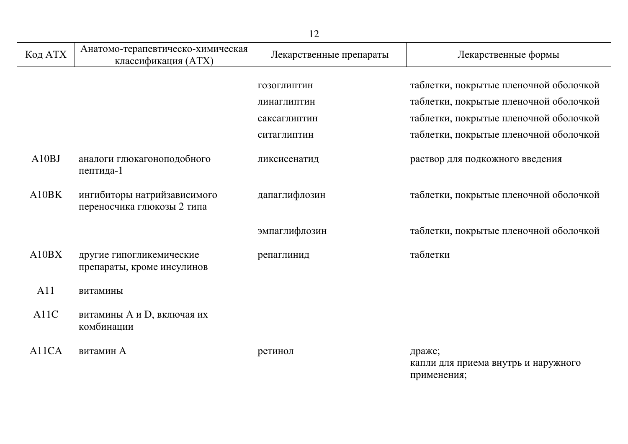| 12      |                                                           |                         |                                               |
|---------|-----------------------------------------------------------|-------------------------|-----------------------------------------------|
| Код АТХ | Анатомо-терапевтическо-химическая<br>классификация (ATX)  | Лекарственные препараты | Лекарственные формы                           |
|         |                                                           |                         |                                               |
|         |                                                           | ГОЗОГЛИПТИН             | таблетки, покрытые пленочной оболочкой        |
|         |                                                           | линаглиптин             | таблетки, покрытые пленочной оболочкой        |
|         |                                                           | саксаглиптин            | таблетки, покрытые пленочной оболочкой        |
|         |                                                           | ситаглиптин             | таблетки, покрытые пленочной оболочкой        |
| A10BJ   | аналоги глюкагоноподобного<br>пептида-1                   | ликсисенатид            | раствор для подкожного введения               |
| A10BK   | ингибиторы натрийзависимого<br>переносчика глюкозы 2 типа | дапаглифлозин           | таблетки, покрытые пленочной оболочкой        |
|         |                                                           | эмпаглифлозин           | таблетки, покрытые пленочной оболочкой        |
| A10BX   | другие гипогликемические<br>препараты, кроме инсулинов    | репаглинид              | таблетки                                      |
| A11     | витамины                                                  |                         |                                               |
| A11C    | витамины А и D, включая их<br>комбинации                  |                         |                                               |
| A11CA   | витамин А                                                 | ретинол                 | драже;<br>капли для приема внутрь и наружного |

применения;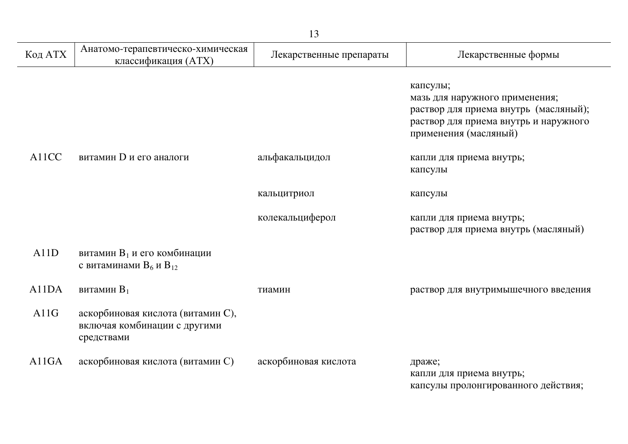| Код АТХ | Анатомо-терапевтическо-химическая<br>классификация (ATX)                        | Лекарственные препараты | Лекарственные формы                                                                                                                                   |
|---------|---------------------------------------------------------------------------------|-------------------------|-------------------------------------------------------------------------------------------------------------------------------------------------------|
|         |                                                                                 |                         | капсулы;<br>мазь для наружного применения;<br>раствор для приема внутрь (масляный);<br>раствор для приема внутрь и наружного<br>применения (масляный) |
| A11CC   | витамин D и его аналоги                                                         | альфакальцидол          | капли для приема внутрь;<br>капсулы                                                                                                                   |
|         |                                                                                 | кальцитриол             | капсулы                                                                                                                                               |
|         |                                                                                 | колекальциферол         | капли для приема внутрь;<br>раствор для приема внутрь (масляный)                                                                                      |
| A11D    | витамин В <sub>1</sub> и его комбинации<br>с витаминами $B_6$ и $B_{12}$        |                         |                                                                                                                                                       |
| A11DA   | витамин $B_1$                                                                   | тиамин                  | раствор для внутримышечного введения                                                                                                                  |
| A11G    | аскорбиновая кислота (витамин С),<br>включая комбинации с другими<br>средствами |                         |                                                                                                                                                       |
| A11GA   | аскорбиновая кислота (витамин С)                                                | аскорбиновая кислота    | драже;<br>капли для приема внутрь;<br>капсулы пролонгированного действия;                                                                             |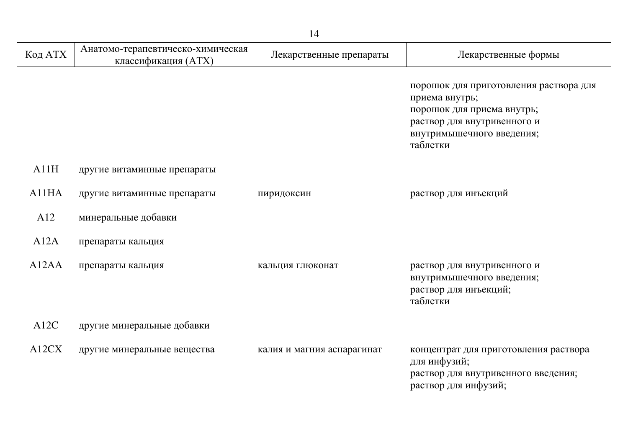| Код АТХ                        | Анатомо-терапевтическо-химическая<br>классификация (ATX) | Лекарственные препараты    | Лекарственные формы                                                                                                                                            |
|--------------------------------|----------------------------------------------------------|----------------------------|----------------------------------------------------------------------------------------------------------------------------------------------------------------|
|                                |                                                          |                            | порошок для приготовления раствора для<br>приема внутрь;<br>порошок для приема внутрь;<br>раствор для внутривенного и<br>внутримышечного введения;<br>таблетки |
| A11H                           | другие витаминные препараты                              |                            |                                                                                                                                                                |
| A11HA                          | другие витаминные препараты                              | пиридоксин                 | раствор для инъекций                                                                                                                                           |
| A12                            | минеральные добавки                                      |                            |                                                                                                                                                                |
| A12A                           | препараты кальция                                        |                            |                                                                                                                                                                |
| A <sub>12</sub> A <sub>A</sub> | препараты кальция                                        | кальция глюконат           | раствор для внутривенного и<br>внутримышечного введения;<br>раствор для инъекций;<br>таблетки                                                                  |
| A12C                           | другие минеральные добавки                               |                            |                                                                                                                                                                |
| A12CX                          | другие минеральные вещества                              | калия и магния аспарагинат | концентрат для приготовления раствора<br>для инфузий;<br>раствор для внутривенного введения;<br>раствор для инфузий;                                           |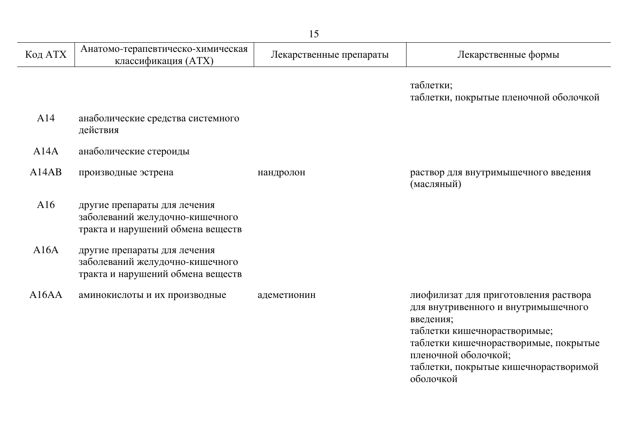| 15      |                                                                                                      |                         |                                                                                                                                                                                                                                                  |
|---------|------------------------------------------------------------------------------------------------------|-------------------------|--------------------------------------------------------------------------------------------------------------------------------------------------------------------------------------------------------------------------------------------------|
| Код АТХ | Анатомо-терапевтическо-химическая<br>классификация (ATX)                                             | Лекарственные препараты | Лекарственные формы                                                                                                                                                                                                                              |
|         |                                                                                                      |                         | таблетки;<br>таблетки, покрытые пленочной оболочкой                                                                                                                                                                                              |
| A14     | анаболические средства системного<br>действия                                                        |                         |                                                                                                                                                                                                                                                  |
| A14A    | анаболические стероиды                                                                               |                         |                                                                                                                                                                                                                                                  |
| A14AB   | производные эстрена                                                                                  | нандролон               | раствор для внутримышечного введения<br>(масляный)                                                                                                                                                                                               |
| A16     | другие препараты для лечения<br>заболеваний желудочно-кишечного<br>тракта и нарушений обмена веществ |                         |                                                                                                                                                                                                                                                  |
| A16A    | другие препараты для лечения<br>заболеваний желудочно-кишечного<br>тракта и нарушений обмена веществ |                         |                                                                                                                                                                                                                                                  |
| A16AA   | аминокислоты и их производные                                                                        | адеметионин             | лиофилизат для приготовления раствора<br>для внутривенного и внутримышечного<br>введения;<br>таблетки кишечнорастворимые;<br>таблетки кишечнорастворимые, покрытые<br>пленочной оболочкой;<br>таблетки, покрытые кишечнорастворимой<br>оболочкой |

j.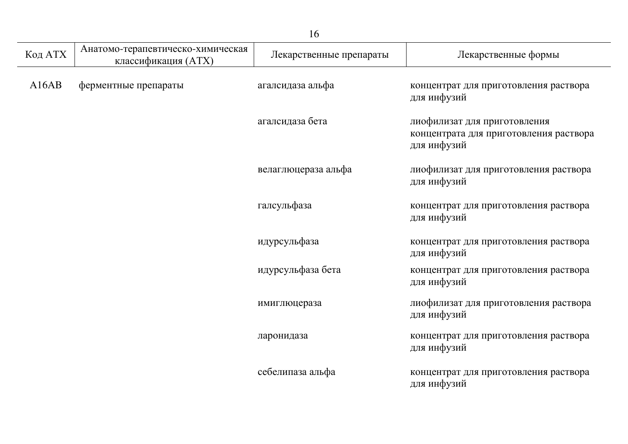|         |                                                          | 16                      |                                                                                       |
|---------|----------------------------------------------------------|-------------------------|---------------------------------------------------------------------------------------|
| Код АТХ | Анатомо-терапевтическо-химическая<br>классификация (ATX) | Лекарственные препараты | Лекарственные формы                                                                   |
| A16AB   | ферментные препараты                                     | агалсидаза альфа        | концентрат для приготовления раствора<br>для инфузий                                  |
|         |                                                          | агалсидаза бета         | лиофилизат для приготовления<br>концентрата для приготовления раствора<br>для инфузий |
|         |                                                          | велаглюцераза альфа     | лиофилизат для приготовления раствора<br>для инфузий                                  |
|         |                                                          | галсульфаза             | концентрат для приготовления раствора<br>для инфузий                                  |
|         |                                                          | идурсульфаза            | концентрат для приготовления раствора<br>для инфузий                                  |
|         |                                                          | идурсульфаза бета       | концентрат для приготовления раствора<br>для инфузий                                  |
|         |                                                          | имиглюцераза            | лиофилизат для приготовления раствора<br>для инфузий                                  |
|         |                                                          | ларонидаза              | концентрат для приготовления раствора<br>для инфузий                                  |
|         |                                                          | себелипаза альфа        | концентрат для приготовления раствора<br>для инфузий                                  |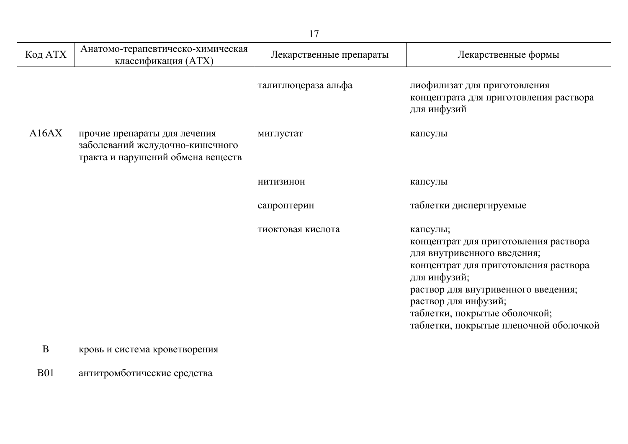| Код АТХ  | Анатомо-терапевтическо-химическая<br>классификация (ATX)                                             | Лекарственные препараты | Лекарственные формы                                                                                                                                                                                                                                                                 |
|----------|------------------------------------------------------------------------------------------------------|-------------------------|-------------------------------------------------------------------------------------------------------------------------------------------------------------------------------------------------------------------------------------------------------------------------------------|
|          |                                                                                                      | талиглюцераза альфа     | лиофилизат для приготовления<br>концентрата для приготовления раствора<br>для инфузий                                                                                                                                                                                               |
| A16AX    | прочие препараты для лечения<br>заболеваний желудочно-кишечного<br>тракта и нарушений обмена веществ | миглустат               | капсулы                                                                                                                                                                                                                                                                             |
|          |                                                                                                      | <b>НИТИЗИНОН</b>        | капсулы                                                                                                                                                                                                                                                                             |
|          |                                                                                                      | сапроптерин             | таблетки диспергируемые                                                                                                                                                                                                                                                             |
|          |                                                                                                      | тиоктовая кислота       | капсулы;<br>концентрат для приготовления раствора<br>для внутривенного введения;<br>концентрат для приготовления раствора<br>для инфузий;<br>раствор для внутривенного введения;<br>раствор для инфузий;<br>таблетки, покрытые оболочкой;<br>таблетки, покрытые пленочной оболочкой |
| $\bf{B}$ | кровь и система кроветворения                                                                        |                         |                                                                                                                                                                                                                                                                                     |

В01 антитромботические средства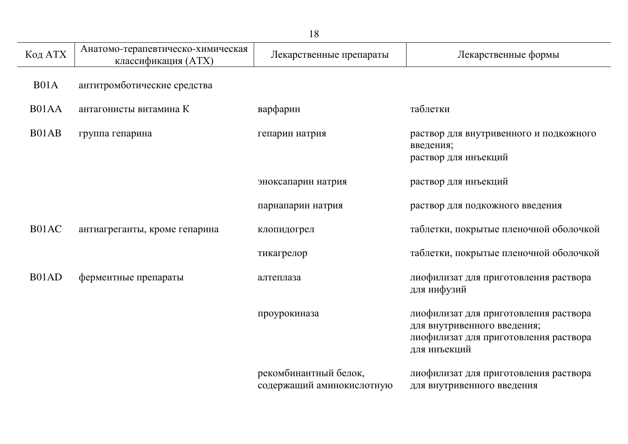|         |                                                          | ⊥∪                                                 |                                                                                                                               |
|---------|----------------------------------------------------------|----------------------------------------------------|-------------------------------------------------------------------------------------------------------------------------------|
| Код АТХ | Анатомо-терапевтическо-химическая<br>классификация (ATX) | Лекарственные препараты                            | Лекарственные формы                                                                                                           |
| B01A    | антитромботические средства                              |                                                    |                                                                                                                               |
| B01AA   | антагонисты витамина К                                   | варфарин                                           | таблетки                                                                                                                      |
| B01AB   | группа гепарина                                          | гепарин натрия                                     | раствор для внутривенного и подкожного<br>введения;<br>раствор для инъекций                                                   |
|         |                                                          | эноксапарин натрия                                 | раствор для инъекций                                                                                                          |
|         |                                                          | парнапарин натрия                                  | раствор для подкожного введения                                                                                               |
| B01AC   | антиагреганты, кроме гепарина                            | клопидогрел                                        | таблетки, покрытые пленочной оболочкой                                                                                        |
|         |                                                          | тикагрелор                                         | таблетки, покрытые пленочной оболочкой                                                                                        |
| B01AD   | ферментные препараты                                     | алтеплаза                                          | лиофилизат для приготовления раствора<br>для инфузий                                                                          |
|         |                                                          | проурокиназа                                       | лиофилизат для приготовления раствора<br>для внутривенного введения;<br>лиофилизат для приготовления раствора<br>для инъекций |
|         |                                                          | рекомбинантный белок,<br>содержащий аминокислотную | лиофилизат для приготовления раствора<br>для внутривенного введения                                                           |

 $\overline{a}$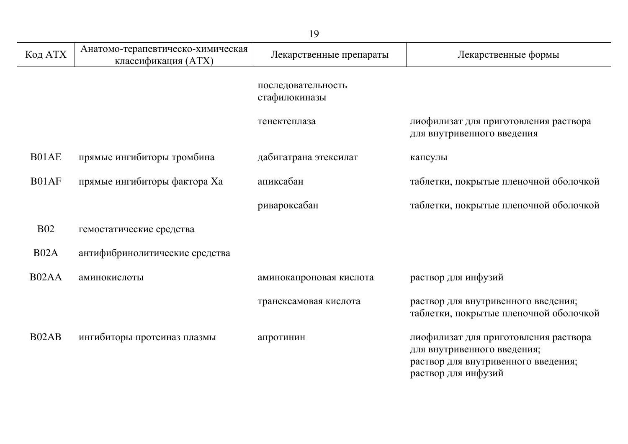| Код АТХ    | Анатомо-терапевтическо-химическая<br>классификация (АТХ) | Лекарственные препараты             | Лекарственные формы                                                                                                                |
|------------|----------------------------------------------------------|-------------------------------------|------------------------------------------------------------------------------------------------------------------------------------|
|            |                                                          | последовательность<br>стафилокиназы |                                                                                                                                    |
|            |                                                          | тенектеплаза                        | лиофилизат для приготовления раствора<br>для внутривенного введения                                                                |
| B01AE      | прямые ингибиторы тромбина                               | дабигатрана этексилат               | капсулы                                                                                                                            |
| B01AF      | прямые ингибиторы фактора Ха                             | апиксабан                           | таблетки, покрытые пленочной оболочкой                                                                                             |
|            |                                                          | ривароксабан                        | таблетки, покрытые пленочной оболочкой                                                                                             |
| <b>B02</b> | гемостатические средства                                 |                                     |                                                                                                                                    |
| B02A       | антифибринолитические средства                           |                                     |                                                                                                                                    |
| B02AA      | аминокислоты                                             | аминокапроновая кислота             | раствор для инфузий                                                                                                                |
|            |                                                          | транексамовая кислота               | раствор для внутривенного введения;<br>таблетки, покрытые пленочной оболочкой                                                      |
| B02AB      | ингибиторы протеиназ плазмы                              | апротинин                           | лиофилизат для приготовления раствора<br>для внутривенного введения;<br>раствор для внутривенного введения;<br>раствор для инфузий |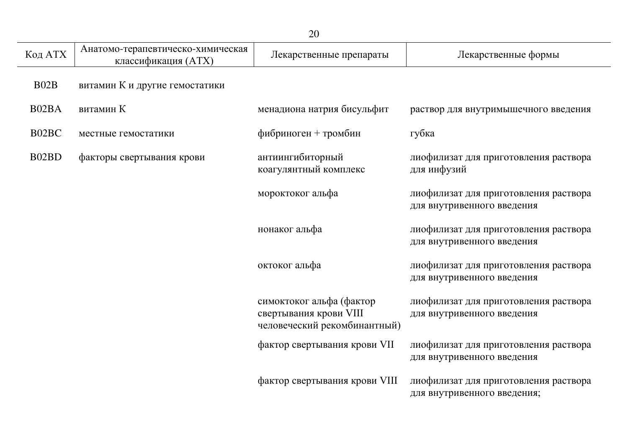|         |                                                          | 20                                                                                 |                                                                      |
|---------|----------------------------------------------------------|------------------------------------------------------------------------------------|----------------------------------------------------------------------|
| Код АТХ | Анатомо-терапевтическо-химическая<br>классификация (ATX) | Лекарственные препараты                                                            | Лекарственные формы                                                  |
| B02B    | витамин К и другие гемостатики                           |                                                                                    |                                                                      |
| B02BA   | витамин К                                                | менадиона натрия бисульфит                                                         | раствор для внутримышечного введения                                 |
| B02BC   | местные гемостатики                                      | фибриноген + тромбин                                                               | губка                                                                |
| B02BD   | факторы свертывания крови                                | антиингибиторный<br>коагулянтный комплекс                                          | лиофилизат для приготовления раствора<br>для инфузий                 |
|         |                                                          | мороктоког альфа                                                                   | лиофилизат для приготовления раствора<br>для внутривенного введения  |
|         |                                                          | нонаког альфа                                                                      | лиофилизат для приготовления раствора<br>для внутривенного введения  |
|         |                                                          | октоког альфа                                                                      | лиофилизат для приготовления раствора<br>для внутривенного введения  |
|         |                                                          | симоктоког альфа (фактор<br>свертывания крови VIII<br>человеческий рекомбинантный) | лиофилизат для приготовления раствора<br>для внутривенного введения  |
|         |                                                          | фактор свертывания крови VII                                                       | лиофилизат для приготовления раствора<br>для внутривенного введения  |
|         |                                                          | фактор свертывания крови VIII                                                      | лиофилизат для приготовления раствора<br>для внутривенного введения; |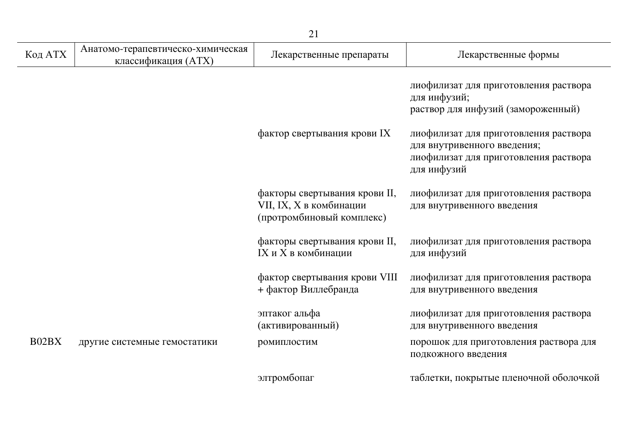|         |                                                          | 21                                                                                    |                                                                                                                                                                                                                             |
|---------|----------------------------------------------------------|---------------------------------------------------------------------------------------|-----------------------------------------------------------------------------------------------------------------------------------------------------------------------------------------------------------------------------|
| Код АТХ | Анатомо-терапевтическо-химическая<br>классификация (ATX) | Лекарственные препараты                                                               | Лекарственные формы                                                                                                                                                                                                         |
|         |                                                          | фактор свертывания крови IX                                                           | лиофилизат для приготовления раствора<br>для инфузий;<br>раствор для инфузий (замороженный)<br>лиофилизат для приготовления раствора<br>для внутривенного введения;<br>лиофилизат для приготовления раствора<br>для инфузий |
|         |                                                          | факторы свертывания крови II,<br>VII, IX, X в комбинации<br>(протромбиновый комплекс) | лиофилизат для приготовления раствора<br>для внутривенного введения                                                                                                                                                         |
|         |                                                          | факторы свертывания крови II,<br>IX и X в комбинации                                  | лиофилизат для приготовления раствора<br>для инфузий                                                                                                                                                                        |
|         |                                                          | фактор свертывания крови VIII<br>+ фактор Виллебранда                                 | лиофилизат для приготовления раствора<br>для внутривенного введения                                                                                                                                                         |
|         |                                                          | эптаког альфа<br>(активированный)                                                     | лиофилизат для приготовления раствора<br>для внутривенного введения                                                                                                                                                         |
| B02BX   | другие системные гемостатики                             | ромиплостим                                                                           | порошок для приготовления раствора для<br>подкожного введения                                                                                                                                                               |
|         |                                                          | элтромбопаг                                                                           | таблетки, покрытые пленочной оболочкой                                                                                                                                                                                      |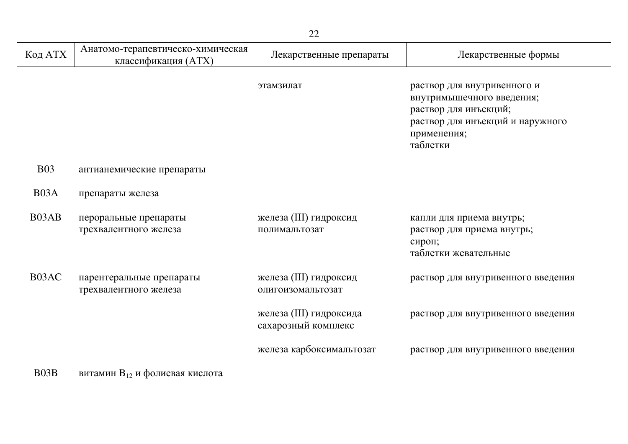| Код АТХ           | Анатомо-терапевтическо-химическая<br>классификация (ATX) | Лекарственные препараты                        | Лекарственные формы                                                                                                                              |
|-------------------|----------------------------------------------------------|------------------------------------------------|--------------------------------------------------------------------------------------------------------------------------------------------------|
|                   |                                                          | этамзилат                                      | раствор для внутривенного и<br>внутримышечного введения;<br>раствор для инъекций;<br>раствор для инъекций и наружного<br>применения;<br>таблетки |
| <b>B03</b>        | антианемические препараты                                |                                                |                                                                                                                                                  |
| B <sub>03</sub> A | препараты железа                                         |                                                |                                                                                                                                                  |
| B03AB             | пероральные препараты<br>трехвалентного железа           | железа (III) гидроксид<br>полимальтозат        | капли для приема внутрь;<br>раствор для приема внутрь;<br>сироп;<br>таблетки жевательные                                                         |
| B03AC             | парентеральные препараты<br>трехвалентного железа        | железа (III) гидроксид<br>олигоизомальтозат    | раствор для внутривенного введения                                                                                                               |
|                   |                                                          | железа (III) гидроксида<br>сахарозный комплекс | раствор для внутривенного введения                                                                                                               |
|                   |                                                          | железа карбоксимальтозат                       | раствор для внутривенного введения                                                                                                               |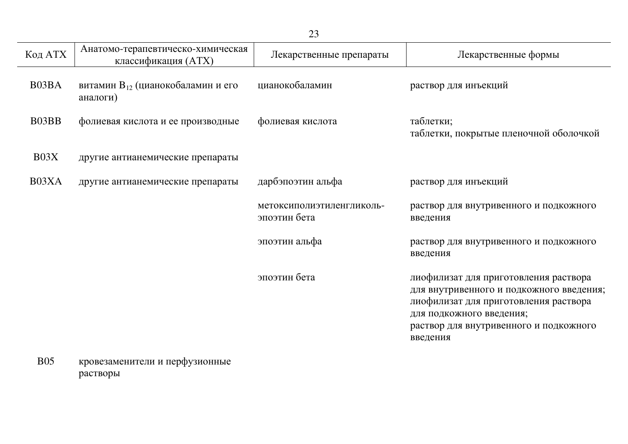| Код АТХ | Анатомо-терапевтическо-химическая<br>классификация (ATX)  | Лекарственные препараты                   | Лекарственные формы                                                                                                                                                                                          |
|---------|-----------------------------------------------------------|-------------------------------------------|--------------------------------------------------------------------------------------------------------------------------------------------------------------------------------------------------------------|
| B03BA   | витамин В <sub>12</sub> (цианокобаламин и его<br>аналоги) | цианокобаламин                            | раствор для инъекций                                                                                                                                                                                         |
| B03BB   | фолиевая кислота и ее производные                         | фолиевая кислота                          | таблетки;<br>таблетки, покрытые пленочной оболочкой                                                                                                                                                          |
| B03X    | другие антианемические препараты                          |                                           |                                                                                                                                                                                                              |
| B03XA   | другие антианемические препараты                          | дарбэпоэтин альфа                         | раствор для инъекций                                                                                                                                                                                         |
|         |                                                           | метоксиполиэтиленгликоль-<br>эпоэтин бета | раствор для внутривенного и подкожного<br>введения                                                                                                                                                           |
|         |                                                           | эпоэтин альфа                             | раствор для внутривенного и подкожного<br>введения                                                                                                                                                           |
|         |                                                           | эпоэтин бета                              | лиофилизат для приготовления раствора<br>для внутривенного и подкожного введения;<br>лиофилизат для приготовления раствора<br>для подкожного введения;<br>раствор для внутривенного и подкожного<br>введения |

В05 кровезаменители и перфузионные растворы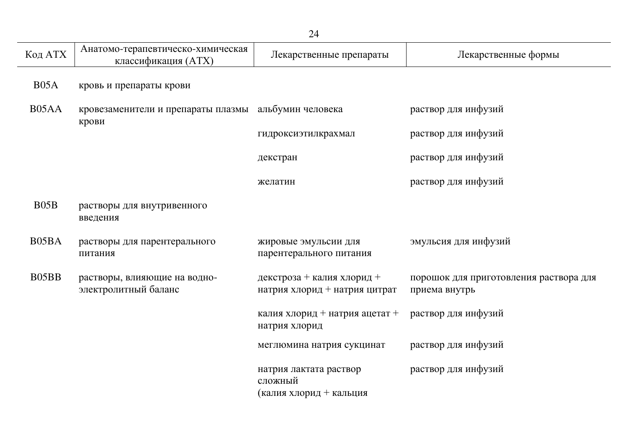| Код АТХ | Анатомо-терапевтическо-химическая<br>классификация (ATX) | Лекарственные препараты                                      | Лекарственные формы                                     |
|---------|----------------------------------------------------------|--------------------------------------------------------------|---------------------------------------------------------|
| B05A    | кровь и препараты крови                                  |                                                              |                                                         |
| B05AA   | кровезаменители и препараты плазмы                       | альбумин человека                                            | раствор для инфузий                                     |
|         | крови                                                    | гидроксиэтилкрахмал                                          | раствор для инфузий                                     |
|         |                                                          | декстран                                                     | раствор для инфузий                                     |
|         |                                                          | желатин                                                      | раствор для инфузий                                     |
| B05B    | растворы для внутривенного<br>введения                   |                                                              |                                                         |
| B05BA   | растворы для парентерального<br>питания                  | жировые эмульсии для<br>парентерального питания              | эмульсия для инфузий                                    |
| B05BB   | растворы, влияющие на водно-<br>электролитный баланс     | декстроза + калия хлорид +<br>натрия хлорид + натрия цитрат  | порошок для приготовления раствора для<br>приема внутрь |
|         |                                                          | калия хлорид + натрия ацетат +<br>натрия хлорид              | раствор для инфузий                                     |
|         |                                                          | меглюмина натрия сукцинат                                    | раствор для инфузий                                     |
|         |                                                          | натрия лактата раствор<br>сложный<br>(калия хлорид + кальция | раствор для инфузий                                     |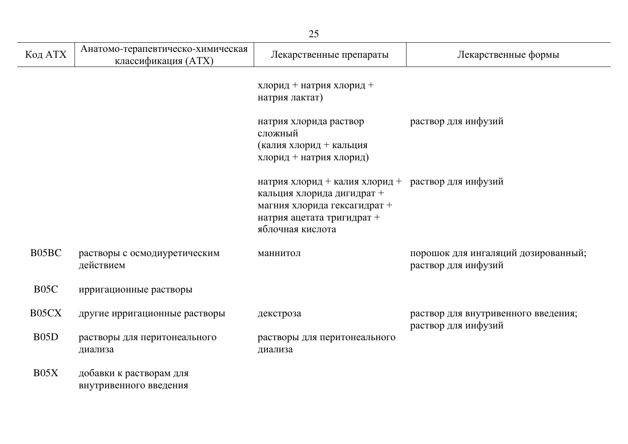| Код АТХ           | Анатомо-терапевтическо-химическая<br>классификация (ATX) | Лекарственные препараты                                                                                                                                            | Лекарственные формы                                        |
|-------------------|----------------------------------------------------------|--------------------------------------------------------------------------------------------------------------------------------------------------------------------|------------------------------------------------------------|
|                   |                                                          | хлорид + натрия хлорид +<br>натрия лактат)                                                                                                                         |                                                            |
|                   |                                                          | натрия хлорида раствор<br>сложный<br>(калия хлорид + кальция<br>хлорид + натрия хлорид)                                                                            | раствор для инфузий                                        |
|                   |                                                          | натрия хлорид + калия хлорид + раствор для инфузий<br>кальция хлорида дигидрат +<br>магния хлорида гексагидрат +<br>натрия ацетата тригидрат +<br>яблочная кислота |                                                            |
| B05BC             | растворы с осмодиуретическим<br>действием                | маннитол                                                                                                                                                           | порошок для ингаляций дозированный;<br>раствор для инфузий |
| B <sub>05</sub> C | ирригационные растворы                                   |                                                                                                                                                                    |                                                            |
| B05CX             | другие ирригационные растворы                            | декстроза                                                                                                                                                          | раствор для внутривенного введения;<br>раствор для инфузий |
| B <sub>05</sub> D | растворы для перитонеального<br>диализа                  | растворы для перитонеального<br>диализа                                                                                                                            |                                                            |
| B05X              | добавки к растворам для<br>внутривенного введения        |                                                                                                                                                                    |                                                            |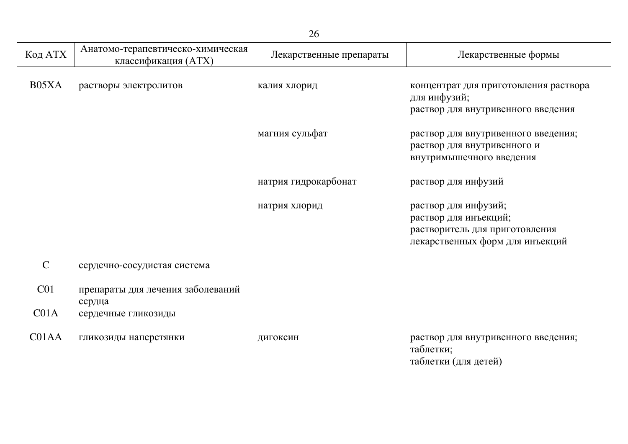| Код АТХ         | Анатомо-терапевтическо-химическая<br>классификация (ATX) | Лекарственные препараты | Лекарственные формы                                                                                                |
|-----------------|----------------------------------------------------------|-------------------------|--------------------------------------------------------------------------------------------------------------------|
| B05XA           | растворы электролитов                                    | калия хлорид            | концентрат для приготовления раствора<br>для инфузий;<br>раствор для внутривенного введения                        |
|                 |                                                          | магния сульфат          | раствор для внутривенного введения;<br>раствор для внутривенного и<br>внутримышечного введения                     |
|                 |                                                          | натрия гидрокарбонат    | раствор для инфузий                                                                                                |
|                 |                                                          | натрия хлорид           | раствор для инфузий;<br>раствор для инъекций;<br>растворитель для приготовления<br>лекарственных форм для инъекций |
| $\mathsf{C}$    | сердечно-сосудистая система                              |                         |                                                                                                                    |
| C <sub>01</sub> | препараты для лечения заболеваний<br>сердца              |                         |                                                                                                                    |
| CO1A            | сердечные гликозиды                                      |                         |                                                                                                                    |
| C01AA           | гликозиды наперстянки                                    | дигоксин                | раствор для внутривенного введения;<br>таблетки;                                                                   |

таблетки (для детей)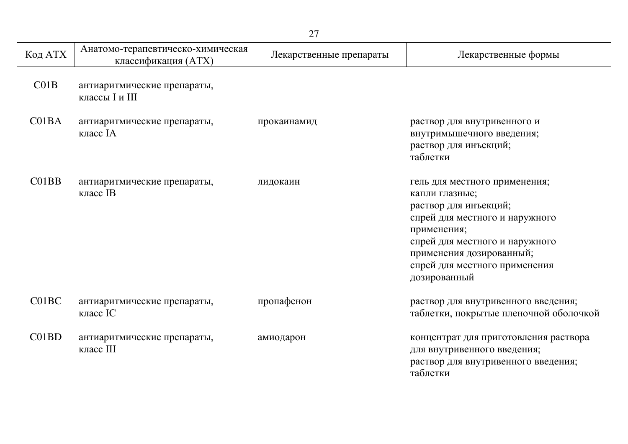| 27      |                                                          |                         |                                                                                                                                                                                                                                          |
|---------|----------------------------------------------------------|-------------------------|------------------------------------------------------------------------------------------------------------------------------------------------------------------------------------------------------------------------------------------|
| Код АТХ | Анатомо-терапевтическо-химическая<br>классификация (ATX) | Лекарственные препараты | Лекарственные формы                                                                                                                                                                                                                      |
| CO1B    | антиаритмические препараты,<br>классы I и III            |                         |                                                                                                                                                                                                                                          |
| C01BA   | антиаритмические препараты,<br>класс IA                  | прокаинамид             | раствор для внутривенного и<br>внутримышечного введения;<br>раствор для инъекций;<br>таблетки                                                                                                                                            |
| CO1BB   | антиаритмические препараты,<br>класс IB                  | лидокаин                | гель для местного применения;<br>капли глазные;<br>раствор для инъекций;<br>спрей для местного и наружного<br>применения;<br>спрей для местного и наружного<br>применения дозированный;<br>спрей для местного применения<br>дозированный |
| C01BC   | антиаритмические препараты,<br>класс IC                  | пропафенон              | раствор для внутривенного введения;<br>таблетки, покрытые пленочной оболочкой                                                                                                                                                            |
| C01BD   | антиаритмические препараты,<br>класс III                 | амиодарон               | концентрат для приготовления раствора<br>для внутривенного введения;<br>раствор для внутривенного введения;<br>таблетки                                                                                                                  |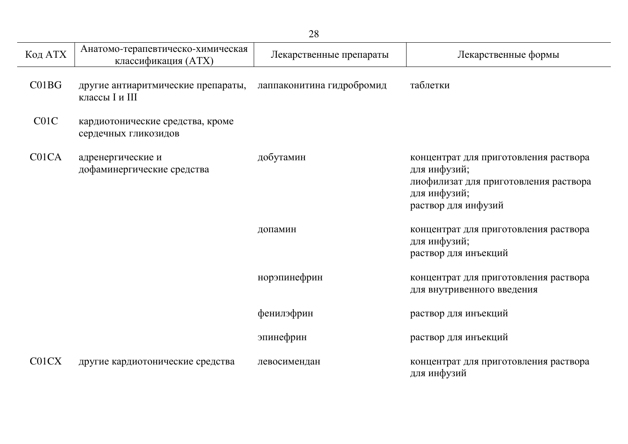| Код АТХ           | Анатомо-терапевтическо-химическая<br>классификация (ATX) | Лекарственные препараты   | Лекарственные формы                                                                                                                   |
|-------------------|----------------------------------------------------------|---------------------------|---------------------------------------------------------------------------------------------------------------------------------------|
| CO1BG             | другие антиаритмические препараты,<br>классы I и III     | лаппаконитина гидробромид | таблетки                                                                                                                              |
| C <sub>01</sub> C | кардиотонические средства, кроме<br>сердечных гликозидов |                           |                                                                                                                                       |
| C01CA             | адренергические и<br>дофаминергические средства          | добутамин                 | концентрат для приготовления раствора<br>для инфузий;<br>лиофилизат для приготовления раствора<br>для инфузий;<br>раствор для инфузий |
|                   |                                                          | допамин                   | концентрат для приготовления раствора<br>для инфузий;<br>раствор для инъекций                                                         |
|                   |                                                          | норэпинефрин              | концентрат для приготовления раствора<br>для внутривенного введения                                                                   |
|                   |                                                          | фенилэфрин                | раствор для инъекций                                                                                                                  |
|                   |                                                          | эпинефрин                 | раствор для инъекций                                                                                                                  |
| C01CX             | другие кардиотонические средства                         | левосимендан              | концентрат для приготовления раствора<br>для инфузий                                                                                  |

j.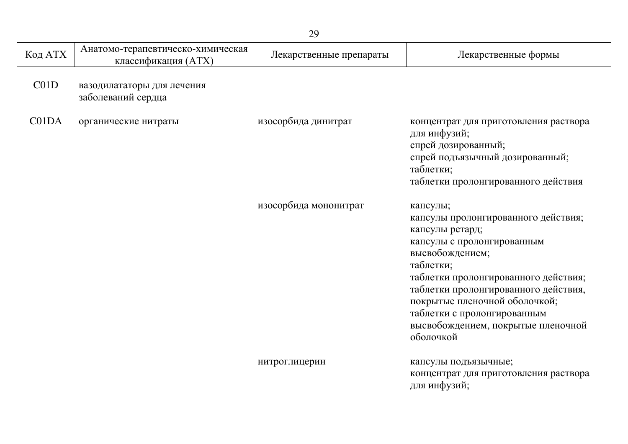|         |                                                          | 29                      |                                                                                                                                                                                                                                                                                                                                     |
|---------|----------------------------------------------------------|-------------------------|-------------------------------------------------------------------------------------------------------------------------------------------------------------------------------------------------------------------------------------------------------------------------------------------------------------------------------------|
| Код АТХ | Анатомо-терапевтическо-химическая<br>классификация (ATX) | Лекарственные препараты | Лекарственные формы                                                                                                                                                                                                                                                                                                                 |
| C01D    | вазодилататоры для лечения<br>заболеваний сердца         |                         |                                                                                                                                                                                                                                                                                                                                     |
| C01DA   | органические нитраты                                     | изосорбида динитрат     | концентрат для приготовления раствора<br>для инфузий;<br>спрей дозированный;<br>спрей подъязычный дозированный;<br>таблетки;<br>таблетки пролонгированного действия                                                                                                                                                                 |
|         |                                                          | изосорбида мононитрат   | капсулы;<br>капсулы пролонгированного действия;<br>капсулы ретард;<br>капсулы с пролонгированным<br>высвобождением;<br>таблетки;<br>таблетки пролонгированного действия;<br>таблетки пролонгированного действия,<br>покрытые пленочной оболочкой;<br>таблетки с пролонгированным<br>высвобождением, покрытые пленочной<br>оболочкой |
|         |                                                          | нитроглицерин           | капсулы подъязычные;<br>концентрат для приготовления раствора<br>для инфузий;                                                                                                                                                                                                                                                       |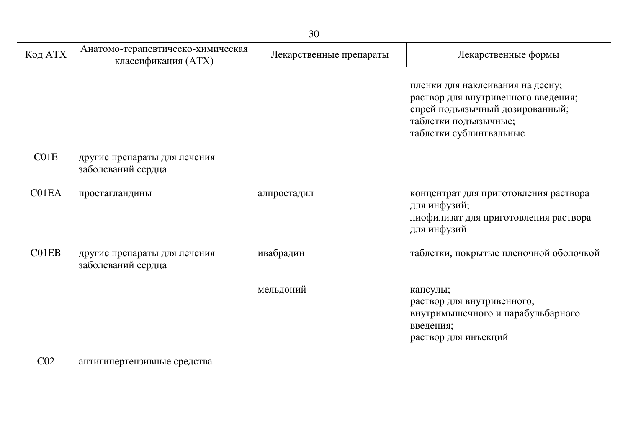| Код АТХ | Анатомо-терапевтическо-химическая<br>классификация (ATX) | Лекарственные препараты | Лекарственные формы                                                                                                                                            |
|---------|----------------------------------------------------------|-------------------------|----------------------------------------------------------------------------------------------------------------------------------------------------------------|
|         |                                                          |                         | пленки для наклеивания на десну;<br>раствор для внутривенного введения;<br>спрей подъязычный дозированный;<br>таблетки подъязычные;<br>таблетки сублингвальные |
| CO1E    | другие препараты для лечения<br>заболеваний сердца       |                         |                                                                                                                                                                |
| C01EA   | простагландины                                           | алпростадил             | концентрат для приготовления раствора<br>для инфузий;<br>лиофилизат для приготовления раствора<br>для инфузий                                                  |
| C01EB   | другие препараты для лечения<br>заболеваний сердца       | ивабрадин               | таблетки, покрытые пленочной оболочкой                                                                                                                         |
|         |                                                          | мельдоний               | капсулы;<br>раствор для внутривенного,<br>внутримышечного и парабульбарного<br>введения;<br>раствор для инъекций                                               |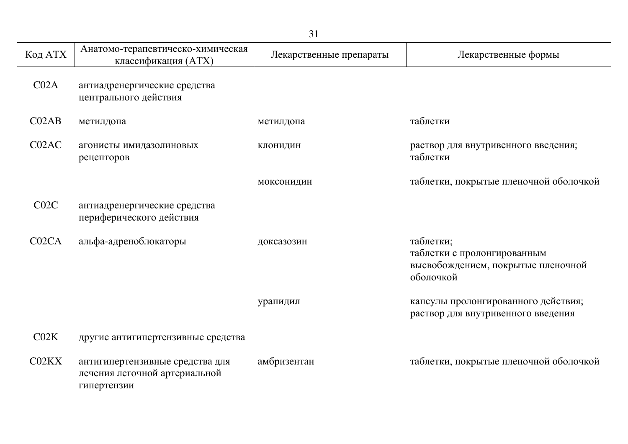|                    |                                                                                 | 31                      |                                                                                             |
|--------------------|---------------------------------------------------------------------------------|-------------------------|---------------------------------------------------------------------------------------------|
| Код АТХ            | Анатомо-терапевтическо-химическая<br>классификация (ATX)                        | Лекарственные препараты | Лекарственные формы                                                                         |
| CO2A               | антиадренергические средства<br>центрального действия                           |                         |                                                                                             |
| CO2AB              | метилдопа                                                                       | метилдопа               | таблетки                                                                                    |
| C02AC              | агонисты имидазолиновых<br>рецепторов                                           | <b>КЛОНИДИН</b>         | раствор для внутривенного введения;<br>таблетки                                             |
|                    |                                                                                 | моксонидин              | таблетки, покрытые пленочной оболочкой                                                      |
| C02C               | антиадренергические средства<br>периферического действия                        |                         |                                                                                             |
| C <sub>02</sub> CA | альфа-адреноблокаторы                                                           | доксазозин              | таблетки;<br>таблетки с пролонгированным<br>высвобождением, покрытые пленочной<br>оболочкой |
|                    |                                                                                 | урапидил                | капсулы пролонгированного действия;<br>раствор для внутривенного введения                   |
| CO2K               | другие антигипертензивные средства                                              |                         |                                                                                             |
| CO2KX              | антигипертензивные средства для<br>лечения легочной артериальной<br>гипертензии | амбризентан             | таблетки, покрытые пленочной оболочкой                                                      |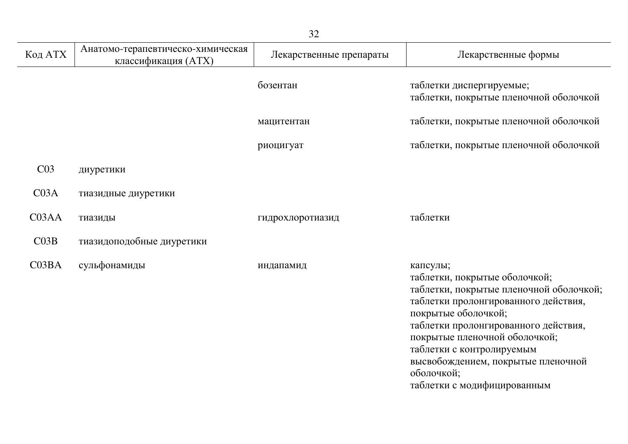| Код АТХ            | Анатомо-терапевтическо-химическая<br>классификация (ATX) | Лекарственные препараты | Лекарственные формы                                                                                                                                                                                                                                                                                                                          |
|--------------------|----------------------------------------------------------|-------------------------|----------------------------------------------------------------------------------------------------------------------------------------------------------------------------------------------------------------------------------------------------------------------------------------------------------------------------------------------|
|                    |                                                          | бозентан                | таблетки диспергируемые;<br>таблетки, покрытые пленочной оболочкой                                                                                                                                                                                                                                                                           |
|                    |                                                          | мацитентан              | таблетки, покрытые пленочной оболочкой                                                                                                                                                                                                                                                                                                       |
|                    |                                                          | риоцигуат               | таблетки, покрытые пленочной оболочкой                                                                                                                                                                                                                                                                                                       |
| C <sub>03</sub>    | диуретики                                                |                         |                                                                                                                                                                                                                                                                                                                                              |
| CO3A               | тиазидные диуретики                                      |                         |                                                                                                                                                                                                                                                                                                                                              |
| C <sub>03</sub> AA | тиазиды                                                  | гидрохлоротиазид        | таблетки                                                                                                                                                                                                                                                                                                                                     |
| CO3B               | тиазидоподобные диуретики                                |                         |                                                                                                                                                                                                                                                                                                                                              |
| C03BA              | сульфонамиды                                             | индапамид               | капсулы;<br>таблетки, покрытые оболочкой;<br>таблетки, покрытые пленочной оболочкой;<br>таблетки пролонгированного действия,<br>покрытые оболочкой;<br>таблетки пролонгированного действия,<br>покрытые пленочной оболочкой;<br>таблетки с контролируемым<br>высвобождением, покрытые пленочной<br>оболочкой;<br>таблетки с модифицированным |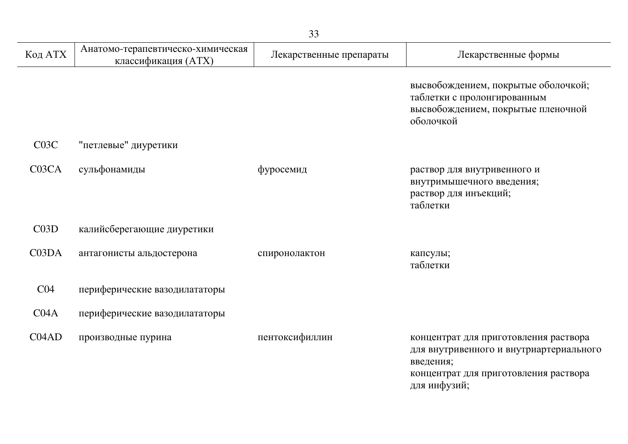| Код АТХ            | Анатомо-терапевтическо-химическая<br>классификация (ATX) | Лекарственные препараты | Лекарственные формы                                                                                                                                    |
|--------------------|----------------------------------------------------------|-------------------------|--------------------------------------------------------------------------------------------------------------------------------------------------------|
|                    |                                                          |                         | высвобождением, покрытые оболочкой;<br>таблетки с пролонгированным<br>высвобождением, покрытые пленочной<br>оболочкой                                  |
| C03C               | "петлевые" диуретики                                     |                         |                                                                                                                                                        |
| C <sub>03</sub> CA | сульфонамиды                                             | фуросемид               | раствор для внутривенного и<br>внутримышечного введения;<br>раствор для инъекций;<br>таблетки                                                          |
| C03D               | калийсберегающие диуретики                               |                         |                                                                                                                                                        |
| C03DA              | антагонисты альдостерона                                 | спиронолактон           | капсулы;<br>таблетки                                                                                                                                   |
| CO <sub>4</sub>    | периферические вазодилататоры                            |                         |                                                                                                                                                        |
| CO4A               | периферические вазодилататоры                            |                         |                                                                                                                                                        |
| CO4AD              | производные пурина                                       | пентоксифиллин          | концентрат для приготовления раствора<br>для внутривенного и внутриартериального<br>введения;<br>концентрат для приготовления раствора<br>для инфузий; |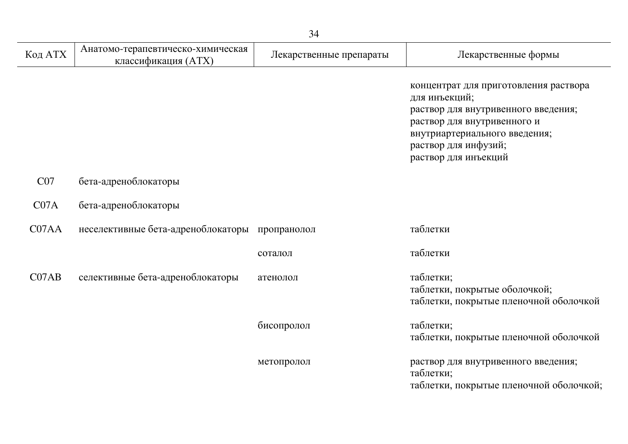| Код АТХ           | Анатомо-терапевтическо-химическая<br>классификация (ATX) | Лекарственные препараты | Лекарственные формы                                                                                                                                                                                           |
|-------------------|----------------------------------------------------------|-------------------------|---------------------------------------------------------------------------------------------------------------------------------------------------------------------------------------------------------------|
|                   |                                                          |                         | концентрат для приготовления раствора<br>для инъекций;<br>раствор для внутривенного введения;<br>раствор для внутривенного и<br>внутриартериального введения;<br>раствор для инфузий;<br>раствор для инъекций |
| CO7               | бета-адреноблокаторы                                     |                         |                                                                                                                                                                                                               |
| CO <sub>7</sub> A | бета-адреноблокаторы                                     |                         |                                                                                                                                                                                                               |
| C07AA             | неселективные бета-адреноблокаторы пропранолол           |                         | таблетки                                                                                                                                                                                                      |
|                   |                                                          | соталол                 | таблетки                                                                                                                                                                                                      |
| CO7AB             | селективные бета-адреноблокаторы                         | атенолол                | таблетки;<br>таблетки, покрытые оболочкой;<br>таблетки, покрытые пленочной оболочкой                                                                                                                          |
|                   |                                                          | бисопролол              | таблетки;<br>таблетки, покрытые пленочной оболочкой                                                                                                                                                           |
|                   |                                                          | метопролол              | раствор для внутривенного введения;<br>таблетки;<br>таблетки, покрытые пленочной оболочкой;                                                                                                                   |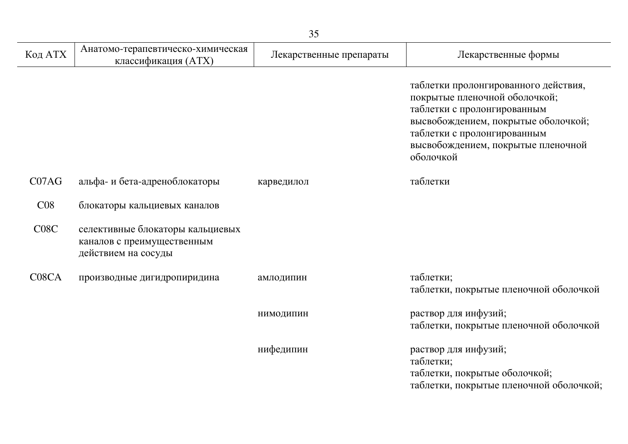|                                |                                                                                       | 35                      |                                                                                                                                                                                                                               |
|--------------------------------|---------------------------------------------------------------------------------------|-------------------------|-------------------------------------------------------------------------------------------------------------------------------------------------------------------------------------------------------------------------------|
| Код АТХ                        | Анатомо-терапевтическо-химическая<br>классификация (ATX)                              | Лекарственные препараты | Лекарственные формы                                                                                                                                                                                                           |
|                                |                                                                                       |                         | таблетки пролонгированного действия,<br>покрытые пленочной оболочкой;<br>таблетки с пролонгированным<br>высвобождением, покрытые оболочкой;<br>таблетки с пролонгированным<br>высвобождением, покрытые пленочной<br>оболочкой |
| CO7AG                          | альфа- и бета-адреноблокаторы                                                         | карведилол              | таблетки                                                                                                                                                                                                                      |
| CO8                            | блокаторы кальциевых каналов                                                          |                         |                                                                                                                                                                                                                               |
| C08C                           | селективные блокаторы кальциевых<br>каналов с преимущественным<br>действием на сосуды |                         |                                                                                                                                                                                                                               |
| C <sub>08</sub> C <sub>A</sub> | производные дигидропиридина                                                           | амлодипин               | таблетки;<br>таблетки, покрытые пленочной оболочкой                                                                                                                                                                           |
|                                |                                                                                       | НИМОДИПИН               | раствор для инфузий;<br>таблетки, покрытые пленочной оболочкой                                                                                                                                                                |
|                                |                                                                                       | нифедипин               | раствор для инфузий;<br>таблетки;<br>таблетки, покрытые оболочкой;<br>таблетки, покрытые пленочной оболочкой;                                                                                                                 |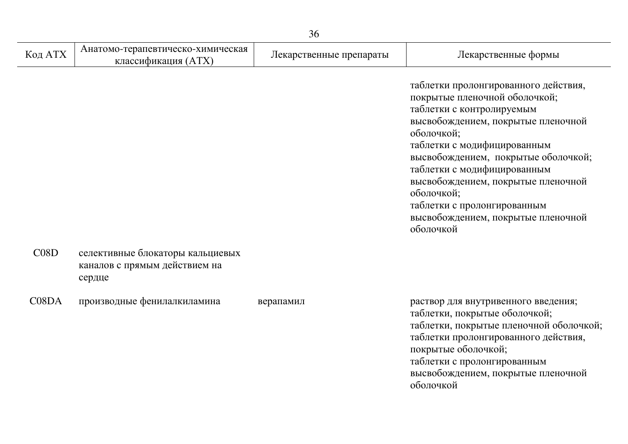|         |                                                                             | 36                      |                                                                                                                                                                                                                                                                                                                                                                                                   |
|---------|-----------------------------------------------------------------------------|-------------------------|---------------------------------------------------------------------------------------------------------------------------------------------------------------------------------------------------------------------------------------------------------------------------------------------------------------------------------------------------------------------------------------------------|
| Код АТХ | Анатомо-терапевтическо-химическая<br>классификация (ATX)                    | Лекарственные препараты | Лекарственные формы                                                                                                                                                                                                                                                                                                                                                                               |
|         |                                                                             |                         | таблетки пролонгированного действия,<br>покрытые пленочной оболочкой;<br>таблетки с контролируемым<br>высвобождением, покрытые пленочной<br>оболочкой;<br>таблетки с модифицированным<br>высвобождением, покрытые оболочкой;<br>таблетки с модифицированным<br>высвобождением, покрытые пленочной<br>оболочкой;<br>таблетки с пролонгированным<br>высвобождением, покрытые пленочной<br>оболочкой |
| C08D    | селективные блокаторы кальциевых<br>каналов с прямым действием на<br>сердце |                         |                                                                                                                                                                                                                                                                                                                                                                                                   |
| C08DA   | производные фенилалкиламина                                                 | верапамил               | раствор для внутривенного введения;<br>таблетки, покрытые оболочкой;<br>таблетки, покрытые пленочной оболочкой;<br>таблетки пролонгированного действия,<br>покрытые оболочкой;<br>таблетки с пролонгированным<br>высвобождением, покрытые пленочной<br>оболочкой                                                                                                                                  |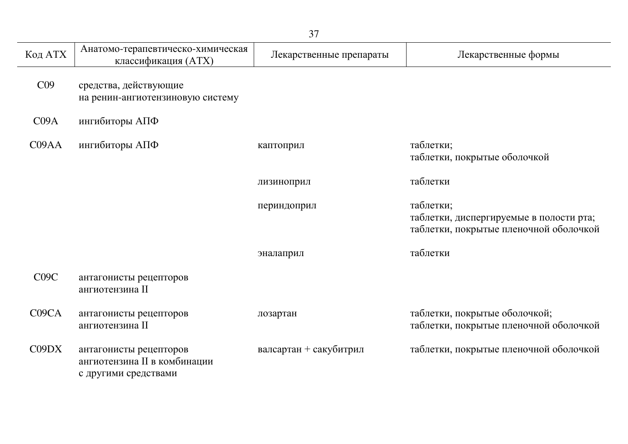| Код АТХ         | Анатомо-терапевтическо-химическая<br>классификация (ATX)                       | Лекарственные препараты | Лекарственные формы                                                                            |
|-----------------|--------------------------------------------------------------------------------|-------------------------|------------------------------------------------------------------------------------------------|
| C <sub>09</sub> | средства, действующие<br>на ренин-ангиотензиновую систему                      |                         |                                                                                                |
| CO9A            | ингибиторы АПФ                                                                 |                         |                                                                                                |
| CO9AA           | ингибиторы АПФ                                                                 | каптоприл               | таблетки;<br>таблетки, покрытые оболочкой                                                      |
|                 |                                                                                | лизиноприл              | таблетки                                                                                       |
|                 |                                                                                | периндоприл             | таблетки;<br>таблетки, диспергируемые в полости рта;<br>таблетки, покрытые пленочной оболочкой |
|                 |                                                                                | эналаприл               | таблетки                                                                                       |
| C09C            | антагонисты рецепторов<br>ангиотензина II                                      |                         |                                                                                                |
| C09CA           | антагонисты рецепторов<br>ангиотензина II                                      | лозартан                | таблетки, покрытые оболочкой;<br>таблетки, покрытые пленочной оболочкой                        |
| C09DX           | антагонисты рецепторов<br>ангиотензина II в комбинации<br>с другими средствами | валсартан + сакубитрил  | таблетки, покрытые пленочной оболочкой                                                         |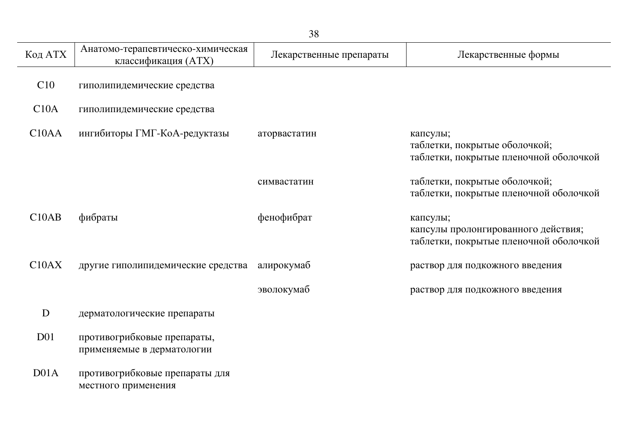| 38                 |                                                           |                         |                                                                                           |  |
|--------------------|-----------------------------------------------------------|-------------------------|-------------------------------------------------------------------------------------------|--|
| Код АТХ            | Анатомо-терапевтическо-химическая<br>классификация (ATX)  | Лекарственные препараты | Лекарственные формы                                                                       |  |
| C10                | гиполипидемические средства                               |                         |                                                                                           |  |
| C10A               | гиполипидемические средства                               |                         |                                                                                           |  |
| C <sub>10</sub> AA | ингибиторы ГМГ-КоА-редуктазы                              | аторвастатин            | капсулы;<br>таблетки, покрытые оболочкой;<br>таблетки, покрытые пленочной оболочкой       |  |
|                    |                                                           | симвастатин             | таблетки, покрытые оболочкой;<br>таблетки, покрытые пленочной оболочкой                   |  |
| C10AB              | фибраты                                                   | фенофибрат              | капсулы;<br>капсулы пролонгированного действия;<br>таблетки, покрытые пленочной оболочкой |  |
| C10AX              | другие гиполипидемические средства                        | алирокумаб              | раствор для подкожного введения                                                           |  |
|                    |                                                           | эволокумаб              | раствор для подкожного введения                                                           |  |
| D                  | дерматологические препараты                               |                         |                                                                                           |  |
| D <sub>01</sub>    | противогрибковые препараты,<br>применяемые в дерматологии |                         |                                                                                           |  |
| D01A               | противогрибковые препараты для<br>местного применения     |                         |                                                                                           |  |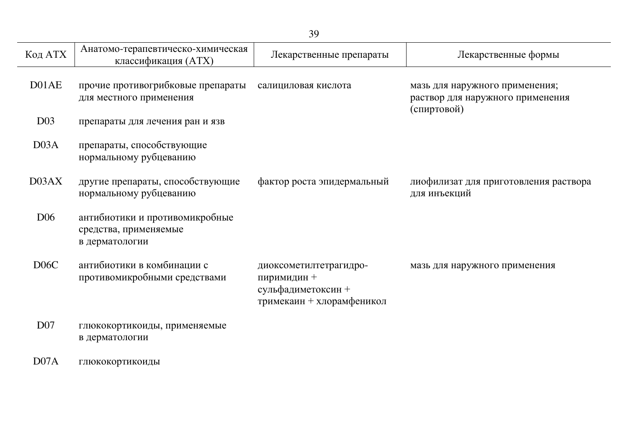| Код АТХ           | Анатомо-терапевтическо-химическая<br>классификация (ATX)                  | Лекарственные препараты                                                                  | Лекарственные формы                                                               |
|-------------------|---------------------------------------------------------------------------|------------------------------------------------------------------------------------------|-----------------------------------------------------------------------------------|
| D01AE             | прочие противогрибковые препараты<br>для местного применения              | салициловая кислота                                                                      | мазь для наружного применения;<br>раствор для наружного применения<br>(спиртовой) |
| D <sub>03</sub>   | препараты для лечения ран и язв                                           |                                                                                          |                                                                                   |
| D03A              | препараты, способствующие<br>нормальному рубцеванию                       |                                                                                          |                                                                                   |
| D03AX             | другие препараты, способствующие<br>нормальному рубцеванию                | фактор роста эпидермальный                                                               | лиофилизат для приготовления раствора<br>для инъекций                             |
| D <sub>06</sub>   | антибиотики и противомикробные<br>средства, применяемые<br>в дерматологии |                                                                                          |                                                                                   |
| D <sub>06</sub> C | антибиотики в комбинации с<br>противомикробными средствами                | диоксометилтетрагидро-<br>пиримидин +<br>сульфадиметоксин +<br>тримекаин + хлорамфеникол | мазь для наружного применения                                                     |
| D <sub>07</sub>   | глюкокортикоиды, применяемые<br>в дерматологии                            |                                                                                          |                                                                                   |
| DO7A              | глюкокортикоиды                                                           |                                                                                          |                                                                                   |

L.

 $\overline{\phantom{a}}$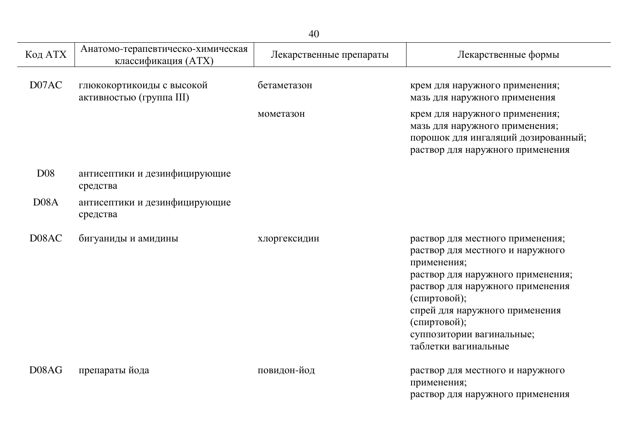| 40                |                                                          |                         |                                                                                                                                                                                                                                                                                     |
|-------------------|----------------------------------------------------------|-------------------------|-------------------------------------------------------------------------------------------------------------------------------------------------------------------------------------------------------------------------------------------------------------------------------------|
| Код АТХ           | Анатомо-терапевтическо-химическая<br>классификация (ATX) | Лекарственные препараты | Лекарственные формы                                                                                                                                                                                                                                                                 |
| D07AC             | глюкокортикоиды с высокой<br>активностью (группа III)    | бетаметазон             | крем для наружного применения;<br>мазь для наружного применения                                                                                                                                                                                                                     |
|                   |                                                          | мометазон               | крем для наружного применения;<br>мазь для наружного применения;<br>порошок для ингаляций дозированный;<br>раствор для наружного применения                                                                                                                                         |
| <b>D08</b>        | антисептики и дезинфицирующие<br>средства                |                         |                                                                                                                                                                                                                                                                                     |
| D <sub>08</sub> A | антисептики и дезинфицирующие<br>средства                |                         |                                                                                                                                                                                                                                                                                     |
| D08AC             | бигуаниды и амидины                                      | хлоргексидин            | раствор для местного применения;<br>раствор для местного и наружного<br>применения;<br>раствор для наружного применения;<br>раствор для наружного применения<br>(спиртовой);<br>спрей для наружного применения<br>(спиртовой);<br>суппозитории вагинальные;<br>таблетки вагинальные |
| D08AG             | препараты йода                                           | повидон-йод             | раствор для местного и наружного<br>применения;<br>раствор для наружного применения                                                                                                                                                                                                 |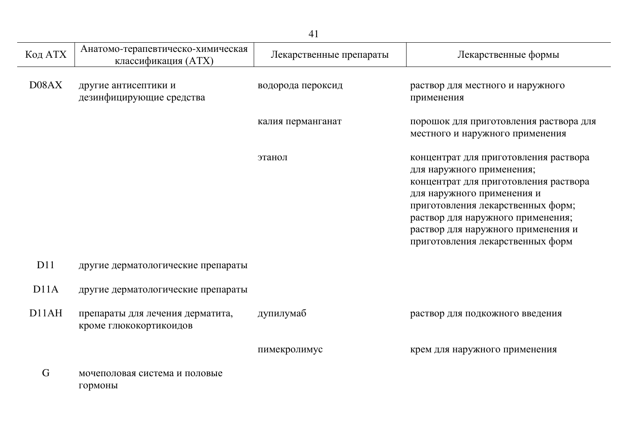|                   |                                                            | 41                      |                                                                                                                                                                                                                                                                                               |
|-------------------|------------------------------------------------------------|-------------------------|-----------------------------------------------------------------------------------------------------------------------------------------------------------------------------------------------------------------------------------------------------------------------------------------------|
| Код АТХ           | Анатомо-терапевтическо-химическая<br>классификация (ATX)   | Лекарственные препараты | Лекарственные формы                                                                                                                                                                                                                                                                           |
| D08AX             | другие антисептики и<br>дезинфицирующие средства           | водорода пероксид       | раствор для местного и наружного<br>применения                                                                                                                                                                                                                                                |
|                   |                                                            | калия перманганат       | порошок для приготовления раствора для<br>местного и наружного применения                                                                                                                                                                                                                     |
|                   |                                                            | этанол                  | концентрат для приготовления раствора<br>для наружного применения;<br>концентрат для приготовления раствора<br>для наружного применения и<br>приготовления лекарственных форм;<br>раствор для наружного применения;<br>раствор для наружного применения и<br>приготовления лекарственных форм |
| D11               | другие дерматологические препараты                         |                         |                                                                                                                                                                                                                                                                                               |
| D <sub>11</sub> A | другие дерматологические препараты                         |                         |                                                                                                                                                                                                                                                                                               |
| D11AH             | препараты для лечения дерматита,<br>кроме глюкокортикоидов | дупилумаб               | раствор для подкожного введения                                                                                                                                                                                                                                                               |
|                   |                                                            | пимекролимус            | крем для наружного применения                                                                                                                                                                                                                                                                 |
| G                 | мочеполовая система и половые<br>гормоны                   |                         |                                                                                                                                                                                                                                                                                               |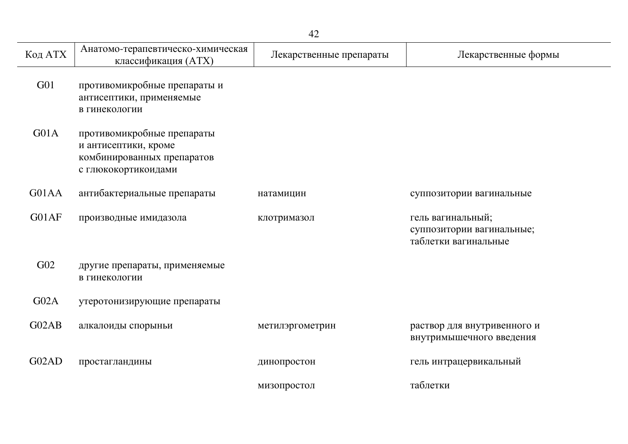| Код АТХ         | Анатомо-терапевтическо-химическая<br>классификация (ATX)                                                | Лекарственные препараты | Лекарственные формы                                                    |
|-----------------|---------------------------------------------------------------------------------------------------------|-------------------------|------------------------------------------------------------------------|
| G <sub>01</sub> | противомикробные препараты и<br>антисептики, применяемые<br>в гинекологии                               |                         |                                                                        |
| G01A            | противомикробные препараты<br>и антисептики, кроме<br>комбинированных препаратов<br>с глюкокортикоидами |                         |                                                                        |
| G01AA           | антибактериальные препараты                                                                             | натамицин               | суппозитории вагинальные                                               |
| G01AF           | производные имидазола                                                                                   | клотримазол             | гель вагинальный;<br>суппозитории вагинальные;<br>таблетки вагинальные |
| G02             | другие препараты, применяемые<br>в гинекологии                                                          |                         |                                                                        |
| G02A            | утеротонизирующие препараты                                                                             |                         |                                                                        |
| G02AB           | алкалоиды спорыньи                                                                                      | метилэргометрин         | раствор для внутривенного и<br>внутримышечного введения                |
| G02AD           | простагландины                                                                                          | динопростон             | гель интрацервикальный                                                 |
|                 |                                                                                                         | мизопростол             | таблетки                                                               |

J.

 $\overline{\phantom{a}}$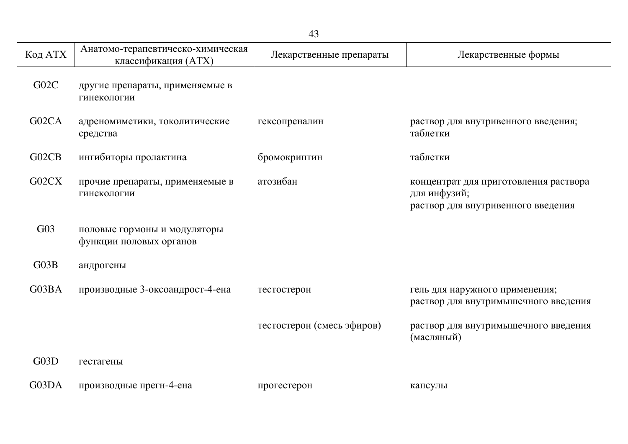| 43      |                                                          |                            |                                                                                             |
|---------|----------------------------------------------------------|----------------------------|---------------------------------------------------------------------------------------------|
| Код АТХ | Анатомо-терапевтическо-химическая<br>классификация (ATX) | Лекарственные препараты    | Лекарственные формы                                                                         |
| G02C    | другие препараты, применяемые в<br>гинекологии           |                            |                                                                                             |
| G02CA   | адреномиметики, токолитические<br>средства               | гексопреналин              | раствор для внутривенного введения;<br>таблетки                                             |
| G02CB   | ингибиторы пролактина                                    | бромокриптин               | таблетки                                                                                    |
| G02CX   | прочие препараты, применяемые в<br>гинекологии           | атозибан                   | концентрат для приготовления раствора<br>для инфузий;<br>раствор для внутривенного введения |
| G03     | половые гормоны и модуляторы<br>функции половых органов  |                            |                                                                                             |
| G03B    | андрогены                                                |                            |                                                                                             |
| G03BA   | производные 3-оксоандрост-4-ена                          | тестостерон                | гель для наружного применения;<br>раствор для внутримышечного введения                      |
|         |                                                          | тестостерон (смесь эфиров) | раствор для внутримышечного введения<br>(масляный)                                          |
| G03D    | гестагены                                                |                            |                                                                                             |
| G03DA   | производные прегн-4-ена                                  | прогестерон                | капсулы                                                                                     |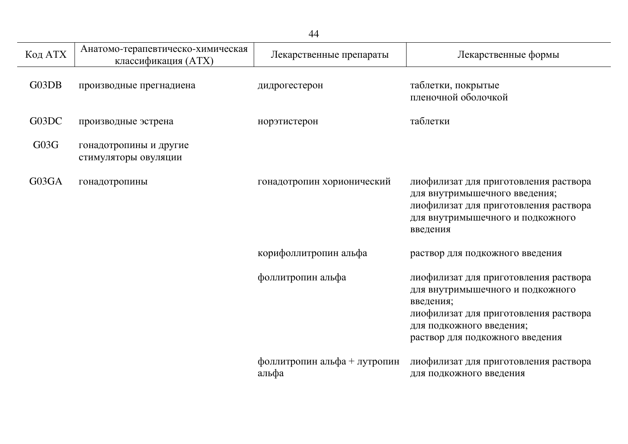| 44      |                                                          |                                       |                                                                                                                                                                                                |
|---------|----------------------------------------------------------|---------------------------------------|------------------------------------------------------------------------------------------------------------------------------------------------------------------------------------------------|
| Код АТХ | Анатомо-терапевтическо-химическая<br>классификация (АТХ) | Лекарственные препараты               | Лекарственные формы                                                                                                                                                                            |
| G03DB   | производные прегнадиена                                  | дидрогестерон                         | таблетки, покрытые<br>пленочной оболочкой                                                                                                                                                      |
| G03DC   | производные эстрена                                      | норэтистерон                          | таблетки                                                                                                                                                                                       |
| G03G    | гонадотропины и другие<br>стимуляторы овуляции           |                                       |                                                                                                                                                                                                |
| G03GA   | гонадотропины                                            | гонадотропин хорионический            | лиофилизат для приготовления раствора<br>для внутримышечного введения;<br>лиофилизат для приготовления раствора<br>для внутримышечного и подкожного<br>введения                                |
|         |                                                          | корифоллитропин альфа                 | раствор для подкожного введения                                                                                                                                                                |
|         |                                                          | фоллитропин альфа                     | лиофилизат для приготовления раствора<br>для внутримышечного и подкожного<br>введения;<br>лиофилизат для приготовления раствора<br>для подкожного введения;<br>раствор для подкожного введения |
|         |                                                          | фоллитропин альфа + лутропин<br>альфа | лиофилизат для приготовления раствора<br>для подкожного введения                                                                                                                               |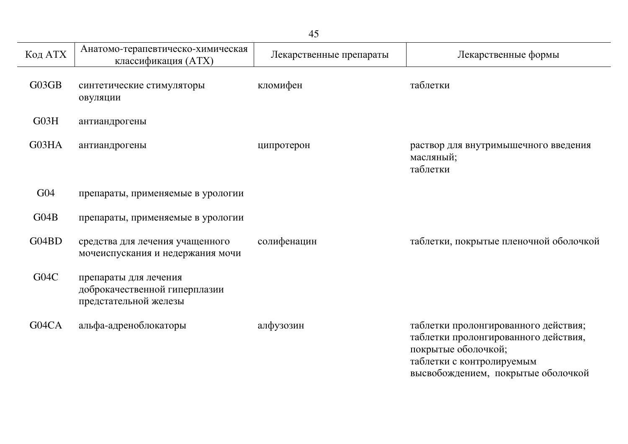|         |                                                                                 | 45                      |                                                                                                                                  |
|---------|---------------------------------------------------------------------------------|-------------------------|----------------------------------------------------------------------------------------------------------------------------------|
| Код АТХ | Анатомо-терапевтическо-химическая<br>классификация (ATX)                        | Лекарственные препараты | Лекарственные формы                                                                                                              |
| G03GB   | синтетические стимуляторы<br>овуляции                                           | кломифен                | таблетки                                                                                                                         |
| G03H    | антиандрогены                                                                   |                         |                                                                                                                                  |
| G03HA   | антиандрогены                                                                   | ципротерон              | раствор для внутримышечного введения<br>масляный;<br>таблетки                                                                    |
| G04     | препараты, применяемые в урологии                                               |                         |                                                                                                                                  |
| G04B    | препараты, применяемые в урологии                                               |                         |                                                                                                                                  |
| G04BD   | средства для лечения учащенного<br>мочеиспускания и недержания мочи             | солифенацин             | таблетки, покрытые пленочной оболочкой                                                                                           |
| G04C    | препараты для лечения<br>доброкачественной гиперплазии<br>предстательной железы |                         |                                                                                                                                  |
| G04CA   | альфа-адреноблокаторы                                                           | алфузозин               | таблетки пролонгированного действия;<br>таблетки пролонгированного действия,<br>покрытые оболочкой;<br>таблетки с контролируемым |

высвобождением, покрытые оболочкой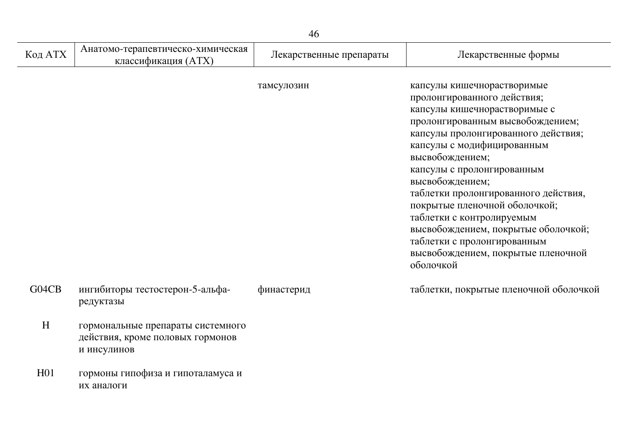| 46              |                                                                                      |                         |                                                                                                                                                                                                                                                                                                                                                                                                                                                                                                       |  |
|-----------------|--------------------------------------------------------------------------------------|-------------------------|-------------------------------------------------------------------------------------------------------------------------------------------------------------------------------------------------------------------------------------------------------------------------------------------------------------------------------------------------------------------------------------------------------------------------------------------------------------------------------------------------------|--|
| Код АТХ         | Анатомо-терапевтическо-химическая<br>классификация (ATX)                             | Лекарственные препараты | Лекарственные формы                                                                                                                                                                                                                                                                                                                                                                                                                                                                                   |  |
|                 |                                                                                      | тамсулозин              | капсулы кишечнорастворимые<br>пролонгированного действия;<br>капсулы кишечнорастворимые с<br>пролонгированным высвобождением;<br>капсулы пролонгированного действия;<br>капсулы с модифицированным<br>высвобождением;<br>капсулы с пролонгированным<br>высвобождением;<br>таблетки пролонгированного действия,<br>покрытые пленочной оболочкой;<br>таблетки с контролируемым<br>высвобождением, покрытые оболочкой;<br>таблетки с пролонгированным<br>высвобождением, покрытые пленочной<br>оболочкой |  |
| G04CB           | ингибиторы тестостерон-5-альфа-<br>редуктазы                                         | финастерид              | таблетки, покрытые пленочной оболочкой                                                                                                                                                                                                                                                                                                                                                                                                                                                                |  |
| H               | гормональные препараты системного<br>действия, кроме половых гормонов<br>и инсулинов |                         |                                                                                                                                                                                                                                                                                                                                                                                                                                                                                                       |  |
| H <sub>01</sub> | гормоны гипофиза и гипоталамуса и<br>их аналоги                                      |                         |                                                                                                                                                                                                                                                                                                                                                                                                                                                                                                       |  |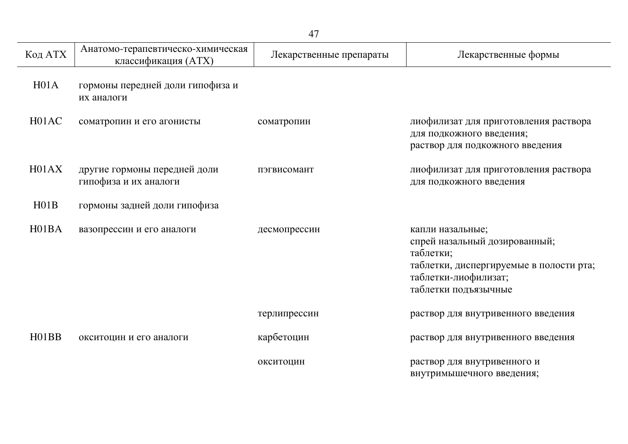| Код АТХ            | Анатомо-терапевтическо-химическая<br>классификация (ATX) | Лекарственные препараты | Лекарственные формы                                                                                                                                       |
|--------------------|----------------------------------------------------------|-------------------------|-----------------------------------------------------------------------------------------------------------------------------------------------------------|
| H <sub>01A</sub>   | гормоны передней доли гипофиза и<br>их аналоги           |                         |                                                                                                                                                           |
| H01AC              | соматропин и его агонисты                                | соматропин              | лиофилизат для приготовления раствора<br>для подкожного введения;<br>раствор для подкожного введения                                                      |
| H01AX              | другие гормоны передней доли<br>гипофиза и их аналоги    | пэгвисомант             | лиофилизат для приготовления раствора<br>для подкожного введения                                                                                          |
| H01B               | гормоны задней доли гипофиза                             |                         |                                                                                                                                                           |
| H <sub>01</sub> BA | вазопрессин и его аналоги                                | десмопрессин            | капли назальные;<br>спрей назальный дозированный;<br>таблетки;<br>таблетки, диспергируемые в полости рта;<br>таблетки-лиофилизат;<br>таблетки подъязычные |
|                    |                                                          | терлипрессин            | раствор для внутривенного введения                                                                                                                        |
| H01BB              | окситоцин и его аналоги                                  | карбетоцин              | раствор для внутривенного введения                                                                                                                        |
|                    |                                                          | окситоцин               | раствор для внутривенного и<br>внутримышечного введения;                                                                                                  |

j.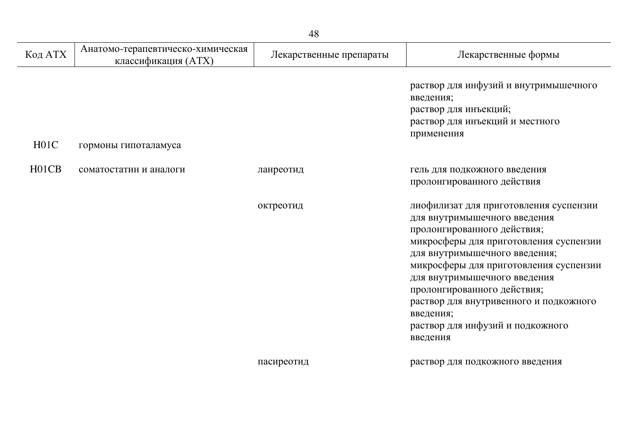| Код АТХ            | Анатомо-терапевтическо-химическая<br>классификация (ATX) | Лекарственные препараты | Лекарственные формы                                                                                                                                                                                                                                                                                                                                                                              |
|--------------------|----------------------------------------------------------|-------------------------|--------------------------------------------------------------------------------------------------------------------------------------------------------------------------------------------------------------------------------------------------------------------------------------------------------------------------------------------------------------------------------------------------|
| H <sub>01C</sub>   | гормоны гипоталамуса                                     |                         | раствор для инфузий и внутримышечного<br>введения;<br>раствор для инъекций;<br>раствор для инъекций и местного<br>применения                                                                                                                                                                                                                                                                     |
| H <sub>01</sub> CB | соматостатин и аналоги                                   | ланреотид               | гель для подкожного введения<br>пролонгированного действия                                                                                                                                                                                                                                                                                                                                       |
|                    |                                                          | октреотид               | лиофилизат для приготовления суспензии<br>для внутримышечного введения<br>пролонгированного действия;<br>микросферы для приготовления суспензии<br>для внутримышечного введения;<br>микросферы для приготовления суспензии<br>для внутримышечного введения<br>пролонгированного действия;<br>раствор для внутривенного и подкожного<br>введения;<br>раствор для инфузий и подкожного<br>введения |
|                    |                                                          | пасиреотид              | раствор для подкожного введения                                                                                                                                                                                                                                                                                                                                                                  |

 $\overline{a}$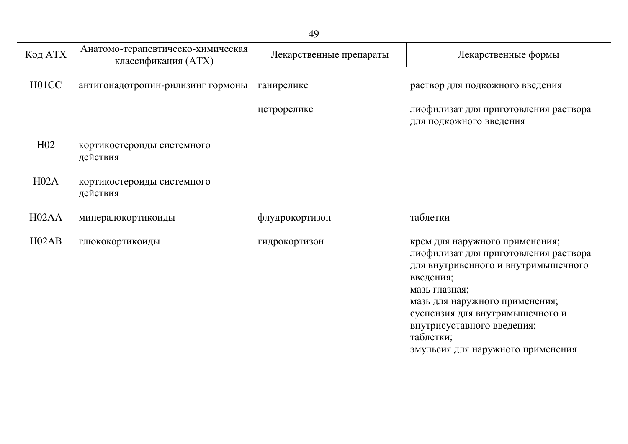| Код АТХ            | Анатомо-терапевтическо-химическая<br>классификация (ATX) | Лекарственные препараты | Лекарственные формы                                                                                                                                                            |
|--------------------|----------------------------------------------------------|-------------------------|--------------------------------------------------------------------------------------------------------------------------------------------------------------------------------|
| H <sub>0</sub> 1CC | антигонадотропин-рилизинг гормоны                        | ганиреликс              | раствор для подкожного введения                                                                                                                                                |
|                    |                                                          | цетрореликс             | лиофилизат для приготовления раствора<br>для подкожного введения                                                                                                               |
| H <sub>02</sub>    | кортикостероиды системного<br>действия                   |                         |                                                                                                                                                                                |
| H02A               | кортикостероиды системного<br>действия                   |                         |                                                                                                                                                                                |
| H <sub>02</sub> AA | минералокортикоиды                                       | флудрокортизон          | таблетки                                                                                                                                                                       |
| H02AB              | глюкокортикоиды                                          | гидрокортизон           | крем для наружного применения;<br>лиофилизат для приготовления раствора<br>для внутривенного и внутримышечного<br>введения;<br>мазь глазная;<br>мазь для наружного применения; |

суспензия для внутримышечного и

эмульсия для наружного применения

внутрисуставного введения;

таблетки;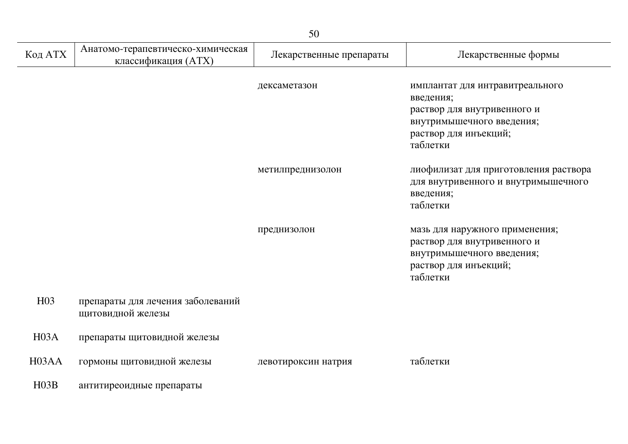|                    | 50                                                       |                         |                                                                                                                                               |  |
|--------------------|----------------------------------------------------------|-------------------------|-----------------------------------------------------------------------------------------------------------------------------------------------|--|
| Код АТХ            | Анатомо-терапевтическо-химическая<br>классификация (ATX) | Лекарственные препараты | Лекарственные формы                                                                                                                           |  |
|                    |                                                          | дексаметазон            | имплантат для интравитреального<br>введения;<br>раствор для внутривенного и<br>внутримышечного введения;<br>раствор для инъекций;<br>таблетки |  |
|                    |                                                          | метилпреднизолон        | лиофилизат для приготовления раствора<br>для внутривенного и внутримышечного<br>введения;<br>таблетки                                         |  |
|                    |                                                          | преднизолон             | мазь для наружного применения;<br>раствор для внутривенного и<br>внутримышечного введения;<br>раствор для инъекций;<br>таблетки               |  |
| H <sub>03</sub>    | препараты для лечения заболеваний<br>щитовидной железы   |                         |                                                                                                                                               |  |
| H03A               | препараты щитовидной железы                              |                         |                                                                                                                                               |  |
| H <sub>03</sub> AA | гормоны щитовидной железы                                | левотироксин натрия     | таблетки                                                                                                                                      |  |
| H03B               | антитиреоидные препараты                                 |                         |                                                                                                                                               |  |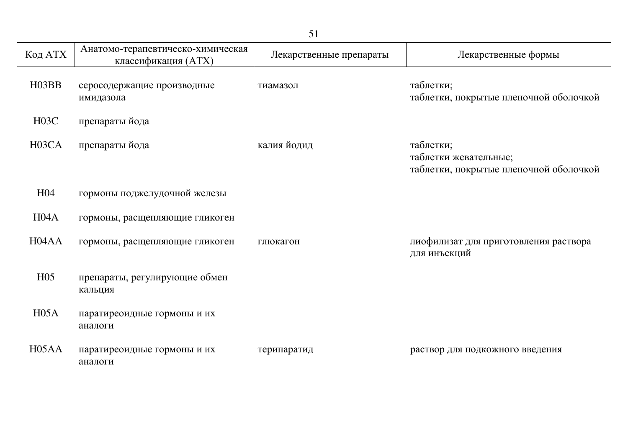|                    | 51                                                       |                         |                                                                              |  |
|--------------------|----------------------------------------------------------|-------------------------|------------------------------------------------------------------------------|--|
| Код АТХ            | Анатомо-терапевтическо-химическая<br>классификация (ATX) | Лекарственные препараты | Лекарственные формы                                                          |  |
| H <sub>03</sub> BB | серосодержащие производные<br>имидазола                  | тиамазол                | таблетки;<br>таблетки, покрытые пленочной оболочкой                          |  |
| H03C               | препараты йода                                           |                         |                                                                              |  |
| H <sub>03</sub> CA | препараты йода                                           | калия йодид             | таблетки;<br>таблетки жевательные;<br>таблетки, покрытые пленочной оболочкой |  |
| H <sub>04</sub>    | гормоны поджелудочной железы                             |                         |                                                                              |  |
| H04A               | гормоны, расщепляющие гликоген                           |                         |                                                                              |  |
| H <sub>04</sub> AA | гормоны, расщепляющие гликоген                           | глюкагон                | лиофилизат для приготовления раствора<br>для инъекций                        |  |
| H <sub>05</sub>    | препараты, регулирующие обмен<br>кальция                 |                         |                                                                              |  |
| H05A               | паратиреоидные гормоны и их<br>аналоги                   |                         |                                                                              |  |
| H <sub>05</sub> AA | паратиреоидные гормоны и их<br>аналоги                   | терипаратид             | раствор для подкожного введения                                              |  |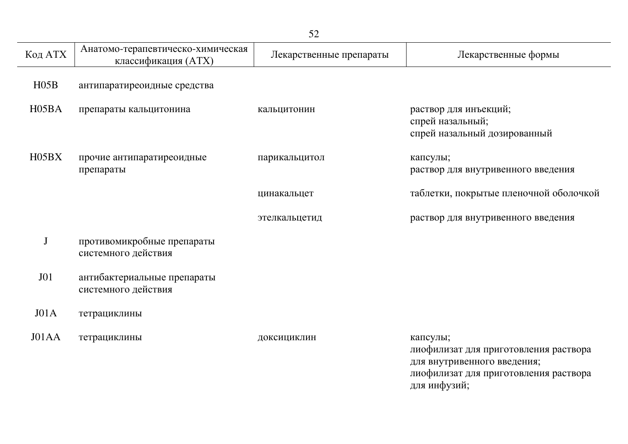|                    | 52                                                       |                         |                                                                                                                           |  |  |
|--------------------|----------------------------------------------------------|-------------------------|---------------------------------------------------------------------------------------------------------------------------|--|--|
| Код АТХ            | Анатомо-терапевтическо-химическая<br>классификация (ATX) | Лекарственные препараты | Лекарственные формы                                                                                                       |  |  |
| H05B               | антипаратиреоидные средства                              |                         |                                                                                                                           |  |  |
| H <sub>05</sub> BA | препараты кальцитонина                                   | кальцитонин             | раствор для инъекций;<br>спрей назальный;<br>спрей назальный дозированный                                                 |  |  |
| H05BX              | прочие антипаратиреоидные<br>препараты                   | парикальцитол           | капсулы;<br>раствор для внутривенного введения                                                                            |  |  |
|                    |                                                          | цинакальцет             | таблетки, покрытые пленочной оболочкой                                                                                    |  |  |
|                    |                                                          | этелкальцетид           | раствор для внутривенного введения                                                                                        |  |  |
| $\mathbf{J}$       | противомикробные препараты<br>системного действия        |                         |                                                                                                                           |  |  |
| J <sub>01</sub>    | антибактериальные препараты<br>системного действия       |                         |                                                                                                                           |  |  |
| J01A               | тетрациклины                                             |                         |                                                                                                                           |  |  |
| J01AA              | тетрациклины                                             | доксициклин             | капсулы;<br>лиофилизат для приготовления раствора<br>для внутривенного введения;<br>лиофилизат для приготовления раствора |  |  |

для инфузий;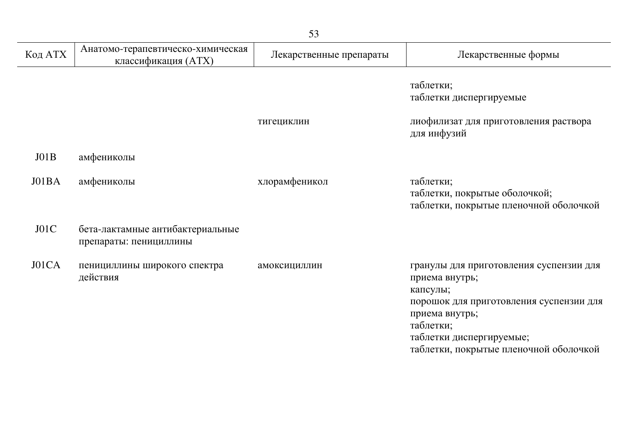| Код АТХ | Анатомо-терапевтическо-химическая<br>классификация (ATX)   | Лекарственные препараты | Лекарственные формы                                                                                                                                                                                                   |
|---------|------------------------------------------------------------|-------------------------|-----------------------------------------------------------------------------------------------------------------------------------------------------------------------------------------------------------------------|
|         |                                                            |                         | таблетки;<br>таблетки диспергируемые                                                                                                                                                                                  |
|         |                                                            | тигециклин              | лиофилизат для приготовления раствора<br>для инфузий                                                                                                                                                                  |
| JO1B    | амфениколы                                                 |                         |                                                                                                                                                                                                                       |
| J01BA   | амфениколы                                                 | хлорамфеникол           | таблетки;<br>таблетки, покрытые оболочкой;<br>таблетки, покрытые пленочной оболочкой                                                                                                                                  |
| J01C    | бета-лактамные антибактериальные<br>препараты: пенициллины |                         |                                                                                                                                                                                                                       |
| J01CA   | пенициллины широкого спектра<br>действия                   | амоксициллин            | гранулы для приготовления суспензии для<br>приема внутрь;<br>капсулы;<br>порошок для приготовления суспензии для<br>приема внутрь;<br>таблетки;<br>таблетки диспергируемые;<br>таблетки, покрытые пленочной оболочкой |

L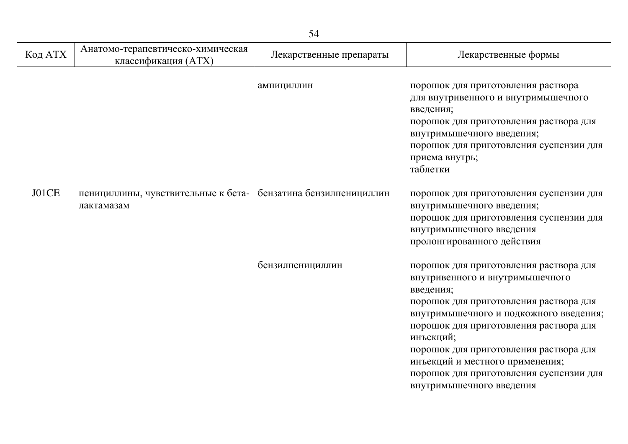| Код АТХ | Анатомо-терапевтическо-химическая<br>классификация (ATX)                     | Лекарственные препараты | Лекарственные формы                                                                                                                                                                                                                                                                                                                                                                   |
|---------|------------------------------------------------------------------------------|-------------------------|---------------------------------------------------------------------------------------------------------------------------------------------------------------------------------------------------------------------------------------------------------------------------------------------------------------------------------------------------------------------------------------|
|         |                                                                              | ампициллин              | порошок для приготовления раствора<br>для внутривенного и внутримышечного<br>введения;<br>порошок для приготовления раствора для<br>внутримышечного введения;<br>порошок для приготовления суспензии для<br>приема внутрь;<br>таблетки                                                                                                                                                |
| J01CE   | пенициллины, чувствительные к бета- бензатина бензилпенициллин<br>лактамазам |                         | порошок для приготовления суспензии для<br>внутримышечного введения;<br>порошок для приготовления суспензии для<br>внутримышечного введения<br>пролонгированного действия                                                                                                                                                                                                             |
|         |                                                                              | бензилпенициллин        | порошок для приготовления раствора для<br>внутривенного и внутримышечного<br>введения;<br>порошок для приготовления раствора для<br>внутримышечного и подкожного введения;<br>порошок для приготовления раствора для<br>инъекций;<br>порошок для приготовления раствора для<br>инъекций и местного применения;<br>порошок для приготовления суспензии для<br>внутримышечного введения |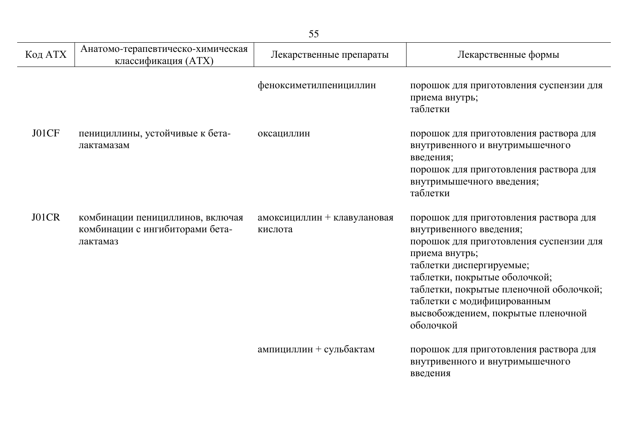| Код АТХ | Анатомо-терапевтическо-химическая<br>классификация (ATX)                        | Лекарственные препараты                | Лекарственные формы                                                                                                                                                                                                                                                                                                      |
|---------|---------------------------------------------------------------------------------|----------------------------------------|--------------------------------------------------------------------------------------------------------------------------------------------------------------------------------------------------------------------------------------------------------------------------------------------------------------------------|
|         |                                                                                 | феноксиметилпенициллин                 | порошок для приготовления суспензии для<br>приема внутрь;<br>таблетки                                                                                                                                                                                                                                                    |
| J01CF   | пенициллины, устойчивые к бета-<br>лактамазам                                   | оксациллин                             | порошок для приготовления раствора для<br>внутривенного и внутримышечного<br>введения;<br>порошок для приготовления раствора для<br>внутримышечного введения;<br>таблетки                                                                                                                                                |
| J01CR   | комбинации пенициллинов, включая<br>комбинации с ингибиторами бета-<br>лактамаз | амоксициллин + клавулановая<br>кислота | порошок для приготовления раствора для<br>внутривенного введения;<br>порошок для приготовления суспензии для<br>приема внутрь;<br>таблетки диспергируемые;<br>таблетки, покрытые оболочкой;<br>таблетки, покрытые пленочной оболочкой;<br>таблетки с модифицированным<br>высвобождением, покрытые пленочной<br>оболочкой |
|         |                                                                                 | ампициллин + сульбактам                | порошок для приготовления раствора для<br>внутривенного и внутримышечного<br>введения                                                                                                                                                                                                                                    |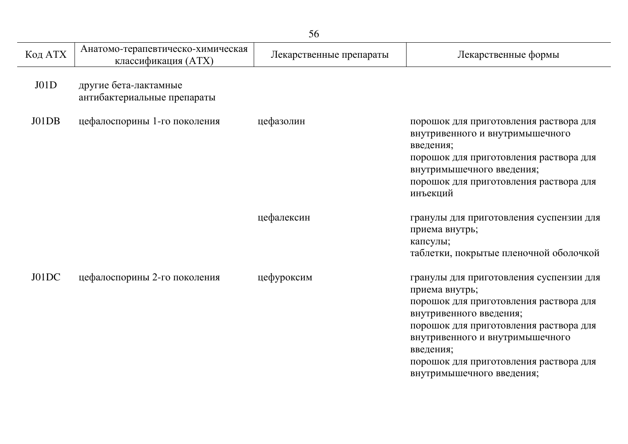| Код АТХ | Анатомо-терапевтическо-химическая<br>классификация (ATX) | Лекарственные препараты | Лекарственные формы                                                                                                                                                                                                                                                                             |
|---------|----------------------------------------------------------|-------------------------|-------------------------------------------------------------------------------------------------------------------------------------------------------------------------------------------------------------------------------------------------------------------------------------------------|
| J01D    | другие бета-лактамные<br>антибактериальные препараты     |                         |                                                                                                                                                                                                                                                                                                 |
| J01DB   | цефалоспорины 1-го поколения                             | цефазолин               | порошок для приготовления раствора для<br>внутривенного и внутримышечного<br>введения;<br>порошок для приготовления раствора для<br>внутримышечного введения;<br>порошок для приготовления раствора для<br>инъекций                                                                             |
|         |                                                          | цефалексин              | гранулы для приготовления суспензии для<br>приема внутрь;<br>капсулы;<br>таблетки, покрытые пленочной оболочкой                                                                                                                                                                                 |
| J01DC   | цефалоспорины 2-го поколения                             | цефуроксим              | гранулы для приготовления суспензии для<br>приема внутрь;<br>порошок для приготовления раствора для<br>внутривенного введения;<br>порошок для приготовления раствора для<br>внутривенного и внутримышечного<br>введения;<br>порошок для приготовления раствора для<br>внутримышечного введения; |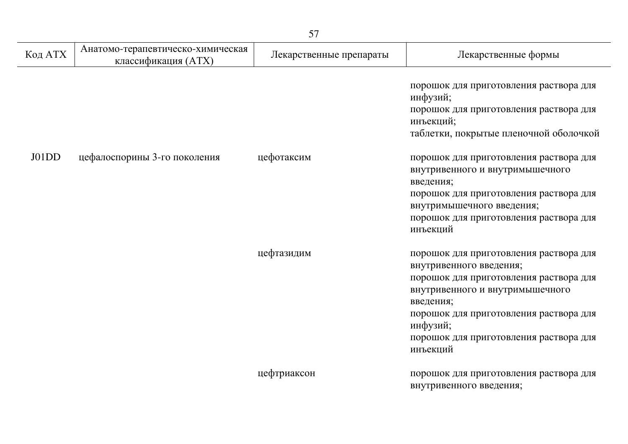| 57      |                                                          |                         |                                                                                                                                                                                                                                                                         |
|---------|----------------------------------------------------------|-------------------------|-------------------------------------------------------------------------------------------------------------------------------------------------------------------------------------------------------------------------------------------------------------------------|
| Код АТХ | Анатомо-терапевтическо-химическая<br>классификация (ATX) | Лекарственные препараты | Лекарственные формы                                                                                                                                                                                                                                                     |
|         |                                                          |                         | порошок для приготовления раствора для<br>инфузий;<br>порошок для приготовления раствора для<br>инъекций;<br>таблетки, покрытые пленочной оболочкой                                                                                                                     |
| J01DD   | цефалоспорины 3-го поколения                             | цефотаксим              | порошок для приготовления раствора для<br>внутривенного и внутримышечного<br>введения;<br>порошок для приготовления раствора для<br>внутримышечного введения;<br>порошок для приготовления раствора для<br>инъекций                                                     |
|         |                                                          | цефтазидим              | порошок для приготовления раствора для<br>внутривенного введения;<br>порошок для приготовления раствора для<br>внутривенного и внутримышечного<br>введения;<br>порошок для приготовления раствора для<br>инфузий;<br>порошок для приготовления раствора для<br>инъекций |
|         |                                                          | цефтриаксон             | порошок для приготовления раствора для<br>внутривенного введения;                                                                                                                                                                                                       |

j.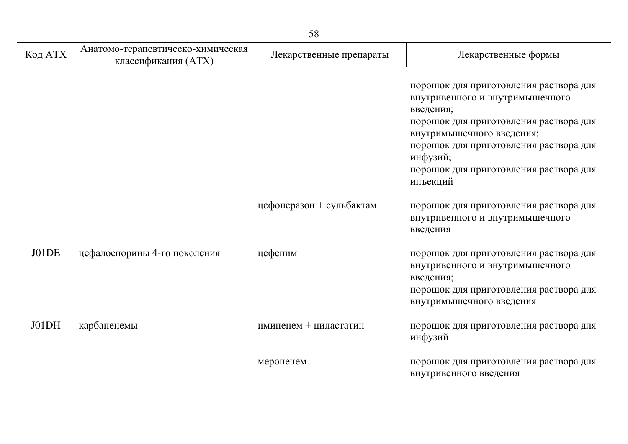| Код АТХ | Анатомо-терапевтическо-химическая<br>классификация (ATX) | Лекарственные препараты  | Лекарственные формы                                                                                                                                                                                                                                                       |
|---------|----------------------------------------------------------|--------------------------|---------------------------------------------------------------------------------------------------------------------------------------------------------------------------------------------------------------------------------------------------------------------------|
|         |                                                          |                          | порошок для приготовления раствора для<br>внутривенного и внутримышечного<br>введения;<br>порошок для приготовления раствора для<br>внутримышечного введения;<br>порошок для приготовления раствора для<br>инфузий;<br>порошок для приготовления раствора для<br>инъекций |
|         |                                                          | цефоперазон + сульбактам | порошок для приготовления раствора для<br>внутривенного и внутримышечного<br>введения                                                                                                                                                                                     |
| J01DE   | цефалоспорины 4-го поколения                             | цефепим                  | порошок для приготовления раствора для<br>внутривенного и внутримышечного<br>введения;<br>порошок для приготовления раствора для<br>внутримышечного введения                                                                                                              |
| J01DH   | карбапенемы                                              | имипенем + циластатин    | порошок для приготовления раствора для<br>инфузий                                                                                                                                                                                                                         |
|         |                                                          | меропенем                | порошок для приготовления раствора для<br>внутривенного введения                                                                                                                                                                                                          |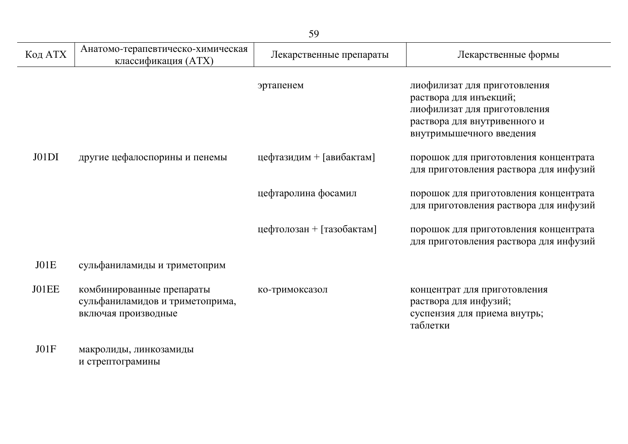|         |                                                                                     | 59                        |                                                                                                                                                    |
|---------|-------------------------------------------------------------------------------------|---------------------------|----------------------------------------------------------------------------------------------------------------------------------------------------|
| Код АТХ | Анатомо-терапевтическо-химическая<br>классификация (ATX)                            | Лекарственные препараты   | Лекарственные формы                                                                                                                                |
|         |                                                                                     | эртапенем                 | лиофилизат для приготовления<br>раствора для инъекций;<br>лиофилизат для приготовления<br>раствора для внутривенного и<br>внутримышечного введения |
| J01DI   | другие цефалоспорины и пенемы                                                       | цефтазидим + [авибактам]  | порошок для приготовления концентрата<br>для приготовления раствора для инфузий                                                                    |
|         |                                                                                     | цефтаролина фосамил       | порошок для приготовления концентрата<br>для приготовления раствора для инфузий                                                                    |
|         |                                                                                     | цефтолозан + [тазобактам] | порошок для приготовления концентрата<br>для приготовления раствора для инфузий                                                                    |
| JO1E    | сульфаниламиды и триметоприм                                                        |                           |                                                                                                                                                    |
| J01EE   | комбинированные препараты<br>сульфаниламидов и триметоприма,<br>включая производные | ко-тримоксазол            | концентрат для приготовления<br>раствора для инфузий;<br>суспензия для приема внутрь;<br>таблетки                                                  |
| JO1F    | макролиды, линкозамиды                                                              |                           |                                                                                                                                                    |

и стрептограмины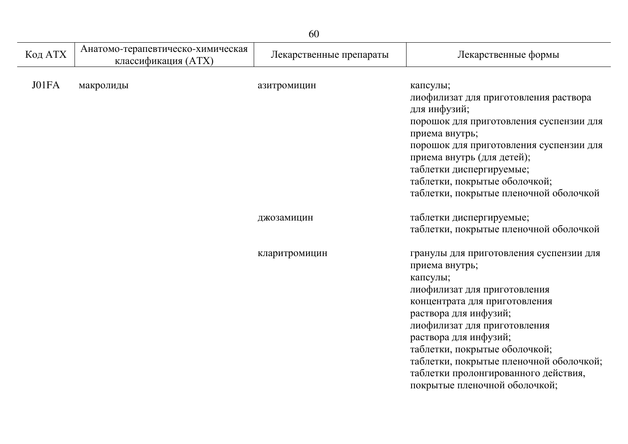| 60      |                                                          |                         |                                                                                                                                                                                                                                                                                                                                                                               |
|---------|----------------------------------------------------------|-------------------------|-------------------------------------------------------------------------------------------------------------------------------------------------------------------------------------------------------------------------------------------------------------------------------------------------------------------------------------------------------------------------------|
| Код АТХ | Анатомо-терапевтическо-химическая<br>классификация (ATX) | Лекарственные препараты | Лекарственные формы                                                                                                                                                                                                                                                                                                                                                           |
| J01FA   | макролиды                                                | азитромицин             | капсулы;<br>лиофилизат для приготовления раствора<br>для инфузий;<br>порошок для приготовления суспензии для<br>приема внутрь;<br>порошок для приготовления суспензии для<br>приема внутрь (для детей);<br>таблетки диспергируемые;<br>таблетки, покрытые оболочкой;<br>таблетки, покрытые пленочной оболочкой                                                                |
|         |                                                          | джозамицин              | таблетки диспергируемые;<br>таблетки, покрытые пленочной оболочкой                                                                                                                                                                                                                                                                                                            |
|         |                                                          | кларитромицин           | гранулы для приготовления суспензии для<br>приема внутрь;<br>капсулы;<br>лиофилизат для приготовления<br>концентрата для приготовления<br>раствора для инфузий;<br>лиофилизат для приготовления<br>раствора для инфузий;<br>таблетки, покрытые оболочкой;<br>таблетки, покрытые пленочной оболочкой;<br>таблетки пролонгированного действия,<br>покрытые пленочной оболочкой; |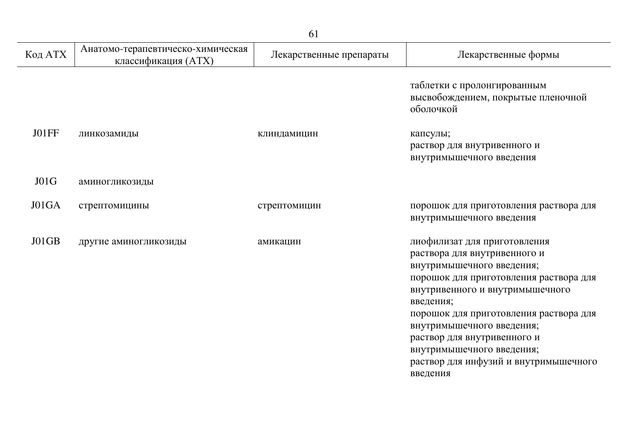|         |                                                          | ◡▴                      |                                                                                                                                                                                                                                                                                                                                                                             |
|---------|----------------------------------------------------------|-------------------------|-----------------------------------------------------------------------------------------------------------------------------------------------------------------------------------------------------------------------------------------------------------------------------------------------------------------------------------------------------------------------------|
| Код АТХ | Анатомо-терапевтическо-химическая<br>классификация (ATX) | Лекарственные препараты | Лекарственные формы                                                                                                                                                                                                                                                                                                                                                         |
|         |                                                          |                         | таблетки с пролонгированным<br>высвобождением, покрытые пленочной<br>оболочкой                                                                                                                                                                                                                                                                                              |
| J01FF   | линкозамиды                                              | клиндамицин             | капсулы;<br>раствор для внутривенного и<br>внутримышечного введения                                                                                                                                                                                                                                                                                                         |
| J01G    | аминогликозиды                                           |                         |                                                                                                                                                                                                                                                                                                                                                                             |
| J01GA   | стрептомицины                                            | стрептомицин            | порошок для приготовления раствора для<br>внутримышечного введения                                                                                                                                                                                                                                                                                                          |
| J01GB   | другие аминогликозиды                                    | амикацин                | лиофилизат для приготовления<br>раствора для внутривенного и<br>внутримышечного введения;<br>порошок для приготовления раствора для<br>внутривенного и внутримышечного<br>введения;<br>порошок для приготовления раствора для<br>внутримышечного введения;<br>раствор для внутривенного и<br>внутримышечного введения;<br>раствор для инфузий и внутримышечного<br>введения |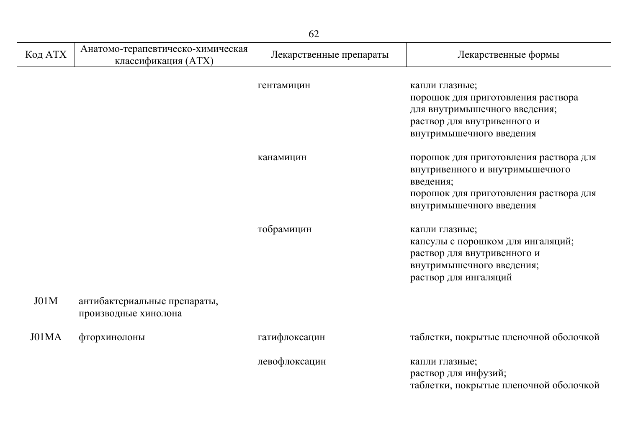| Код АТХ | Анатомо-терапевтическо-химическая<br>классификация (ATX) | Лекарственные препараты | Лекарственные формы                                                                                                                                          |
|---------|----------------------------------------------------------|-------------------------|--------------------------------------------------------------------------------------------------------------------------------------------------------------|
|         |                                                          | гентамицин              | капли глазные;<br>порошок для приготовления раствора<br>для внутримышечного введения;<br>раствор для внутривенного и<br>внутримышечного введения             |
|         |                                                          | канамицин               | порошок для приготовления раствора для<br>внутривенного и внутримышечного<br>введения;<br>порошок для приготовления раствора для<br>внутримышечного введения |
|         |                                                          | тобрамицин              | капли глазные;<br>капсулы с порошком для ингаляций;<br>раствор для внутривенного и<br>внутримышечного введения;<br>раствор для ингаляций                     |
| J01M    | антибактериальные препараты,<br>производные хинолона     |                         |                                                                                                                                                              |
| J01MA   | фторхинолоны                                             | гатифлоксацин           | таблетки, покрытые пленочной оболочкой                                                                                                                       |
|         |                                                          | левофлоксацин           | капли глазные;<br>раствор для инфузий;<br>таблетки, покрытые пленочной оболочкой                                                                             |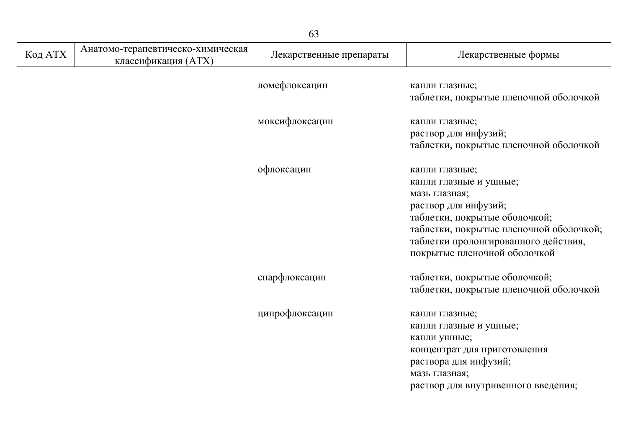| 63      |                                                          |                         |                                                                                                                                                                                                                                       |  |
|---------|----------------------------------------------------------|-------------------------|---------------------------------------------------------------------------------------------------------------------------------------------------------------------------------------------------------------------------------------|--|
| Код АТХ | Анатомо-терапевтическо-химическая<br>классификация (ATX) | Лекарственные препараты | Лекарственные формы                                                                                                                                                                                                                   |  |
|         |                                                          | ломефлоксацин           | капли глазные;<br>таблетки, покрытые пленочной оболочкой                                                                                                                                                                              |  |
|         |                                                          | моксифлоксацин          | капли глазные;<br>раствор для инфузий;<br>таблетки, покрытые пленочной оболочкой                                                                                                                                                      |  |
|         |                                                          | офлоксацин              | капли глазные;<br>капли глазные и ушные;<br>мазь глазная;<br>раствор для инфузий;<br>таблетки, покрытые оболочкой;<br>таблетки, покрытые пленочной оболочкой;<br>таблетки пролонгированного действия,<br>покрытые пленочной оболочкой |  |
|         |                                                          | спарфлоксацин           | таблетки, покрытые оболочкой;<br>таблетки, покрытые пленочной оболочкой                                                                                                                                                               |  |
|         |                                                          | ципрофлоксацин          | капли глазные;<br>капли глазные и ушные;<br>капли ушные;<br>концентрат для приготовления<br>раствора для инфузий;<br>мазь глазная;<br>раствор для внутривенного введения;                                                             |  |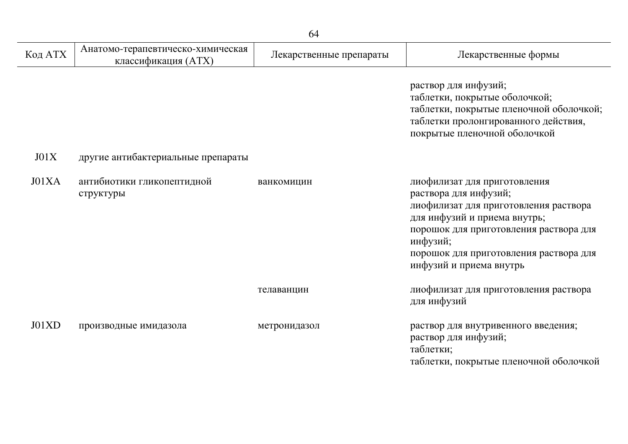| Код АТХ | Анатомо-терапевтическо-химическая<br>классификация (ATX) | Лекарственные препараты | Лекарственные формы                                                                                                                                                                                                                                       |
|---------|----------------------------------------------------------|-------------------------|-----------------------------------------------------------------------------------------------------------------------------------------------------------------------------------------------------------------------------------------------------------|
|         |                                                          |                         | раствор для инфузий;<br>таблетки, покрытые оболочкой;<br>таблетки, покрытые пленочной оболочкой;<br>таблетки пролонгированного действия,<br>покрытые пленочной оболочкой                                                                                  |
| J01X    | другие антибактериальные препараты                       |                         |                                                                                                                                                                                                                                                           |
| J01XA   | антибиотики гликопептидной<br>структуры                  | ванкомицин              | лиофилизат для приготовления<br>раствора для инфузий;<br>лиофилизат для приготовления раствора<br>для инфузий и приема внутрь;<br>порошок для приготовления раствора для<br>инфузий;<br>порошок для приготовления раствора для<br>инфузий и приема внутрь |
|         |                                                          | телаванцин              | лиофилизат для приготовления раствора<br>для инфузий                                                                                                                                                                                                      |
| J01XD   | производные имидазола                                    | метронидазол            | раствор для внутривенного введения;<br>раствор для инфузий;<br>таблетки;<br>таблетки, покрытые пленочной оболочкой                                                                                                                                        |

j.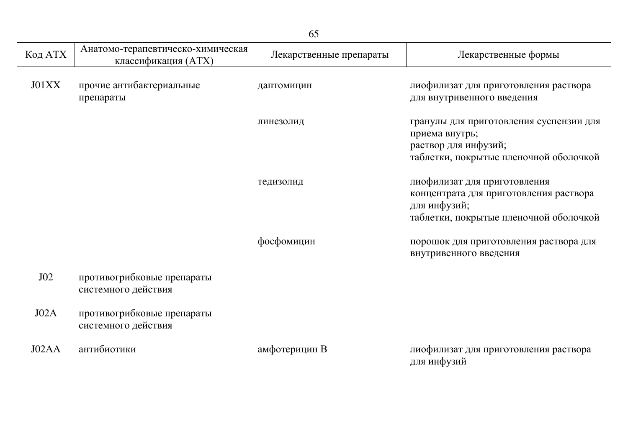| Код АТХ | Анатомо-терапевтическо-химическая<br>классификация (ATX) | Лекарственные препараты | Лекарственные формы                                                                                                              |
|---------|----------------------------------------------------------|-------------------------|----------------------------------------------------------------------------------------------------------------------------------|
| J01XX   | прочие антибактериальные<br>препараты                    | даптомицин              | лиофилизат для приготовления раствора<br>для внутривенного введения                                                              |
|         |                                                          | линезолид               | гранулы для приготовления суспензии для<br>приема внутрь;<br>раствор для инфузий;<br>таблетки, покрытые пленочной оболочкой      |
|         |                                                          | тедизолид               | лиофилизат для приготовления<br>концентрата для приготовления раствора<br>для инфузий;<br>таблетки, покрытые пленочной оболочкой |
|         |                                                          | фосфомицин              | порошок для приготовления раствора для<br>внутривенного введения                                                                 |
| J02     | противогрибковые препараты<br>системного действия        |                         |                                                                                                                                  |
| JO2A    | противогрибковые препараты<br>системного действия        |                         |                                                                                                                                  |
| J02AA   | антибиотики                                              | амфотерицин В           | лиофилизат для приготовления раствора<br>для инфузий                                                                             |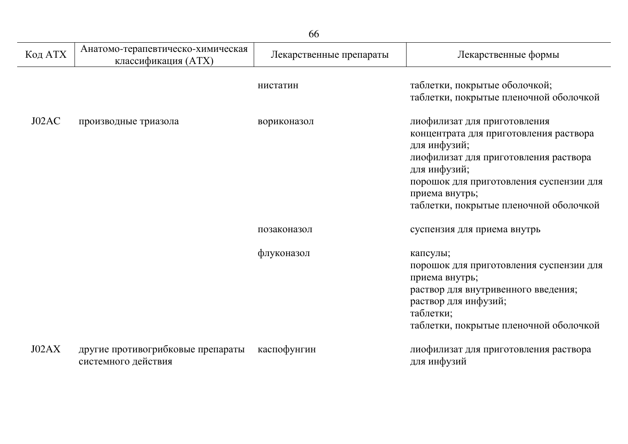|         | 66                                                       |                         |                                                                                                                                                                                                                                                        |  |  |
|---------|----------------------------------------------------------|-------------------------|--------------------------------------------------------------------------------------------------------------------------------------------------------------------------------------------------------------------------------------------------------|--|--|
| Код АТХ | Анатомо-терапевтическо-химическая<br>классификация (ATX) | Лекарственные препараты | Лекарственные формы                                                                                                                                                                                                                                    |  |  |
|         |                                                          | нистатин                | таблетки, покрытые оболочкой;<br>таблетки, покрытые пленочной оболочкой                                                                                                                                                                                |  |  |
| J02AC   | производные триазола                                     | вориконазол             | лиофилизат для приготовления<br>концентрата для приготовления раствора<br>для инфузий;<br>лиофилизат для приготовления раствора<br>для инфузий;<br>порошок для приготовления суспензии для<br>приема внутрь;<br>таблетки, покрытые пленочной оболочкой |  |  |
|         |                                                          | позаконазол             | суспензия для приема внутрь                                                                                                                                                                                                                            |  |  |
|         |                                                          | флуконазол              | капсулы;<br>порошок для приготовления суспензии для<br>приема внутрь;<br>раствор для внутривенного введения;<br>раствор для инфузий;<br>таблетки;<br>таблетки, покрытые пленочной оболочкой                                                            |  |  |
| J02AX   | другие противогрибковые препараты<br>системного действия | каспофунгин             | лиофилизат для приготовления раствора<br>для инфузий                                                                                                                                                                                                   |  |  |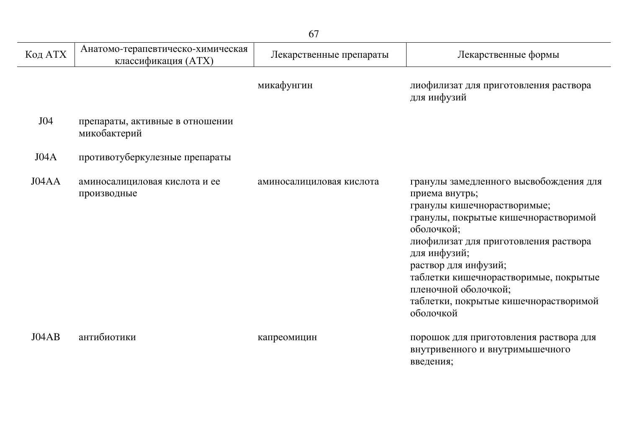| Код АТХ | Анатомо-терапевтическо-химическая<br>классификация (ATX) | Лекарственные препараты  | Лекарственные формы                                                                                                                                                                                                                                                                                                                                   |
|---------|----------------------------------------------------------|--------------------------|-------------------------------------------------------------------------------------------------------------------------------------------------------------------------------------------------------------------------------------------------------------------------------------------------------------------------------------------------------|
|         |                                                          | микафунгин               | лиофилизат для приготовления раствора<br>для инфузий                                                                                                                                                                                                                                                                                                  |
| J04     | препараты, активные в отношении<br>микобактерий          |                          |                                                                                                                                                                                                                                                                                                                                                       |
| J04A    | противотуберкулезные препараты                           |                          |                                                                                                                                                                                                                                                                                                                                                       |
| J04AA   | аминосалициловая кислота и ее<br>производные             | аминосалициловая кислота | гранулы замедленного высвобождения для<br>приема внутрь;<br>гранулы кишечнорастворимые;<br>гранулы, покрытые кишечнорастворимой<br>оболочкой;<br>лиофилизат для приготовления раствора<br>для инфузий;<br>раствор для инфузий;<br>таблетки кишечнорастворимые, покрытые<br>пленочной оболочкой;<br>таблетки, покрытые кишечнорастворимой<br>оболочкой |
| J04AB   | антибиотики                                              | капреомицин              | порошок для приготовления раствора для<br>внутривенного и внутримышечного<br>введения;                                                                                                                                                                                                                                                                |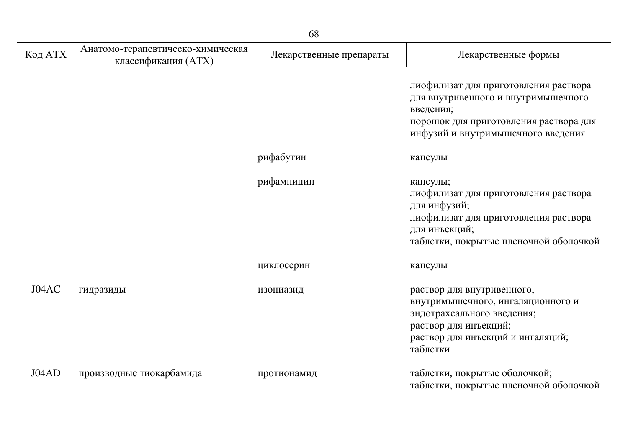| Код АТХ | Анатомо-терапевтическо-химическая<br>классификация (ATX) | Лекарственные препараты | Лекарственные формы                                                                                                                                                       |
|---------|----------------------------------------------------------|-------------------------|---------------------------------------------------------------------------------------------------------------------------------------------------------------------------|
|         |                                                          |                         | лиофилизат для приготовления раствора<br>для внутривенного и внутримышечного<br>введения;<br>порошок для приготовления раствора для<br>инфузий и внутримышечного введения |
|         |                                                          | рифабутин               | капсулы                                                                                                                                                                   |
|         |                                                          | рифампицин              | капсулы;<br>лиофилизат для приготовления раствора<br>для инфузий;<br>лиофилизат для приготовления раствора<br>для инъекций;<br>таблетки, покрытые пленочной оболочкой     |
|         |                                                          | циклосерин              | капсулы                                                                                                                                                                   |
| J04AC   | гидразиды                                                | изониазид               | раствор для внутривенного,<br>внутримышечного, ингаляционного и<br>эндотрахеального введения;<br>раствор для инъекций;<br>раствор для инъекций и ингаляций;<br>таблетки   |
| J04AD   | производные тиокарбамида                                 | протионамид             | таблетки, покрытые оболочкой;<br>таблетки, покрытые пленочной оболочкой                                                                                                   |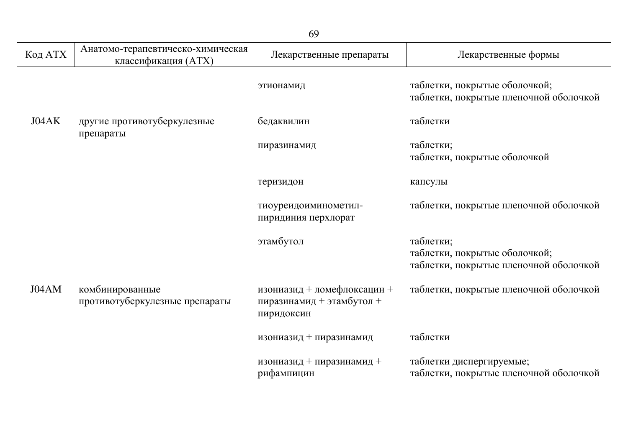|         | 69                                                       |                                                                        |                                                                                      |  |
|---------|----------------------------------------------------------|------------------------------------------------------------------------|--------------------------------------------------------------------------------------|--|
| Код АТХ | Анатомо-терапевтическо-химическая<br>классификация (ATX) | Лекарственные препараты                                                | Лекарственные формы                                                                  |  |
|         |                                                          | этионамид                                                              | таблетки, покрытые оболочкой;<br>таблетки, покрытые пленочной оболочкой              |  |
| J04AK   | другие противотуберкулезные<br>препараты                 | бедаквилин                                                             | таблетки                                                                             |  |
|         |                                                          | пиразинамид                                                            | таблетки;<br>таблетки, покрытые оболочкой                                            |  |
|         |                                                          | теризидон                                                              | капсулы                                                                              |  |
|         |                                                          | тиоуреидоиминометил-<br>пиридиния перхлорат                            | таблетки, покрытые пленочной оболочкой                                               |  |
|         |                                                          | этамбутол                                                              | таблетки;<br>таблетки, покрытые оболочкой;<br>таблетки, покрытые пленочной оболочкой |  |
| J04AM   | комбинированные<br>противотуберкулезные препараты        | изониазид + ломефлоксацин +<br>пиразинамид + этамбутол +<br>пиридоксин | таблетки, покрытые пленочной оболочкой                                               |  |
|         |                                                          | изониазид + пиразинамид                                                | таблетки                                                                             |  |
|         |                                                          | изониазид + пиразинамид +<br>рифампицин                                | таблетки диспергируемые;<br>таблетки, покрытые пленочной оболочкой                   |  |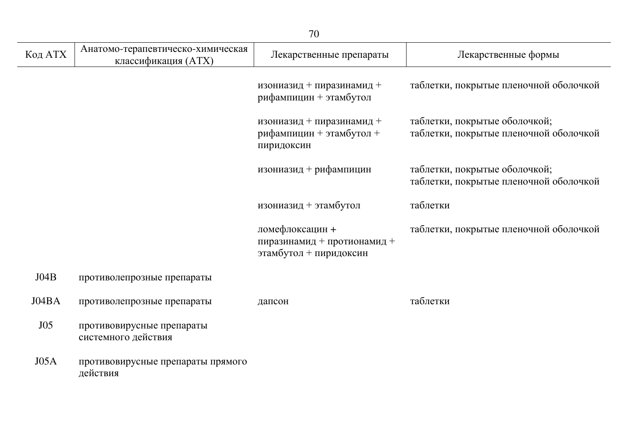|         |                                                          | 70                                                                       |                                                                         |
|---------|----------------------------------------------------------|--------------------------------------------------------------------------|-------------------------------------------------------------------------|
| Код АТХ | Анатомо-терапевтическо-химическая<br>классификация (ATX) | Лекарственные препараты                                                  | Лекарственные формы                                                     |
|         |                                                          | изониазид + пиразинамид +<br>рифампицин + этамбутол                      | таблетки, покрытые пленочной оболочкой                                  |
|         |                                                          | изониазид + пиразинамид +<br>рифампицин + этамбутол +<br>пиридоксин      | таблетки, покрытые оболочкой;<br>таблетки, покрытые пленочной оболочкой |
|         |                                                          | изониазид + рифампицин                                                   | таблетки, покрытые оболочкой;<br>таблетки, покрытые пленочной оболочкой |
|         |                                                          | изониазид + этамбутол                                                    | таблетки                                                                |
|         |                                                          | ломефлоксацин +<br>пиразинамид + протионамид +<br>этамбутол + пиридоксин | таблетки, покрытые пленочной оболочкой                                  |
| J04B    | противолепрозные препараты                               |                                                                          |                                                                         |
| J04BA   | противолепрозные препараты                               | дапсон                                                                   | таблетки                                                                |
| J05     | противовирусные препараты<br>системного действия         |                                                                          |                                                                         |
| JO5A    | противовирусные препараты прямого<br>действия            |                                                                          |                                                                         |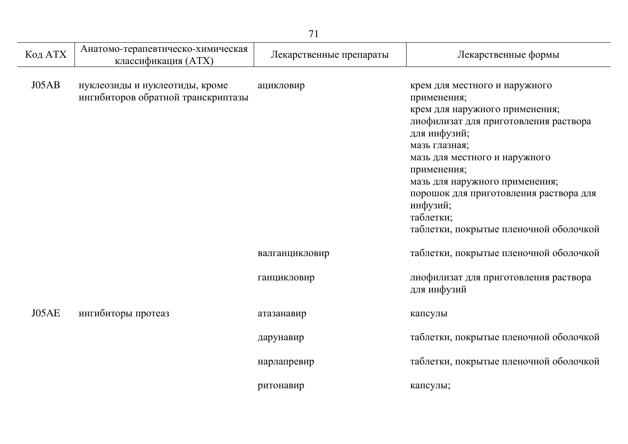|         |                                                                      | 71                      |                                                                                                                                                                                                                                                                                                                                                         |
|---------|----------------------------------------------------------------------|-------------------------|---------------------------------------------------------------------------------------------------------------------------------------------------------------------------------------------------------------------------------------------------------------------------------------------------------------------------------------------------------|
| Код АТХ | Анатомо-терапевтическо-химическая<br>классификация (ATX)             | Лекарственные препараты | Лекарственные формы                                                                                                                                                                                                                                                                                                                                     |
| JO5AB   | нуклеозиды и нуклеотиды, кроме<br>ингибиторов обратной транскриптазы | ацикловир               | крем для местного и наружного<br>применения;<br>крем для наружного применения;<br>лиофилизат для приготовления раствора<br>для инфузий;<br>мазь глазная;<br>мазь для местного и наружного<br>применения;<br>мазь для наружного применения;<br>порошок для приготовления раствора для<br>инфузий;<br>таблетки;<br>таблетки, покрытые пленочной оболочкой |
|         |                                                                      | валганцикловир          | таблетки, покрытые пленочной оболочкой                                                                                                                                                                                                                                                                                                                  |
|         |                                                                      | ганцикловир             | лиофилизат для приготовления раствора<br>для инфузий                                                                                                                                                                                                                                                                                                    |
| J05AE   | ингибиторы протеаз                                                   | атазанавир              | капсулы                                                                                                                                                                                                                                                                                                                                                 |
|         |                                                                      | дарунавир               | таблетки, покрытые пленочной оболочкой                                                                                                                                                                                                                                                                                                                  |
|         |                                                                      | нарлапревир             | таблетки, покрытые пленочной оболочкой                                                                                                                                                                                                                                                                                                                  |
|         |                                                                      | ритонавир               | капсулы;                                                                                                                                                                                                                                                                                                                                                |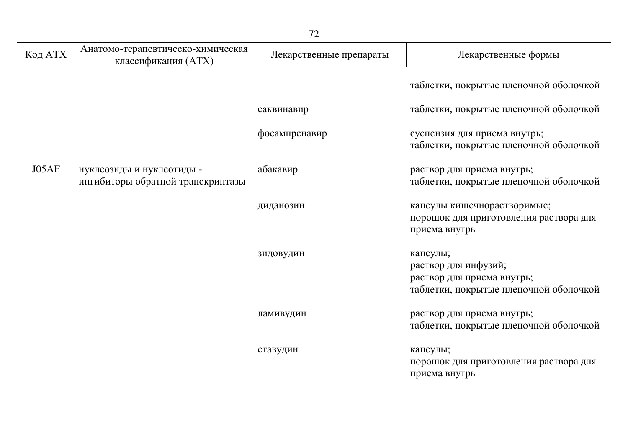| Код АТХ | Анатомо-терапевтическо-химическая<br>классификация (ATX)       | Лекарственные препараты | Лекарственные формы                                                                                      |
|---------|----------------------------------------------------------------|-------------------------|----------------------------------------------------------------------------------------------------------|
|         |                                                                |                         | таблетки, покрытые пленочной оболочкой                                                                   |
|         |                                                                | саквинавир              | таблетки, покрытые пленочной оболочкой                                                                   |
|         |                                                                | фосампренавир           | суспензия для приема внутрь;<br>таблетки, покрытые пленочной оболочкой                                   |
| JO5AF   | нуклеозиды и нуклеотиды -<br>ингибиторы обратной транскриптазы | абакавир                | раствор для приема внутрь;<br>таблетки, покрытые пленочной оболочкой                                     |
|         |                                                                | диданозин               | капсулы кишечнорастворимые;<br>порошок для приготовления раствора для<br>приема внутрь                   |
|         |                                                                | зидовудин               | капсулы;<br>раствор для инфузий;<br>раствор для приема внутрь;<br>таблетки, покрытые пленочной оболочкой |
|         |                                                                | ламивудин               | раствор для приема внутрь;<br>таблетки, покрытые пленочной оболочкой                                     |
|         |                                                                | ставудин                | капсулы;<br>порошок для приготовления раствора для<br>приема внутрь                                      |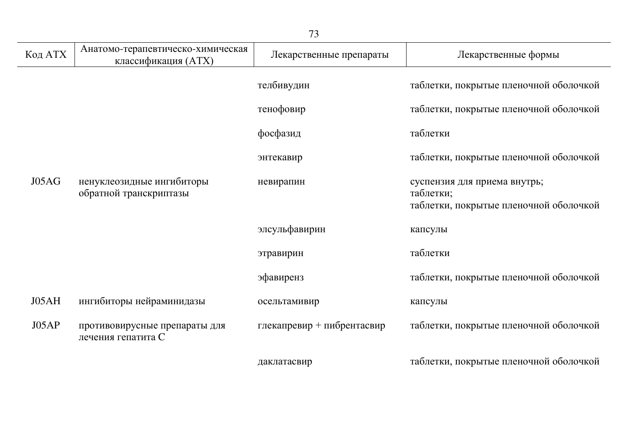|         |                                                          | 73                         |                                                                                     |
|---------|----------------------------------------------------------|----------------------------|-------------------------------------------------------------------------------------|
| Код АТХ | Анатомо-терапевтическо-химическая<br>классификация (ATX) | Лекарственные препараты    | Лекарственные формы                                                                 |
|         |                                                          | телбивудин                 | таблетки, покрытые пленочной оболочкой                                              |
|         |                                                          | тенофовир                  | таблетки, покрытые пленочной оболочкой                                              |
|         |                                                          | фосфазид                   | таблетки                                                                            |
|         |                                                          | энтекавир                  | таблетки, покрытые пленочной оболочкой                                              |
| J05AG   | ненуклеозидные ингибиторы<br>обратной транскриптазы      | невирапин                  | суспензия для приема внутрь;<br>таблетки;<br>таблетки, покрытые пленочной оболочкой |
|         |                                                          | элсульфавирин              | капсулы                                                                             |
|         |                                                          | этравирин                  | таблетки                                                                            |
|         |                                                          | эфавиренз                  | таблетки, покрытые пленочной оболочкой                                              |
| J05AH   | ингибиторы нейраминидазы                                 | осельтамивир               | капсулы                                                                             |
| J05AP   | противовирусные препараты для<br>лечения гепатита С      | глекапревир + пибрентасвир | таблетки, покрытые пленочной оболочкой                                              |
|         |                                                          | даклатасвир                | таблетки, покрытые пленочной оболочкой                                              |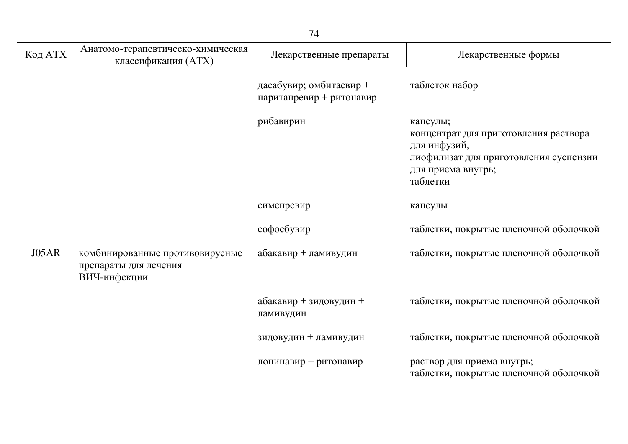| Код АТХ | Анатомо-терапевтическо-химическая<br>классификация (ATX)                 | Лекарственные препараты                             | Лекарственные формы                                                                                                                           |
|---------|--------------------------------------------------------------------------|-----------------------------------------------------|-----------------------------------------------------------------------------------------------------------------------------------------------|
|         |                                                                          | дасабувир; омбитасвир +<br>паритапревир + ритонавир | таблеток набор                                                                                                                                |
|         |                                                                          | рибавирин                                           | капсулы;<br>концентрат для приготовления раствора<br>для инфузий;<br>лиофилизат для приготовления суспензии<br>для приема внутрь;<br>таблетки |
|         |                                                                          | симепревир                                          | капсулы                                                                                                                                       |
|         |                                                                          | софосбувир                                          | таблетки, покрытые пленочной оболочкой                                                                                                        |
| J05AR   | комбинированные противовирусные<br>препараты для лечения<br>ВИЧ-инфекции | абакавир + ламивудин                                | таблетки, покрытые пленочной оболочкой                                                                                                        |
|         |                                                                          | абакавир + зидовудин +<br>ламивудин                 | таблетки, покрытые пленочной оболочкой                                                                                                        |
|         |                                                                          | зидовудин + ламивудин                               | таблетки, покрытые пленочной оболочкой                                                                                                        |
|         |                                                                          | лопинавир + ритонавир                               | раствор для приема внутрь;<br>таблетки, покрытые пленочной оболочкой                                                                          |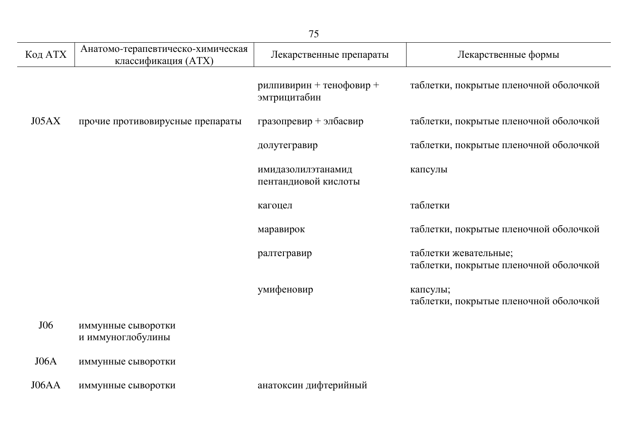|         | 75                                                       |                                            |                                                                 |  |
|---------|----------------------------------------------------------|--------------------------------------------|-----------------------------------------------------------------|--|
| Код АТХ | Анатомо-терапевтическо-химическая<br>классификация (ATX) | Лекарственные препараты                    | Лекарственные формы                                             |  |
|         |                                                          | рилпивирин + тенофовир +<br>эмтрицитабин   | таблетки, покрытые пленочной оболочкой                          |  |
| J05AX   | прочие противовирусные препараты                         | гразопревир + элбасвир                     | таблетки, покрытые пленочной оболочкой                          |  |
|         |                                                          | долутегравир                               | таблетки, покрытые пленочной оболочкой                          |  |
|         |                                                          | имидазолилэтанамид<br>пентандиовой кислоты | капсулы                                                         |  |
|         |                                                          | кагоцел                                    | таблетки                                                        |  |
|         |                                                          | маравирок                                  | таблетки, покрытые пленочной оболочкой                          |  |
|         |                                                          | ралтегравир                                | таблетки жевательные;<br>таблетки, покрытые пленочной оболочкой |  |
|         |                                                          | умифеновир                                 | капсулы;<br>таблетки, покрытые пленочной оболочкой              |  |
| J06     | иммунные сыворотки<br>и иммуноглобулины                  |                                            |                                                                 |  |
| J06A    | иммунные сыворотки                                       |                                            |                                                                 |  |
| J06AA   | иммунные сыворотки                                       | анатоксин дифтерийный                      |                                                                 |  |

L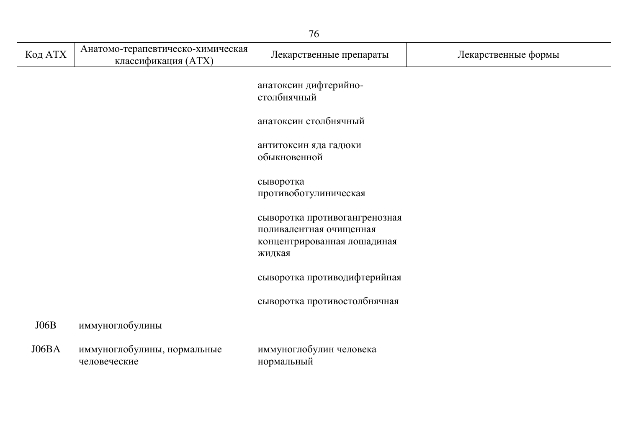|         | 76                                                       |                                                                                                   |                     |  |
|---------|----------------------------------------------------------|---------------------------------------------------------------------------------------------------|---------------------|--|
| Код АТХ | Анатомо-терапевтическо-химическая<br>классификация (ATX) | Лекарственные препараты                                                                           | Лекарственные формы |  |
|         |                                                          | анатоксин дифтерийно-<br>столбнячный                                                              |                     |  |
|         |                                                          | анатоксин столбнячный                                                                             |                     |  |
|         |                                                          | антитоксин яда гадюки<br>обыкновенной                                                             |                     |  |
|         |                                                          | сыворотка<br>противоботулиническая                                                                |                     |  |
|         |                                                          | сыворотка противогангренозная<br>поливалентная очищенная<br>концентрированная лошадиная<br>жидкая |                     |  |
|         |                                                          | сыворотка противодифтерийная                                                                      |                     |  |
|         |                                                          | сыворотка противостолбнячная                                                                      |                     |  |
| J06B    | иммуноглобулины                                          |                                                                                                   |                     |  |
| J06BA   | иммуноглобулины, нормальные<br>человеческие              | иммуноглобулин человека<br>нормальный                                                             |                     |  |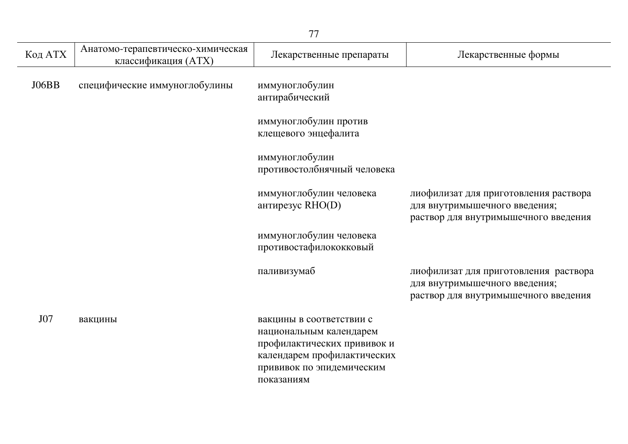|         |                                                          | 77                                                                                                                                                           |                                                                                                                |
|---------|----------------------------------------------------------|--------------------------------------------------------------------------------------------------------------------------------------------------------------|----------------------------------------------------------------------------------------------------------------|
| Код АТХ | Анатомо-терапевтическо-химическая<br>классификация (ATX) | Лекарственные препараты                                                                                                                                      | Лекарственные формы                                                                                            |
| J06BB   | специфические иммуноглобулины                            | иммуноглобулин<br>антирабический                                                                                                                             |                                                                                                                |
|         |                                                          | иммуноглобулин против<br>клещевого энцефалита                                                                                                                |                                                                                                                |
|         |                                                          | иммуноглобулин<br>противостолбнячный человека                                                                                                                |                                                                                                                |
|         |                                                          | иммуноглобулин человека<br>антирезус RHO(D)                                                                                                                  | лиофилизат для приготовления раствора<br>для внутримышечного введения;<br>раствор для внутримышечного введения |
|         |                                                          | иммуноглобулин человека<br>противостафилококковый                                                                                                            |                                                                                                                |
|         |                                                          | паливизумаб                                                                                                                                                  | лиофилизат для приготовления раствора<br>для внутримышечного введения;<br>раствор для внутримышечного введения |
| J07     | вакцины                                                  | вакцины в соответствии с<br>национальным календарем<br>профилактических прививок и<br>календарем профилактических<br>прививок по эпидемическим<br>показаниям |                                                                                                                |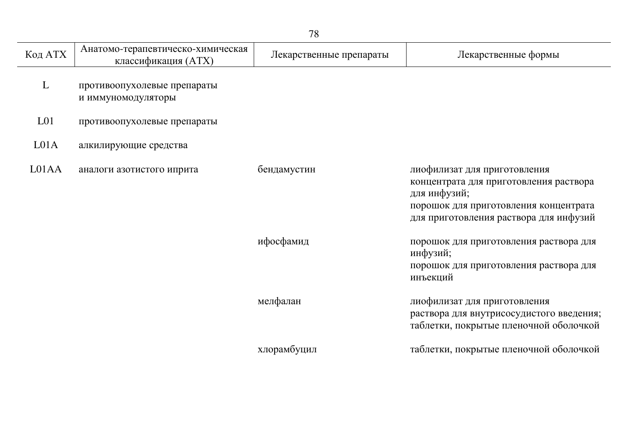| Код АТХ          | Анатомо-терапевтическо-химическая<br>классификация (ATX) | Лекарственные препараты | Лекарственные формы                                                                                                                                                       |
|------------------|----------------------------------------------------------|-------------------------|---------------------------------------------------------------------------------------------------------------------------------------------------------------------------|
| L                | противоопухолевые препараты<br>и иммуномодуляторы        |                         |                                                                                                                                                                           |
| L <sub>01</sub>  | противоопухолевые препараты                              |                         |                                                                                                                                                                           |
| L <sub>01A</sub> | алкилирующие средства                                    |                         |                                                                                                                                                                           |
| L01AA            | аналоги азотистого иприта                                | бендамустин             | лиофилизат для приготовления<br>концентрата для приготовления раствора<br>для инфузий;<br>порошок для приготовления концентрата<br>для приготовления раствора для инфузий |
|                  |                                                          | ифосфамид               | порошок для приготовления раствора для<br>инфузий;<br>порошок для приготовления раствора для<br>инъекций                                                                  |
|                  |                                                          | мелфалан                | лиофилизат для приготовления<br>раствора для внутрисосудистого введения;<br>таблетки, покрытые пленочной оболочкой                                                        |
|                  |                                                          | хлорамбуцил             | таблетки, покрытые пленочной оболочкой                                                                                                                                    |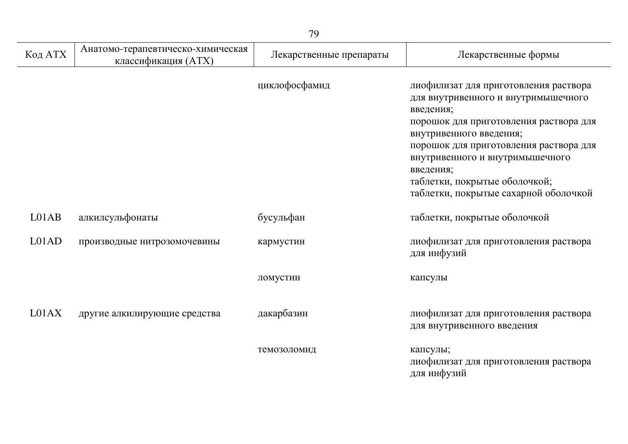| Код АТХ            | Анатомо-терапевтическо-химическая<br>классификация (ATX) | Лекарственные препараты | Лекарственные формы                                                                                                                                                                                                                                                                                                                |
|--------------------|----------------------------------------------------------|-------------------------|------------------------------------------------------------------------------------------------------------------------------------------------------------------------------------------------------------------------------------------------------------------------------------------------------------------------------------|
|                    |                                                          | циклофосфамид           | лиофилизат для приготовления раствора<br>для внутривенного и внутримышечного<br>введения;<br>порошок для приготовления раствора для<br>внутривенного введения;<br>порошок для приготовления раствора для<br>внутривенного и внутримышечного<br>введения;<br>таблетки, покрытые оболочкой;<br>таблетки, покрытые сахарной оболочкой |
| LO <sub>1</sub> AB | алкилсульфонаты                                          | бусульфан               | таблетки, покрытые оболочкой                                                                                                                                                                                                                                                                                                       |
| LO1AD              | производные нитрозомочевины                              | кармустин               | лиофилизат для приготовления раствора<br>для инфузий                                                                                                                                                                                                                                                                               |
|                    |                                                          | ломустин                | капсулы                                                                                                                                                                                                                                                                                                                            |
| L01AX              | другие алкилирующие средства                             | дакарбазин              | лиофилизат для приготовления раствора<br>для внутривенного введения                                                                                                                                                                                                                                                                |
|                    |                                                          | темозоломид             | капсулы;<br>лиофилизат для приготовления раствора<br>для инфузий                                                                                                                                                                                                                                                                   |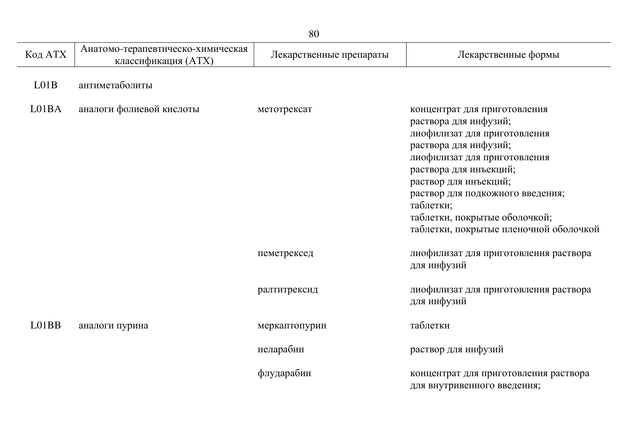| Код АТХ | Анатомо-терапевтическо-химическая<br>классификация (ATX) | Лекарственные препараты | Лекарственные формы                                                                                                                                                                                                                                                                                                           |
|---------|----------------------------------------------------------|-------------------------|-------------------------------------------------------------------------------------------------------------------------------------------------------------------------------------------------------------------------------------------------------------------------------------------------------------------------------|
| LO1B    | антиметаболиты                                           |                         |                                                                                                                                                                                                                                                                                                                               |
| L01BA   | аналоги фолиевой кислоты                                 | метотрексат             | концентрат для приготовления<br>раствора для инфузий;<br>лиофилизат для приготовления<br>раствора для инфузий;<br>лиофилизат для приготовления<br>раствора для инъекций;<br>раствор для инъекций;<br>раствор для подкожного введения;<br>таблетки;<br>таблетки, покрытые оболочкой;<br>таблетки, покрытые пленочной оболочкой |
|         |                                                          | пеметрексед             | лиофилизат для приготовления раствора<br>для инфузий                                                                                                                                                                                                                                                                          |
|         |                                                          | ралтитрексид            | лиофилизат для приготовления раствора<br>для инфузий                                                                                                                                                                                                                                                                          |
| L01BB   | аналоги пурина                                           | меркаптопурин           | таблетки                                                                                                                                                                                                                                                                                                                      |
|         |                                                          | неларабин               | раствор для инфузий                                                                                                                                                                                                                                                                                                           |
|         |                                                          | флударабин              | концентрат для приготовления раствора<br>для внутривенного введения;                                                                                                                                                                                                                                                          |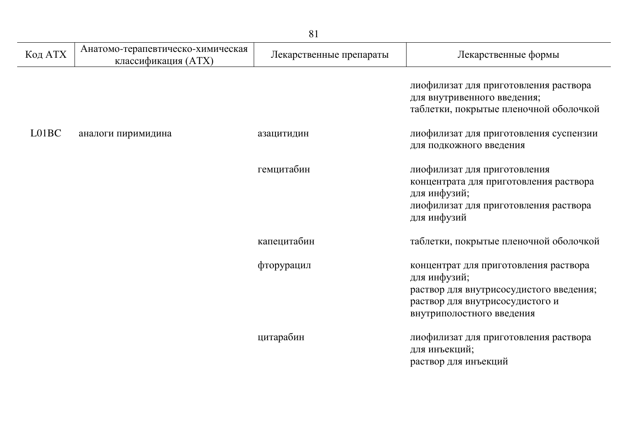| Код АТХ | Анатомо-терапевтическо-химическая<br>классификация (ATX) | Лекарственные препараты | Лекарственные формы                                                                                                                                              |
|---------|----------------------------------------------------------|-------------------------|------------------------------------------------------------------------------------------------------------------------------------------------------------------|
|         |                                                          |                         | лиофилизат для приготовления раствора<br>для внутривенного введения;<br>таблетки, покрытые пленочной оболочкой                                                   |
| L01BC   | аналоги пиримидина                                       | азацитидин              | лиофилизат для приготовления суспензии<br>для подкожного введения                                                                                                |
|         |                                                          | гемцитабин              | лиофилизат для приготовления<br>концентрата для приготовления раствора<br>для инфузий;<br>лиофилизат для приготовления раствора<br>для инфузий                   |
|         |                                                          | капецитабин             | таблетки, покрытые пленочной оболочкой                                                                                                                           |
|         |                                                          | фторурацил              | концентрат для приготовления раствора<br>для инфузий;<br>раствор для внутрисосудистого введения;<br>раствор для внутрисосудистого и<br>внутриполостного введения |
|         |                                                          | цитарабин               | лиофилизат для приготовления раствора<br>для инъекций;<br>раствор для инъекций                                                                                   |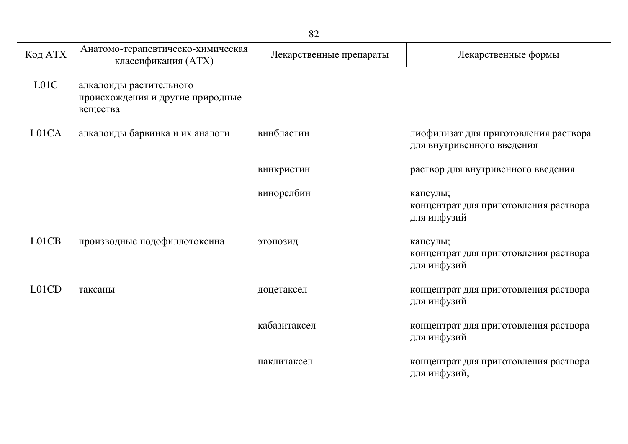|                   |                                                                         | 82                      |                                                                     |
|-------------------|-------------------------------------------------------------------------|-------------------------|---------------------------------------------------------------------|
| Код АТХ           | Анатомо-терапевтическо-химическая<br>классификация (ATX)                | Лекарственные препараты | Лекарственные формы                                                 |
| L <sub>01</sub> C | алкалоиды растительного<br>происхождения и другие природные<br>вещества |                         |                                                                     |
| L01CA             | алкалоиды барвинка и их аналоги                                         | винбластин              | лиофилизат для приготовления раствора<br>для внутривенного введения |
|                   |                                                                         | винкристин              | раствор для внутривенного введения                                  |
|                   |                                                                         | винорелбин              | капсулы;<br>концентрат для приготовления раствора<br>для инфузий    |
| L01CB             | производные подофиллотоксина                                            | этопозид                | капсулы;<br>концентрат для приготовления раствора<br>для инфузий    |
| L01CD             | таксаны                                                                 | доцетаксел              | концентрат для приготовления раствора<br>для инфузий                |
|                   |                                                                         | кабазитаксел            | концентрат для приготовления раствора<br>для инфузий                |
|                   |                                                                         | паклитаксел             | концентрат для приготовления раствора<br>для инфузий;               |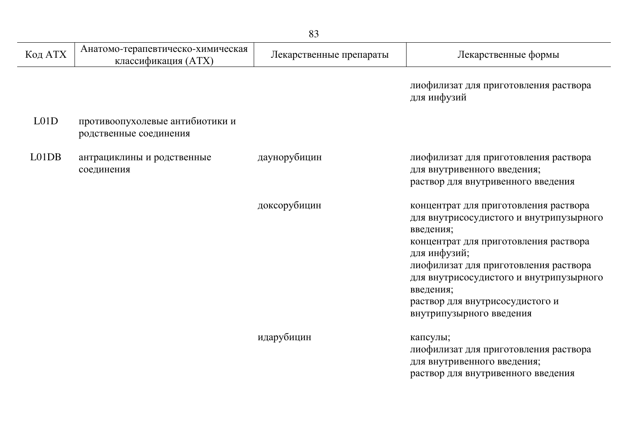| Код АТХ | Анатомо-терапевтическо-химическая<br>классификация (ATX)  | Лекарственные препараты | Лекарственные формы                                                                                                                                                                                                                                                                                                    |
|---------|-----------------------------------------------------------|-------------------------|------------------------------------------------------------------------------------------------------------------------------------------------------------------------------------------------------------------------------------------------------------------------------------------------------------------------|
|         |                                                           |                         | лиофилизат для приготовления раствора<br>для инфузий                                                                                                                                                                                                                                                                   |
| L01D    | противоопухолевые антибиотики и<br>родственные соединения |                         |                                                                                                                                                                                                                                                                                                                        |
| L01DB   | антрациклины и родственные<br>соединения                  | даунорубицин            | лиофилизат для приготовления раствора<br>для внутривенного введения;<br>раствор для внутривенного введения                                                                                                                                                                                                             |
|         |                                                           | доксорубицин            | концентрат для приготовления раствора<br>для внутрисосудистого и внутрипузырного<br>введения;<br>концентрат для приготовления раствора<br>для инфузий;<br>лиофилизат для приготовления раствора<br>для внутрисосудистого и внутрипузырного<br>введения;<br>раствор для внутрисосудистого и<br>внутрипузырного введения |
|         |                                                           | идарубицин              | капсулы;<br>лиофилизат для приготовления раствора<br>для внутривенного введения;<br>раствор для внутривенного введения                                                                                                                                                                                                 |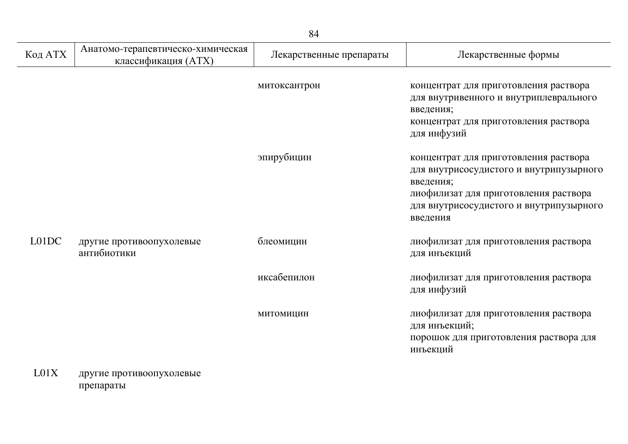| Код АТХ | Анатомо-терапевтическо-химическая<br>классификация (ATX) | Лекарственные препараты | Лекарственные формы                                                                                                                                                                           |
|---------|----------------------------------------------------------|-------------------------|-----------------------------------------------------------------------------------------------------------------------------------------------------------------------------------------------|
|         |                                                          | митоксантрон            | концентрат для приготовления раствора<br>для внутривенного и внутриплеврального<br>введения;<br>концентрат для приготовления раствора<br>для инфузий                                          |
|         |                                                          | эпирубицин              | концентрат для приготовления раствора<br>для внутрисосудистого и внутрипузырного<br>введения;<br>лиофилизат для приготовления раствора<br>для внутрисосудистого и внутрипузырного<br>введения |
| L01DC   | другие противоопухолевые<br>антибиотики                  | блеомицин               | лиофилизат для приготовления раствора<br>для инъекций                                                                                                                                         |
|         |                                                          | иксабепилон             | лиофилизат для приготовления раствора<br>для инфузий                                                                                                                                          |
|         |                                                          | МИТОМИЦИН               | лиофилизат для приготовления раствора<br>для инъекций;<br>порошок для приготовления раствора для<br>инъекций                                                                                  |

L01X другие противоопухолевые препараты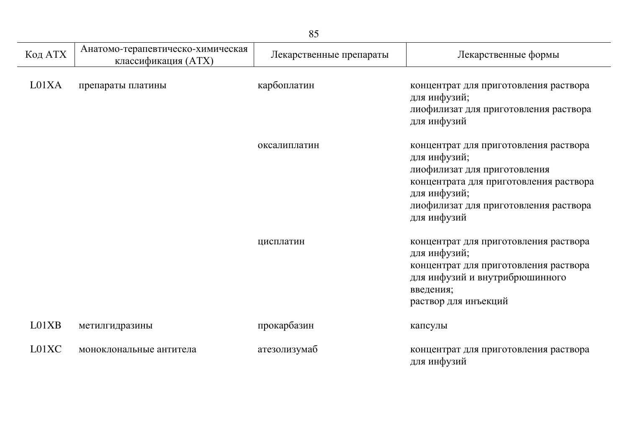| Код АТХ | Анатомо-терапевтическо-химическая<br>классификация (ATX) | Лекарственные препараты | Лекарственные формы                                                                                                                                                                                     |
|---------|----------------------------------------------------------|-------------------------|---------------------------------------------------------------------------------------------------------------------------------------------------------------------------------------------------------|
| L01XA   | препараты платины                                        | карбоплатин             | концентрат для приготовления раствора<br>для инфузий;<br>лиофилизат для приготовления раствора<br>для инфузий                                                                                           |
|         |                                                          | оксалиплатин            | концентрат для приготовления раствора<br>для инфузий;<br>лиофилизат для приготовления<br>концентрата для приготовления раствора<br>для инфузий;<br>лиофилизат для приготовления раствора<br>для инфузий |
|         |                                                          | цисплатин               | концентрат для приготовления раствора<br>для инфузий;<br>концентрат для приготовления раствора<br>для инфузий и внутрибрюшинного<br>введения;<br>раствор для инъекций                                   |
| L01XB   | метилгидразины                                           | прокарбазин             | капсулы                                                                                                                                                                                                 |
| L01XC   | моноклональные антитела                                  | атезолизумаб            | концентрат для приготовления раствора<br>для инфузий                                                                                                                                                    |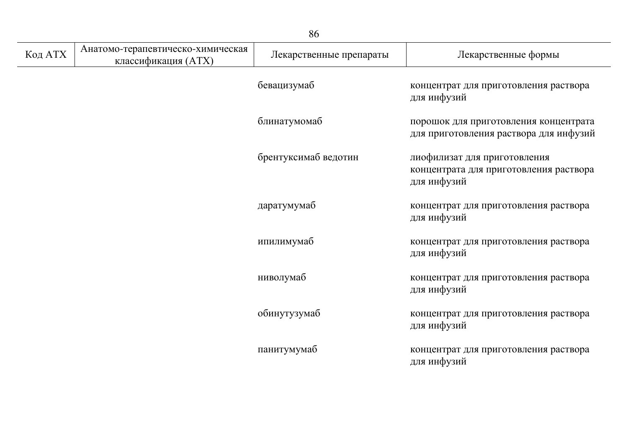|         |                                                          | 86                      |                                                                                       |
|---------|----------------------------------------------------------|-------------------------|---------------------------------------------------------------------------------------|
| Код АТХ | Анатомо-терапевтическо-химическая<br>классификация (ATX) | Лекарственные препараты | Лекарственные формы                                                                   |
|         |                                                          | бевацизумаб             | концентрат для приготовления раствора<br>для инфузий                                  |
|         |                                                          | блинатумомаб            | порошок для приготовления концентрата<br>для приготовления раствора для инфузий       |
|         |                                                          | брентуксимаб ведотин    | лиофилизат для приготовления<br>концентрата для приготовления раствора<br>для инфузий |
|         |                                                          | даратумумаб             | концентрат для приготовления раствора<br>для инфузий                                  |
|         |                                                          | ипилимумаб              | концентрат для приготовления раствора<br>для инфузий                                  |
|         |                                                          | ниволумаб               | концентрат для приготовления раствора<br>для инфузий                                  |
|         |                                                          | обинутузумаб            | концентрат для приготовления раствора<br>для инфузий                                  |
|         |                                                          | панитумумаб             | концентрат для приготовления раствора<br>для инфузий                                  |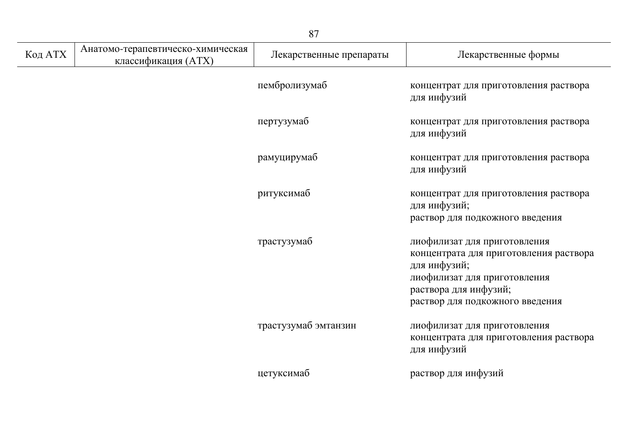|         |                                                          | 87                      |                                                                                                                                                                                    |
|---------|----------------------------------------------------------|-------------------------|------------------------------------------------------------------------------------------------------------------------------------------------------------------------------------|
| Код АТХ | Анатомо-терапевтическо-химическая<br>классификация (ATX) | Лекарственные препараты | Лекарственные формы                                                                                                                                                                |
|         |                                                          | пембролизумаб           | концентрат для приготовления раствора<br>для инфузий                                                                                                                               |
|         |                                                          | пертузумаб              | концентрат для приготовления раствора<br>для инфузий                                                                                                                               |
|         |                                                          | рамуцирумаб             | концентрат для приготовления раствора<br>для инфузий                                                                                                                               |
|         |                                                          | ритуксимаб              | концентрат для приготовления раствора<br>для инфузий;<br>раствор для подкожного введения                                                                                           |
|         |                                                          | трастузумаб             | лиофилизат для приготовления<br>концентрата для приготовления раствора<br>для инфузий;<br>лиофилизат для приготовления<br>раствора для инфузий;<br>раствор для подкожного введения |
|         |                                                          | трастузумаб эмтанзин    | лиофилизат для приготовления<br>концентрата для приготовления раствора<br>для инфузий                                                                                              |
|         |                                                          | цетуксимаб              | раствор для инфузий                                                                                                                                                                |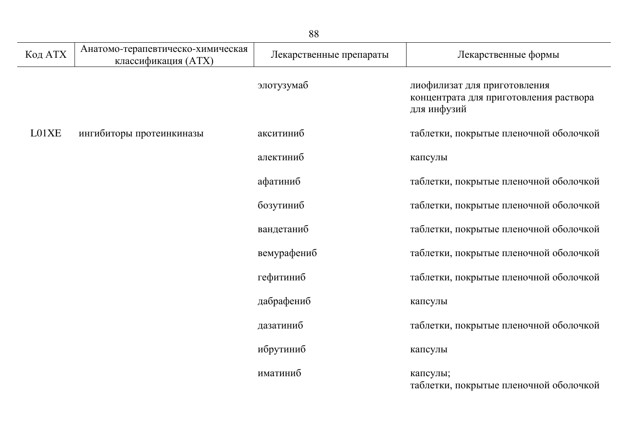|                 |                                                          | 88                      |                                                                                       |
|-----------------|----------------------------------------------------------|-------------------------|---------------------------------------------------------------------------------------|
| $\rm Ko\pi$ АТХ | Анатомо-терапевтическо-химическая<br>классификация (ATX) | Лекарственные препараты | Лекарственные формы                                                                   |
|                 |                                                          | элотузумаб              | лиофилизат для приготовления<br>концентрата для приготовления раствора<br>для инфузий |
| L01XE           | ингибиторы протеинкиназы                                 | акситиниб               | таблетки, покрытые пленочной оболочкой                                                |
|                 |                                                          | алектиниб               | капсулы                                                                               |
|                 |                                                          | афатиниб                | таблетки, покрытые пленочной оболочкой                                                |
|                 |                                                          | бозутиниб               | таблетки, покрытые пленочной оболочкой                                                |
|                 |                                                          | вандетаниб              | таблетки, покрытые пленочной оболочкой                                                |
|                 |                                                          | вемурафениб             | таблетки, покрытые пленочной оболочкой                                                |
|                 |                                                          | гефитиниб               | таблетки, покрытые пленочной оболочкой                                                |
|                 |                                                          | дабрафениб              | капсулы                                                                               |
|                 |                                                          | дазатиниб               | таблетки, покрытые пленочной оболочкой                                                |
|                 |                                                          | ибрутиниб               | капсулы                                                                               |
|                 |                                                          | иматиниб                | капсулы;<br>таблетки, покрытые пленочной оболочкой                                    |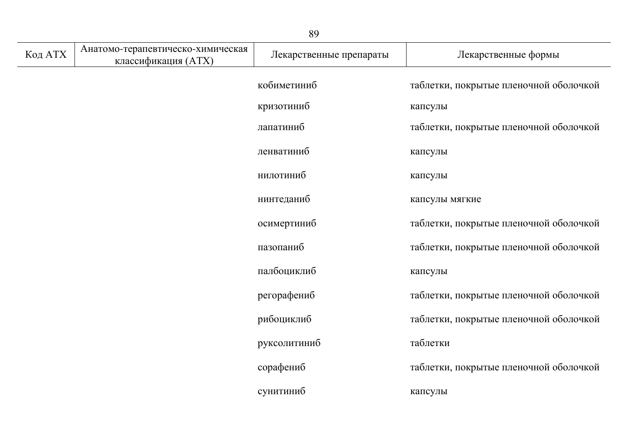| 89      |                                                          |                         |                                        |
|---------|----------------------------------------------------------|-------------------------|----------------------------------------|
| Код АТХ | Анатомо-терапевтическо-химическая<br>классификация (ATX) | Лекарственные препараты | Лекарственные формы                    |
|         |                                                          | кобиметиниб             | таблетки, покрытые пленочной оболочкой |
|         |                                                          | кризотиниб              | капсулы                                |
|         |                                                          | лапатиниб               | таблетки, покрытые пленочной оболочкой |
|         |                                                          | ленватиниб              | капсулы                                |
|         |                                                          | нилотиниб               | капсулы                                |
|         |                                                          | нинтеданиб              | капсулы мягкие                         |
|         |                                                          | осимертиниб             | таблетки, покрытые пленочной оболочкой |
|         |                                                          | пазопаниб               | таблетки, покрытые пленочной оболочкой |
|         |                                                          | палбоциклиб             | капсулы                                |
|         |                                                          | регорафениб             | таблетки, покрытые пленочной оболочкой |
|         |                                                          | рибоциклиб              | таблетки, покрытые пленочной оболочкой |
|         |                                                          | руксолитиниб            | таблетки                               |
|         |                                                          | сорафениб               | таблетки, покрытые пленочной оболочкой |
|         |                                                          | сунитиниб               | капсулы                                |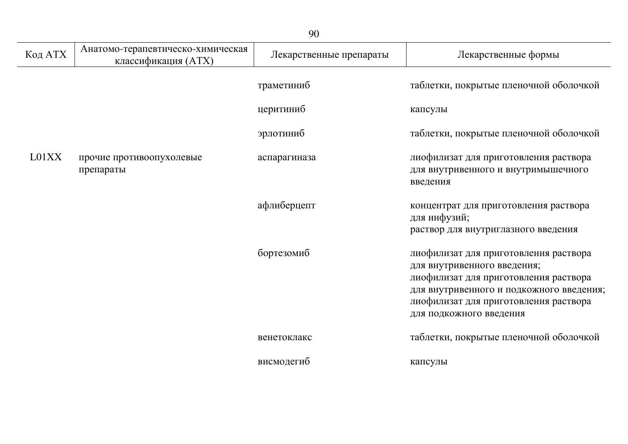| Код АТХ | Анатомо-терапевтическо-химическая<br>классификация (ATX) | Лекарственные препараты | Лекарственные формы                                                                                                                                                                                                           |
|---------|----------------------------------------------------------|-------------------------|-------------------------------------------------------------------------------------------------------------------------------------------------------------------------------------------------------------------------------|
|         |                                                          | траметиниб              | таблетки, покрытые пленочной оболочкой                                                                                                                                                                                        |
|         |                                                          | церитиниб               | капсулы                                                                                                                                                                                                                       |
|         |                                                          | эрлотиниб               | таблетки, покрытые пленочной оболочкой                                                                                                                                                                                        |
| L01XX   | прочие противоопухолевые<br>препараты                    | аспарагиназа            | лиофилизат для приготовления раствора<br>для внутривенного и внутримышечного<br>введения                                                                                                                                      |
|         |                                                          | афлиберцепт             | концентрат для приготовления раствора<br>для инфузий;<br>раствор для внутриглазного введения                                                                                                                                  |
|         |                                                          | бортезомиб              | лиофилизат для приготовления раствора<br>для внутривенного введения;<br>лиофилизат для приготовления раствора<br>для внутривенного и подкожного введения;<br>лиофилизат для приготовления раствора<br>для подкожного введения |
|         |                                                          | венетоклакс             | таблетки, покрытые пленочной оболочкой                                                                                                                                                                                        |
|         |                                                          | висмодегиб              | капсулы                                                                                                                                                                                                                       |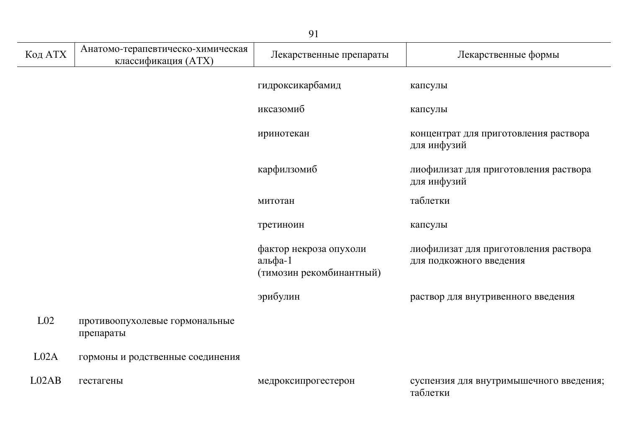|                 |                                                          | 91                                                            |                                                                  |
|-----------------|----------------------------------------------------------|---------------------------------------------------------------|------------------------------------------------------------------|
| Код АТХ         | Анатомо-терапевтическо-химическая<br>классификация (ATX) | Лекарственные препараты                                       | Лекарственные формы                                              |
|                 |                                                          | гидроксикарбамид                                              | капсулы                                                          |
|                 |                                                          | иксазомиб                                                     | капсулы                                                          |
|                 |                                                          | иринотекан                                                    | концентрат для приготовления раствора<br>для инфузий             |
|                 |                                                          | карфилзомиб                                                   | лиофилизат для приготовления раствора<br>для инфузий             |
|                 |                                                          | митотан                                                       | таблетки                                                         |
|                 |                                                          | третиноин                                                     | капсулы                                                          |
|                 |                                                          | фактор некроза опухоли<br>альфа-1<br>(тимозин рекомбинантный) | лиофилизат для приготовления раствора<br>для подкожного введения |
|                 |                                                          | эрибулин                                                      | раствор для внутривенного введения                               |
| L <sub>02</sub> | противоопухолевые гормональные<br>препараты              |                                                               |                                                                  |
| LO2A            | гормоны и родственные соединения                         |                                                               |                                                                  |
| LO2AB           | гестагены                                                | медроксипрогестерон                                           | суспензия для внутримышечного введения;<br>таблетки              |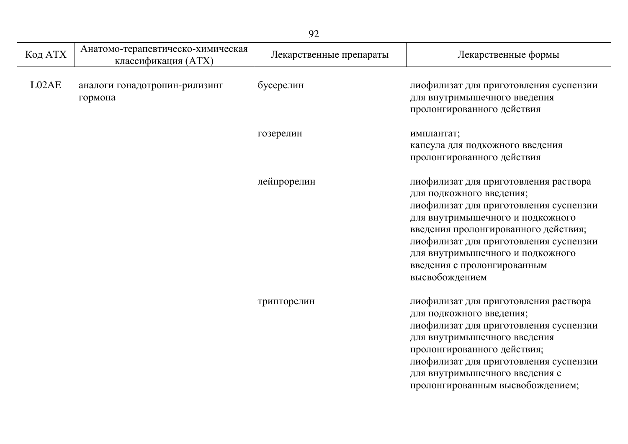| Код АТХ | Анатомо-терапевтическо-химическая<br>классификация (ATX) | Лекарственные препараты | Лекарственные формы                                                                                                                                                                                                                                                                                                    |
|---------|----------------------------------------------------------|-------------------------|------------------------------------------------------------------------------------------------------------------------------------------------------------------------------------------------------------------------------------------------------------------------------------------------------------------------|
| L02AE   | аналоги гонадотропин-рилизинг<br>гормона                 | бусерелин               | лиофилизат для приготовления суспензии<br>для внутримышечного введения<br>пролонгированного действия                                                                                                                                                                                                                   |
|         |                                                          | гозерелин               | имплантат;<br>капсула для подкожного введения<br>пролонгированного действия                                                                                                                                                                                                                                            |
|         |                                                          | лейпрорелин             | лиофилизат для приготовления раствора<br>для подкожного введения;<br>лиофилизат для приготовления суспензии<br>для внутримышечного и подкожного<br>введения пролонгированного действия;<br>лиофилизат для приготовления суспензии<br>для внутримышечного и подкожного<br>введения с пролонгированным<br>высвобождением |
|         |                                                          | трипторелин             | лиофилизат для приготовления раствора<br>для подкожного введения;<br>лиофилизат для приготовления суспензии<br>для внутримышечного введения<br>пролонгированного действия;<br>лиофилизат для приготовления суспензии<br>для внутримышечного введения с<br>пролонгированным высвобождением;                             |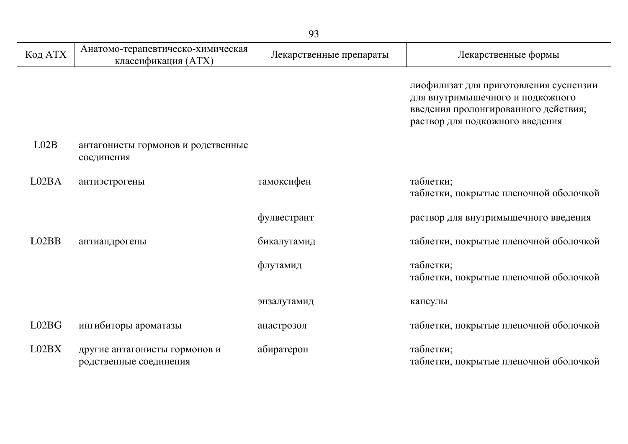| Код АТХ | Анатомо-терапевтическо-химическая<br>классификация (ATX) | Лекарственные препараты | Лекарственные формы                                                                                                                                   |
|---------|----------------------------------------------------------|-------------------------|-------------------------------------------------------------------------------------------------------------------------------------------------------|
|         |                                                          |                         | лиофилизат для приготовления суспензии<br>для внутримышечного и подкожного<br>введения пролонгированного действия;<br>раствор для подкожного введения |
| LO2B    | антагонисты гормонов и родственные<br>соединения         |                         |                                                                                                                                                       |
| L02BA   | антиэстрогены                                            | тамоксифен              | таблетки;<br>таблетки, покрытые пленочной оболочкой                                                                                                   |
|         |                                                          | фулвестрант             | раствор для внутримышечного введения                                                                                                                  |
| LO2BB   | антиандрогены                                            | бикалутамид             | таблетки, покрытые пленочной оболочкой                                                                                                                |
|         |                                                          | флутамид                | таблетки;<br>таблетки, покрытые пленочной оболочкой                                                                                                   |
|         |                                                          | энзалутамид             | капсулы                                                                                                                                               |
| L02BG   | ингибиторы ароматазы                                     | анастрозол              | таблетки, покрытые пленочной оболочкой                                                                                                                |
| L02BX   | другие антагонисты гормонов и<br>родственные соединения  | абиратерон              | таблетки;<br>таблетки, покрытые пленочной оболочкой                                                                                                   |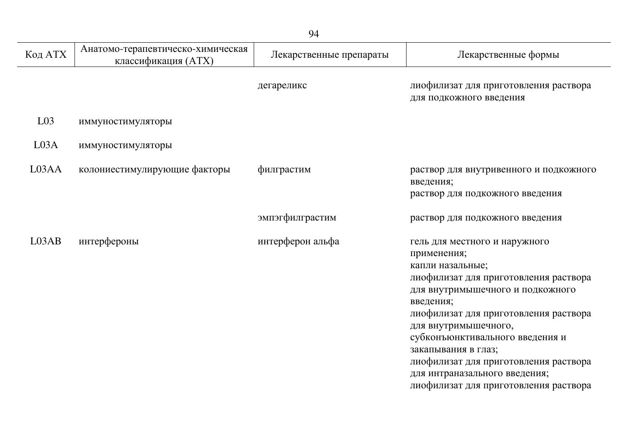| Код АТХ          | Анатомо-терапевтическо-химическая<br>классификация (ATX) | Лекарственные препараты | Лекарственные формы                                                                                                                                                                                                                                                                                                                                                                                      |
|------------------|----------------------------------------------------------|-------------------------|----------------------------------------------------------------------------------------------------------------------------------------------------------------------------------------------------------------------------------------------------------------------------------------------------------------------------------------------------------------------------------------------------------|
|                  |                                                          | дегареликс              | лиофилизат для приготовления раствора<br>для подкожного введения                                                                                                                                                                                                                                                                                                                                         |
| L <sub>03</sub>  | иммуностимуляторы                                        |                         |                                                                                                                                                                                                                                                                                                                                                                                                          |
| L <sub>03A</sub> | иммуностимуляторы                                        |                         |                                                                                                                                                                                                                                                                                                                                                                                                          |
| L03AA            | колониестимулирующие факторы                             | филграстим              | раствор для внутривенного и подкожного<br>введения;<br>раствор для подкожного введения                                                                                                                                                                                                                                                                                                                   |
|                  |                                                          | эмпэгфилграстим         | раствор для подкожного введения                                                                                                                                                                                                                                                                                                                                                                          |
| L03AB            | интерфероны                                              | интерферон альфа        | гель для местного и наружного<br>применения;<br>капли назальные;<br>лиофилизат для приготовления раствора<br>для внутримышечного и подкожного<br>введения;<br>лиофилизат для приготовления раствора<br>для внутримышечного,<br>субконъюнктивального введения и<br>закапывания в глаз;<br>лиофилизат для приготовления раствора<br>для интраназального введения;<br>лиофилизат для приготовления раствора |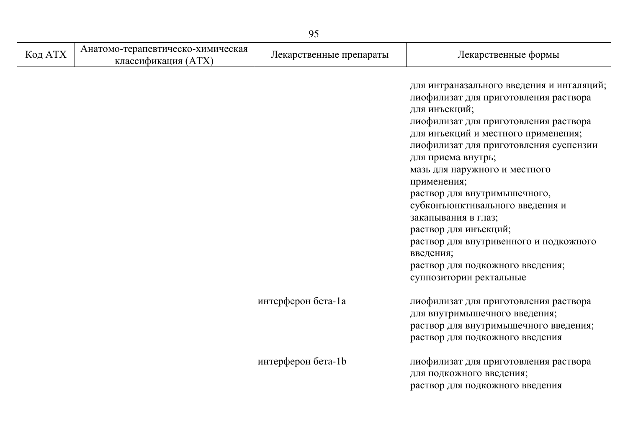|         |                                                          | 95                      |                                                                                                                                                                                                                                                                                                                                                                                                                                                                                                                                              |
|---------|----------------------------------------------------------|-------------------------|----------------------------------------------------------------------------------------------------------------------------------------------------------------------------------------------------------------------------------------------------------------------------------------------------------------------------------------------------------------------------------------------------------------------------------------------------------------------------------------------------------------------------------------------|
| Код АТХ | Анатомо-терапевтическо-химическая<br>классификация (ATX) | Лекарственные препараты | Лекарственные формы                                                                                                                                                                                                                                                                                                                                                                                                                                                                                                                          |
|         |                                                          |                         | для интраназального введения и ингаляций;<br>лиофилизат для приготовления раствора<br>для инъекций;<br>лиофилизат для приготовления раствора<br>для инъекций и местного применения;<br>лиофилизат для приготовления суспензии<br>для приема внутрь;<br>мазь для наружного и местного<br>применения;<br>раствор для внутримышечного,<br>субконъюнктивального введения и<br>закапывания в глаз;<br>раствор для инъекций;<br>раствор для внутривенного и подкожного<br>введения;<br>раствор для подкожного введения;<br>суппозитории ректальные |
|         |                                                          | интерферон бета-1а      | лиофилизат для приготовления раствора<br>для внутримышечного введения;<br>раствор для внутримышечного введения;<br>раствор для подкожного введения                                                                                                                                                                                                                                                                                                                                                                                           |
|         |                                                          | интерферон бета-1b      | лиофилизат для приготовления раствора<br>для подкожного введения;<br>раствор для подкожного введения                                                                                                                                                                                                                                                                                                                                                                                                                                         |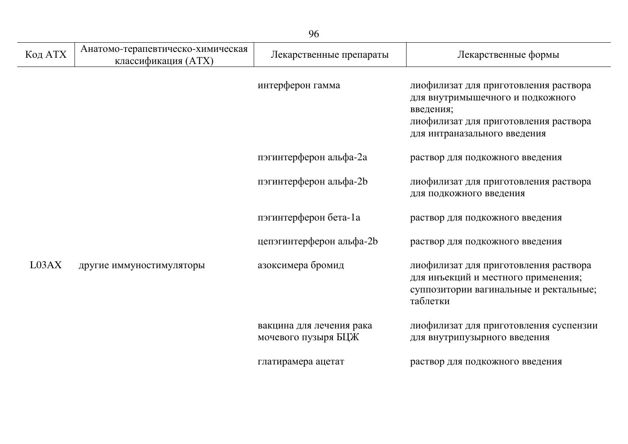| Код АТХ | Анатомо-терапевтическо-химическая<br>классификация (ATX) | Лекарственные препараты                         | Лекарственные формы                                                                                                                                             |
|---------|----------------------------------------------------------|-------------------------------------------------|-----------------------------------------------------------------------------------------------------------------------------------------------------------------|
|         |                                                          | интерферон гамма                                | лиофилизат для приготовления раствора<br>для внутримышечного и подкожного<br>введения;<br>лиофилизат для приготовления раствора<br>для интраназального введения |
|         |                                                          | пэгинтерферон альфа-2а                          | раствор для подкожного введения                                                                                                                                 |
|         |                                                          | пэгинтерферон альфа-2b                          | лиофилизат для приготовления раствора<br>для подкожного введения                                                                                                |
|         |                                                          | пэгинтерферон бета-1а                           | раствор для подкожного введения                                                                                                                                 |
|         |                                                          | цепэгинтерферон альфа-2b                        | раствор для подкожного введения                                                                                                                                 |
| L03AX   | другие иммуностимуляторы                                 | азоксимера бромид                               | лиофилизат для приготовления раствора<br>для инъекций и местного применения;<br>суппозитории вагинальные и ректальные;<br>таблетки                              |
|         |                                                          | вакцина для лечения рака<br>мочевого пузыря БЦЖ | лиофилизат для приготовления суспензии<br>для внутрипузырного введения                                                                                          |
|         |                                                          | глатирамера ацетат                              | раствор для подкожного введения                                                                                                                                 |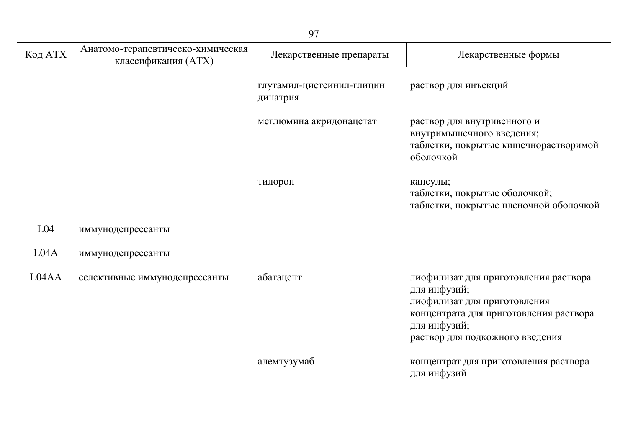| Код АТХ         | Анатомо-терапевтическо-химическая<br>классификация (ATX) | Лекарственные препараты               | Лекарственные формы                                                                                                                                                                |
|-----------------|----------------------------------------------------------|---------------------------------------|------------------------------------------------------------------------------------------------------------------------------------------------------------------------------------|
|                 |                                                          | глутамил-цистеинил-глицин<br>динатрия | раствор для инъекций                                                                                                                                                               |
|                 |                                                          | меглюмина акридонацетат               | раствор для внутривенного и<br>внутримышечного введения;<br>таблетки, покрытые кишечнорастворимой<br>оболочкой                                                                     |
|                 |                                                          | тилорон                               | капсулы;<br>таблетки, покрытые оболочкой;<br>таблетки, покрытые пленочной оболочкой                                                                                                |
| L <sub>04</sub> | иммунодепрессанты                                        |                                       |                                                                                                                                                                                    |
| L04A            | иммунодепрессанты                                        |                                       |                                                                                                                                                                                    |
| L04AA           | селективные иммунодепрессанты                            | абатацепт                             | лиофилизат для приготовления раствора<br>для инфузий;<br>лиофилизат для приготовления<br>концентрата для приготовления раствора<br>для инфузий;<br>раствор для подкожного введения |
|                 |                                                          | алемтузумаб                           | концентрат для приготовления раствора<br>для инфузий                                                                                                                               |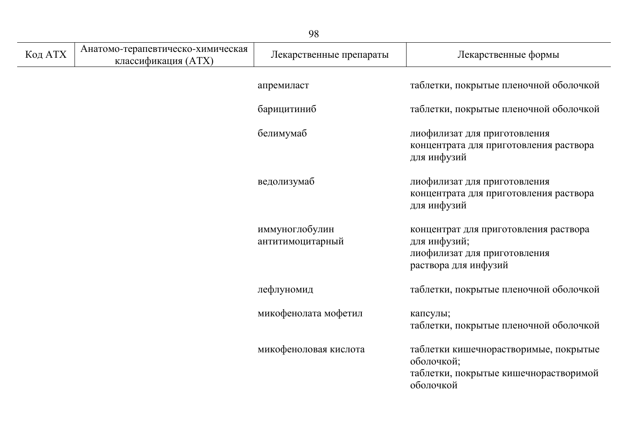|         | 98                                                       |                                    |                                                                                                               |  |
|---------|----------------------------------------------------------|------------------------------------|---------------------------------------------------------------------------------------------------------------|--|
| Код АТХ | Анатомо-терапевтическо-химическая<br>классификация (ATX) | Лекарственные препараты            | Лекарственные формы                                                                                           |  |
|         |                                                          | апремиласт                         | таблетки, покрытые пленочной оболочкой                                                                        |  |
|         |                                                          | барицитиниб                        | таблетки, покрытые пленочной оболочкой                                                                        |  |
|         |                                                          | белимумаб                          | лиофилизат для приготовления<br>концентрата для приготовления раствора<br>для инфузий                         |  |
|         |                                                          | ведолизумаб                        | лиофилизат для приготовления<br>концентрата для приготовления раствора<br>для инфузий                         |  |
|         |                                                          | иммуноглобулин<br>антитимоцитарный | концентрат для приготовления раствора<br>для инфузий;<br>лиофилизат для приготовления<br>раствора для инфузий |  |
|         |                                                          | лефлуномид                         | таблетки, покрытые пленочной оболочкой                                                                        |  |
|         |                                                          | микофенолата мофетил               | капсулы;<br>таблетки, покрытые пленочной оболочкой                                                            |  |
|         |                                                          | микофеноловая кислота              | таблетки кишечнорастворимые, покрытые<br>оболочкой;<br>таблетки, покрытые кишечнорастворимой<br>оболочкой     |  |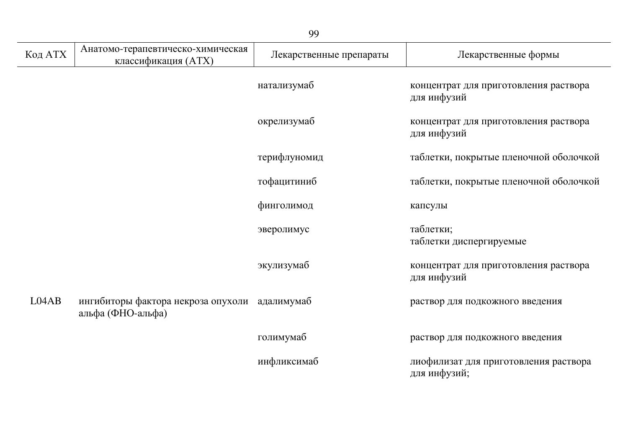| Код АТХ | Анатомо-терапевтическо-химическая<br>классификация (ATX)           | Лекарственные препараты | Лекарственные формы                                   |
|---------|--------------------------------------------------------------------|-------------------------|-------------------------------------------------------|
|         |                                                                    | натализумаб             | концентрат для приготовления раствора<br>для инфузий  |
|         |                                                                    | окрелизумаб             | концентрат для приготовления раствора<br>для инфузий  |
|         |                                                                    | терифлуномид            | таблетки, покрытые пленочной оболочкой                |
|         |                                                                    | тофацитиниб             | таблетки, покрытые пленочной оболочкой                |
|         |                                                                    | финголимод              | капсулы                                               |
|         |                                                                    | эверолимус              | таблетки;<br>таблетки диспергируемые                  |
|         |                                                                    | экулизумаб              | концентрат для приготовления раствора<br>для инфузий  |
| L04AB   | ингибиторы фактора некроза опухоли адалимумаб<br>альфа (ФНО-альфа) |                         | раствор для подкожного введения                       |
|         |                                                                    | голимумаб               | раствор для подкожного введения                       |
|         |                                                                    | инфликсимаб             | лиофилизат для приготовления раствора<br>для инфузий; |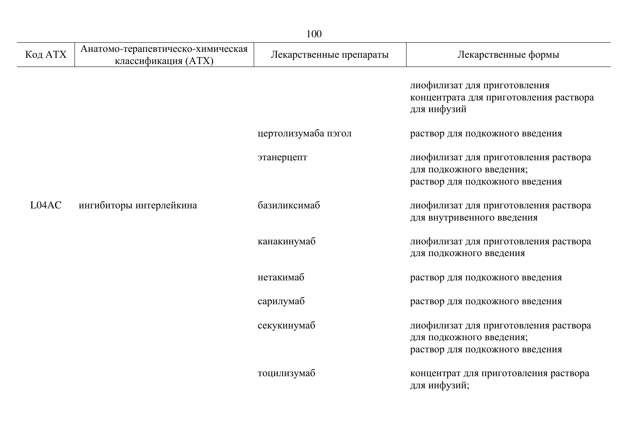|         |                                                          | 100                     |                                                                                                      |
|---------|----------------------------------------------------------|-------------------------|------------------------------------------------------------------------------------------------------|
| Код АТХ | Анатомо-терапевтическо-химическая<br>классификация (ATX) | Лекарственные препараты | Лекарственные формы                                                                                  |
|         |                                                          |                         | лиофилизат для приготовления<br>концентрата для приготовления раствора<br>для инфузий                |
|         |                                                          | цертолизумаба пэгол     | раствор для подкожного введения                                                                      |
|         |                                                          | этанерцепт              | лиофилизат для приготовления раствора<br>для подкожного введения;<br>раствор для подкожного введения |
| L04AC   | ингибиторы интерлейкина                                  | базиликсимаб            | лиофилизат для приготовления раствора<br>для внутривенного введения                                  |
|         |                                                          | канакинумаб             | лиофилизат для приготовления раствора<br>для подкожного введения                                     |
|         |                                                          | нетакимаб               | раствор для подкожного введения                                                                      |
|         |                                                          | сарилумаб               | раствор для подкожного введения                                                                      |
|         |                                                          | секукинумаб             | лиофилизат для приготовления раствора<br>для подкожного введения;<br>раствор для подкожного введения |
|         |                                                          | тоцилизумаб             | концентрат для приготовления раствора<br>для инфузий;                                                |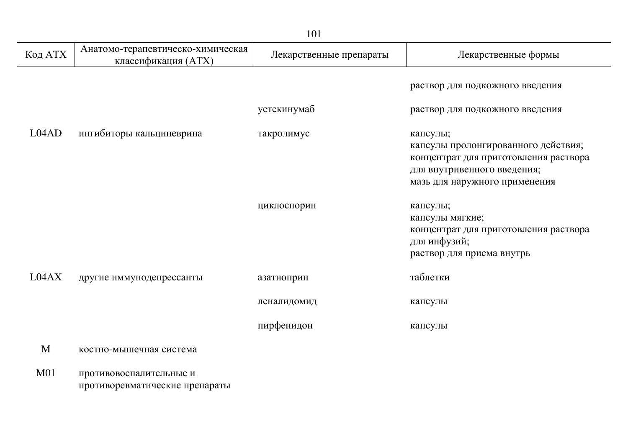|                 | 101                                                       |                         |                                                                                                                                                          |  |
|-----------------|-----------------------------------------------------------|-------------------------|----------------------------------------------------------------------------------------------------------------------------------------------------------|--|
| Код АТХ         | Анатомо-терапевтическо-химическая<br>классификация (ATX)  | Лекарственные препараты | Лекарственные формы                                                                                                                                      |  |
|                 |                                                           |                         | раствор для подкожного введения                                                                                                                          |  |
|                 |                                                           | устекинумаб             | раствор для подкожного введения                                                                                                                          |  |
| LO4AD           | ингибиторы кальциневрина                                  | такролимус              | капсулы;<br>капсулы пролонгированного действия;<br>концентрат для приготовления раствора<br>для внутривенного введения;<br>мазь для наружного применения |  |
|                 |                                                           | циклоспорин             | капсулы;<br>капсулы мягкие;<br>концентрат для приготовления раствора<br>для инфузий;<br>раствор для приема внутрь                                        |  |
| L04AX           | другие иммунодепрессанты                                  | азатиоприн              | таблетки                                                                                                                                                 |  |
|                 |                                                           | леналидомид             | капсулы                                                                                                                                                  |  |
|                 |                                                           | пирфенидон              | капсулы                                                                                                                                                  |  |
| M               | костно-мышечная система                                   |                         |                                                                                                                                                          |  |
| M <sub>01</sub> | противовоспалительные и<br>противоревматические препараты |                         |                                                                                                                                                          |  |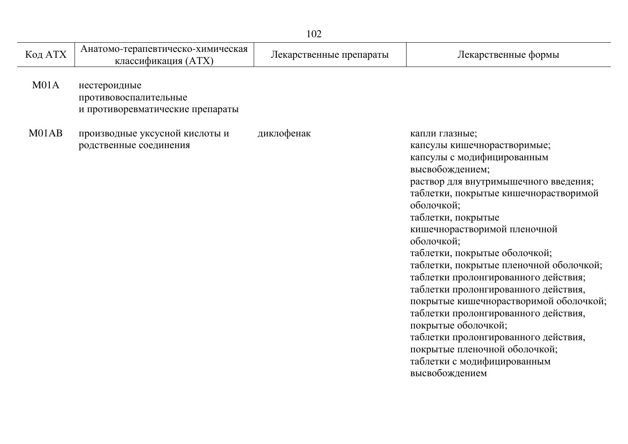| Код АТХ          | Анатомо-терапевтическо-химическая<br>классификация (ATX)                  | Лекарственные препараты | Лекарственные формы                                                                                                                                                                                                                                                                                                                                                                                                                                                                                                                                                                                                                                               |
|------------------|---------------------------------------------------------------------------|-------------------------|-------------------------------------------------------------------------------------------------------------------------------------------------------------------------------------------------------------------------------------------------------------------------------------------------------------------------------------------------------------------------------------------------------------------------------------------------------------------------------------------------------------------------------------------------------------------------------------------------------------------------------------------------------------------|
| M <sub>01A</sub> | нестероидные<br>противовоспалительные<br>и противоревматические препараты |                         |                                                                                                                                                                                                                                                                                                                                                                                                                                                                                                                                                                                                                                                                   |
| M01AB            | производные уксусной кислоты и<br>родственные соединения                  | диклофенак              | капли глазные;<br>капсулы кишечнорастворимые;<br>капсулы с модифицированным<br>высвобождением;<br>раствор для внутримышечного введения;<br>таблетки, покрытые кишечнорастворимой<br>оболочкой;<br>таблетки, покрытые<br>кишечнорастворимой пленочной<br>оболочкой;<br>таблетки, покрытые оболочкой;<br>таблетки, покрытые пленочной оболочкой;<br>таблетки пролонгированного действия;<br>таблетки пролонгированного действия,<br>покрытые кишечнорастворимой оболочкой;<br>таблетки пролонгированного действия,<br>покрытые оболочкой;<br>таблетки пролонгированного действия,<br>покрытые пленочной оболочкой;<br>таблетки с модифицированным<br>высвобождением |
|                  |                                                                           |                         |                                                                                                                                                                                                                                                                                                                                                                                                                                                                                                                                                                                                                                                                   |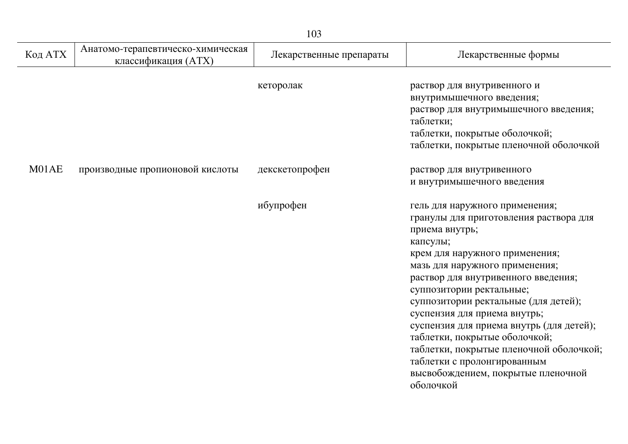| 103     |                                                          |                         |                                                                                                                                                                                                                                                                                                                                                                                                                                                                                                                                 |  |
|---------|----------------------------------------------------------|-------------------------|---------------------------------------------------------------------------------------------------------------------------------------------------------------------------------------------------------------------------------------------------------------------------------------------------------------------------------------------------------------------------------------------------------------------------------------------------------------------------------------------------------------------------------|--|
| Код АТХ | Анатомо-терапевтическо-химическая<br>классификация (ATX) | Лекарственные препараты | Лекарственные формы                                                                                                                                                                                                                                                                                                                                                                                                                                                                                                             |  |
|         |                                                          | кеторолак               | раствор для внутривенного и<br>внутримышечного введения;<br>раствор для внутримышечного введения;<br>таблетки;<br>таблетки, покрытые оболочкой;<br>таблетки, покрытые пленочной оболочкой                                                                                                                                                                                                                                                                                                                                       |  |
| M01AE   | производные пропионовой кислоты                          | декскетопрофен          | раствор для внутривенного<br>и внутримышечного введения                                                                                                                                                                                                                                                                                                                                                                                                                                                                         |  |
|         |                                                          | ибупрофен               | гель для наружного применения;<br>гранулы для приготовления раствора для<br>приема внутрь;<br>капсулы;<br>крем для наружного применения;<br>мазь для наружного применения;<br>раствор для внутривенного введения;<br>суппозитории ректальные;<br>суппозитории ректальные (для детей);<br>суспензия для приема внутрь;<br>суспензия для приема внутрь (для детей);<br>таблетки, покрытые оболочкой;<br>таблетки, покрытые пленочной оболочкой;<br>таблетки с пролонгированным<br>высвобождением, покрытые пленочной<br>оболочкой |  |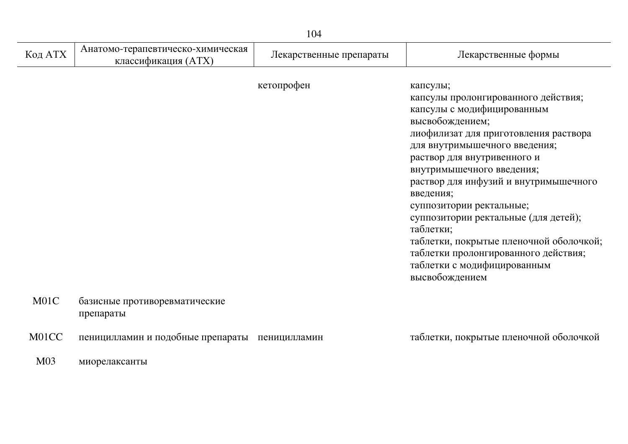| Код АТХ | Анатомо-терапевтическо-химическая<br>классификация (ATX) | Лекарственные препараты | Лекарственные формы                                                                                                                                                                                                                                                                                                                                                                                                                                                                                               |
|---------|----------------------------------------------------------|-------------------------|-------------------------------------------------------------------------------------------------------------------------------------------------------------------------------------------------------------------------------------------------------------------------------------------------------------------------------------------------------------------------------------------------------------------------------------------------------------------------------------------------------------------|
|         |                                                          | кетопрофен              | капсулы;<br>капсулы пролонгированного действия;<br>капсулы с модифицированным<br>высвобождением;<br>лиофилизат для приготовления раствора<br>для внутримышечного введения;<br>раствор для внутривенного и<br>внутримышечного введения;<br>раствор для инфузий и внутримышечного<br>введения;<br>суппозитории ректальные;<br>суппозитории ректальные (для детей);<br>таблетки;<br>таблетки, покрытые пленочной оболочкой;<br>таблетки пролонгированного действия;<br>таблетки с модифицированным<br>высвобождением |
| M01C    | базисные противоревматические<br>препараты               |                         |                                                                                                                                                                                                                                                                                                                                                                                                                                                                                                                   |

М01СС пеницилламин и подобные препараты пеницилламин и таблетки, покрытые пленочной оболочкой

М03 миорелаксанты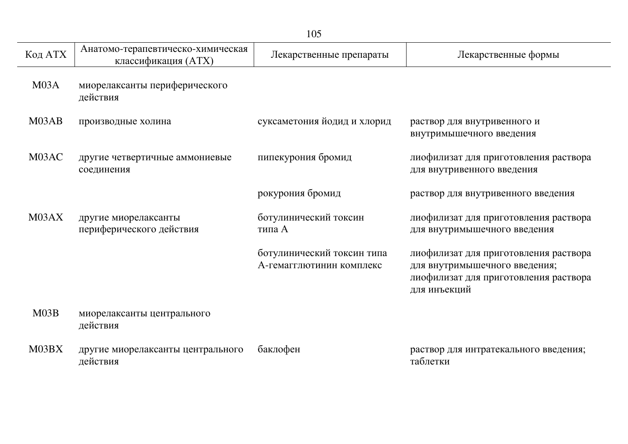|         |                                                          | 105                                                    |                                                                                                                                 |
|---------|----------------------------------------------------------|--------------------------------------------------------|---------------------------------------------------------------------------------------------------------------------------------|
| Код АТХ | Анатомо-терапевтическо-химическая<br>классификация (ATX) | Лекарственные препараты                                | Лекарственные формы                                                                                                             |
| M03A    | миорелаксанты периферического<br>действия                |                                                        |                                                                                                                                 |
| M03AB   | производные холина                                       | суксаметония йодид и хлорид                            | раствор для внутривенного и<br>внутримышечного введения                                                                         |
| M03AC   | другие четвертичные аммониевые<br>соединения             | пипекурония бромид                                     | лиофилизат для приготовления раствора<br>для внутривенного введения                                                             |
|         |                                                          | рокурония бромид                                       | раствор для внутривенного введения                                                                                              |
| M03AX   | другие миорелаксанты<br>периферического действия         | ботулинический токсин<br>типа А                        | лиофилизат для приготовления раствора<br>для внутримышечного введения                                                           |
|         |                                                          | ботулинический токсин типа<br>А-гемагглютинин комплекс | лиофилизат для приготовления раствора<br>для внутримышечного введения;<br>лиофилизат для приготовления раствора<br>для инъекций |
| M03B    | миорелаксанты центрального<br>действия                   |                                                        |                                                                                                                                 |
| M03BX   | другие миорелаксанты центрального<br>действия            | баклофен                                               | раствор для интратекального введения;<br>таблетки                                                                               |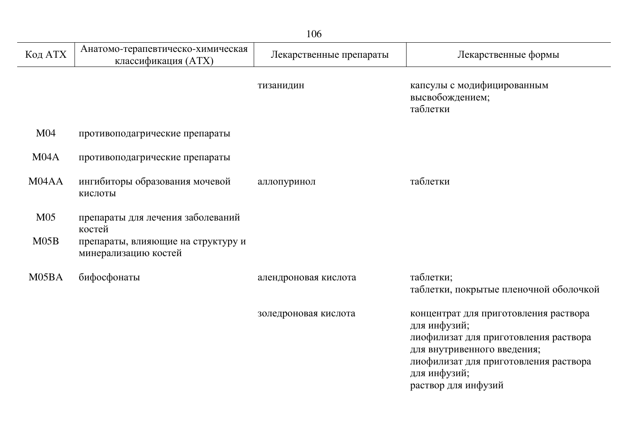|                         | 106                                                                                                       |                         |                                                                                                                                                                                                               |  |  |
|-------------------------|-----------------------------------------------------------------------------------------------------------|-------------------------|---------------------------------------------------------------------------------------------------------------------------------------------------------------------------------------------------------------|--|--|
| Код АТХ                 | Анатомо-терапевтическо-химическая<br>классификация (ATX)                                                  | Лекарственные препараты | Лекарственные формы                                                                                                                                                                                           |  |  |
|                         |                                                                                                           | тизанидин               | капсулы с модифицированным<br>высвобождением;<br>таблетки                                                                                                                                                     |  |  |
| M <sub>04</sub>         | противоподагрические препараты                                                                            |                         |                                                                                                                                                                                                               |  |  |
| M04A                    | противоподагрические препараты                                                                            |                         |                                                                                                                                                                                                               |  |  |
| M04AA                   | ингибиторы образования мочевой<br>кислоты                                                                 | аллопуринол             | таблетки                                                                                                                                                                                                      |  |  |
| M <sub>05</sub><br>M05B | препараты для лечения заболеваний<br>костей<br>препараты, влияющие на структуру и<br>минерализацию костей |                         |                                                                                                                                                                                                               |  |  |
| M05BA                   | бифосфонаты                                                                                               | алендроновая кислота    | таблетки;<br>таблетки, покрытые пленочной оболочкой                                                                                                                                                           |  |  |
|                         |                                                                                                           | золедроновая кислота    | концентрат для приготовления раствора<br>для инфузий;<br>лиофилизат для приготовления раствора<br>для внутривенного введения;<br>лиофилизат для приготовления раствора<br>для инфузий;<br>раствор для инфузий |  |  |

 $\overline{a}$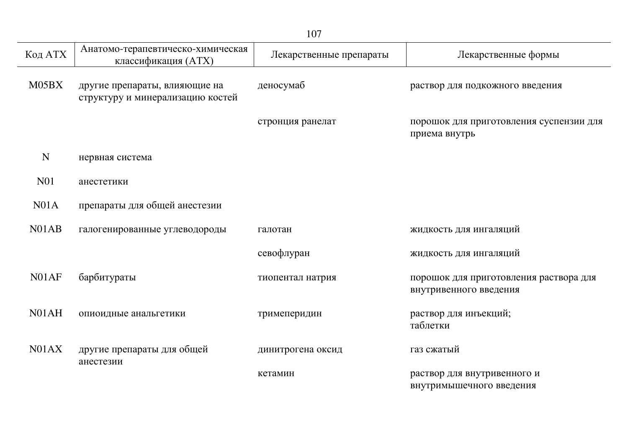| Код АТХ            | Анатомо-терапевтическо-химическая<br>классификация (ATX)          | Лекарственные препараты | Лекарственные формы                                              |
|--------------------|-------------------------------------------------------------------|-------------------------|------------------------------------------------------------------|
| M05BX              | другие препараты, влияющие на<br>структуру и минерализацию костей | деносумаб               | раствор для подкожного введения                                  |
|                    |                                                                   | стронция ранелат        | порошок для приготовления суспензии для<br>приема внутрь         |
| N                  | нервная система                                                   |                         |                                                                  |
| N <sub>01</sub>    | анестетики                                                        |                         |                                                                  |
| N <sub>01A</sub>   | препараты для общей анестезии                                     |                         |                                                                  |
| N <sub>0</sub> 1AB | галогенированные углеводороды                                     | галотан                 | жидкость для ингаляций                                           |
|                    |                                                                   | севофлуран              | жидкость для ингаляций                                           |
| N01AF              | барбитураты                                                       | тиопентал натрия        | порошок для приготовления раствора для<br>внутривенного введения |
| N01AH              | опиоидные анальгетики                                             | тримеперидин            | раствор для инъекций;<br>таблетки                                |
| N01AX              | другие препараты для общей<br>анестезии                           | динитрогена оксид       | газ сжатый                                                       |
|                    |                                                                   | кетамин                 | раствор для внутривенного и<br>внутримышечного введения          |

107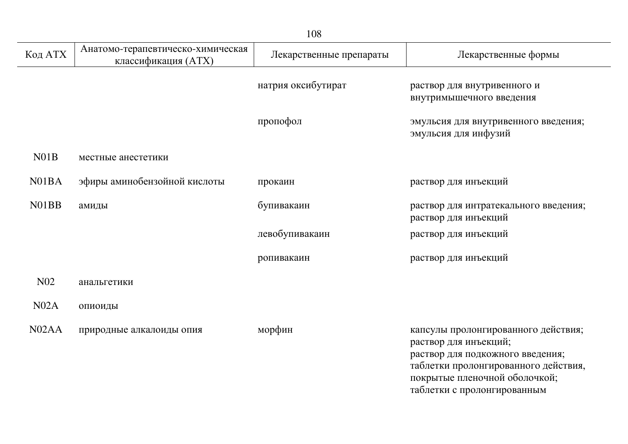|                    |                                                          | 108                     |                                                                                                                                                                                                          |
|--------------------|----------------------------------------------------------|-------------------------|----------------------------------------------------------------------------------------------------------------------------------------------------------------------------------------------------------|
| Код АТХ            | Анатомо-терапевтическо-химическая<br>классификация (ATX) | Лекарственные препараты | Лекарственные формы                                                                                                                                                                                      |
|                    |                                                          | натрия оксибутират      | раствор для внутривенного и<br>внутримышечного введения                                                                                                                                                  |
|                    |                                                          | пропофол                | эмульсия для внутривенного введения;<br>эмульсия для инфузий                                                                                                                                             |
| N01B               | местные анестетики                                       |                         |                                                                                                                                                                                                          |
| N <sub>0</sub> 1BA | эфиры аминобензойной кислоты                             | прокаин                 | раствор для инъекций                                                                                                                                                                                     |
| N01BB              | амиды                                                    | бупивакаин              | раствор для интратекального введения;<br>раствор для инъекций                                                                                                                                            |
|                    |                                                          | левобупивакаин          | раствор для инъекций                                                                                                                                                                                     |
|                    |                                                          | ропивакаин              | раствор для инъекций                                                                                                                                                                                     |
| N <sub>0</sub> 2   | анальгетики                                              |                         |                                                                                                                                                                                                          |
| N02A               | опиоиды                                                  |                         |                                                                                                                                                                                                          |
| N02AA              | природные алкалоиды опия                                 | морфин                  | капсулы пролонгированного действия;<br>раствор для инъекций;<br>раствор для подкожного введения;<br>таблетки пролонгированного действия,<br>покрытые пленочной оболочкой;<br>таблетки с пролонгированным |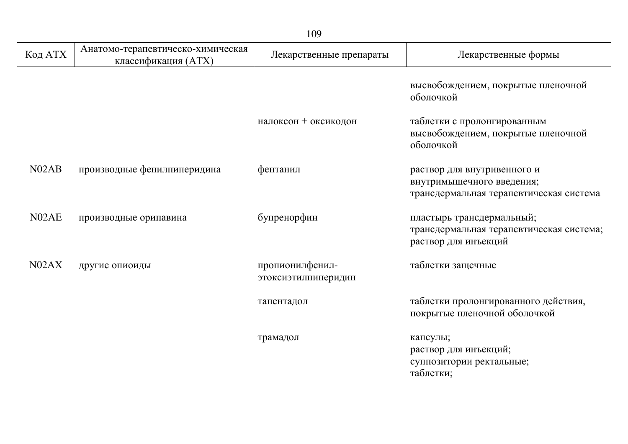| Код АТХ            | Анатомо-терапевтическо-химическая<br>классификация (ATX) | Лекарственные препараты                | Лекарственные формы                                                                                 |
|--------------------|----------------------------------------------------------|----------------------------------------|-----------------------------------------------------------------------------------------------------|
|                    |                                                          |                                        | высвобождением, покрытые пленочной<br>оболочкой                                                     |
|                    |                                                          | налоксон + оксикодон                   | таблетки с пролонгированным<br>высвобождением, покрытые пленочной<br>оболочкой                      |
| N <sub>02</sub> AB | производные фенилпиперидина                              | фентанил                               | раствор для внутривенного и<br>внутримышечного введения;<br>трансдермальная терапевтическая система |
| N02AE              | производные орипавина                                    | бупренорфин                            | пластырь трансдермальный;<br>трансдермальная терапевтическая система;<br>раствор для инъекций       |
| N <sub>0</sub> 2AX | другие опиоиды                                           | пропионилфенил-<br>этоксиэтилпиперидин | таблетки защечные                                                                                   |
|                    |                                                          | тапентадол                             | таблетки пролонгированного действия,<br>покрытые пленочной оболочкой                                |
|                    |                                                          | трамадол                               | капсулы;<br>раствор для инъекций;<br>суппозитории ректальные;<br>таблетки;                          |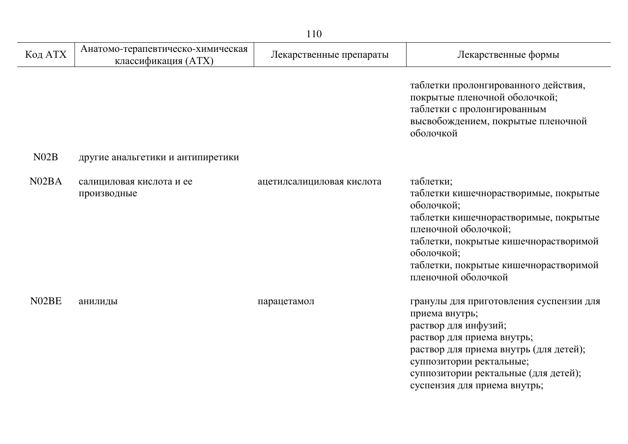|                    |                                                          | 110                       |                                                                                                                                                                                                                                                               |
|--------------------|----------------------------------------------------------|---------------------------|---------------------------------------------------------------------------------------------------------------------------------------------------------------------------------------------------------------------------------------------------------------|
| Код АТХ            | Анатомо-терапевтическо-химическая<br>классификация (ATX) | Лекарственные препараты   | Лекарственные формы                                                                                                                                                                                                                                           |
|                    |                                                          |                           | таблетки пролонгированного действия,<br>покрытые пленочной оболочкой;<br>таблетки с пролонгированным<br>высвобождением, покрытые пленочной<br>оболочкой                                                                                                       |
| N02B               | другие анальгетики и антипиретики                        |                           |                                                                                                                                                                                                                                                               |
| N <sub>02</sub> BA | салициловая кислота и ее<br>производные                  | ацетилсалициловая кислота | таблетки;<br>таблетки кишечнорастворимые, покрытые<br>оболочкой;<br>таблетки кишечнорастворимые, покрытые<br>пленочной оболочкой;<br>таблетки, покрытые кишечнорастворимой<br>оболочкой;<br>таблетки, покрытые кишечнорастворимой<br>пленочной оболочкой      |
| N02BE              | анилиды                                                  | парацетамол               | гранулы для приготовления суспензии для<br>приема внутрь;<br>раствор для инфузий;<br>раствор для приема внутрь;<br>раствор для приема внутрь (для детей);<br>суппозитории ректальные;<br>суппозитории ректальные (для детей);<br>суспензия для приема внутрь; |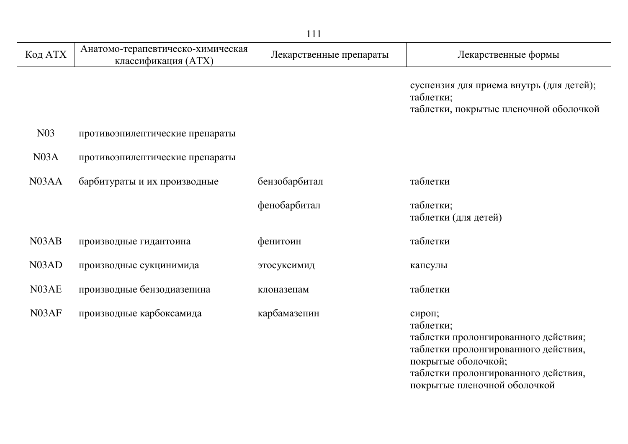|                    |                                                          | 111                     |                                                                                                                                                                                                    |
|--------------------|----------------------------------------------------------|-------------------------|----------------------------------------------------------------------------------------------------------------------------------------------------------------------------------------------------|
| Код АТХ            | Анатомо-терапевтическо-химическая<br>классификация (ATX) | Лекарственные препараты | Лекарственные формы                                                                                                                                                                                |
|                    |                                                          |                         | суспензия для приема внутрь (для детей);<br>таблетки;<br>таблетки, покрытые пленочной оболочкой                                                                                                    |
| N <sub>0</sub> 3   | противоэпилептические препараты                          |                         |                                                                                                                                                                                                    |
| N03A               | противоэпилептические препараты                          |                         |                                                                                                                                                                                                    |
| N <sub>03</sub> AA | барбитураты и их производные                             | бензобарбитал           | таблетки                                                                                                                                                                                           |
|                    |                                                          | фенобарбитал            | таблетки;<br>таблетки (для детей)                                                                                                                                                                  |
| N <sub>0</sub> 3AB | производные гидантоина                                   | фенитоин                | таблетки                                                                                                                                                                                           |
| N <sub>0</sub> 3AD | производные сукцинимида                                  | этосуксимид             | капсулы                                                                                                                                                                                            |
| N03AE              | производные бензодиазепина                               | клоназепам              | таблетки                                                                                                                                                                                           |
| N03AF              | производные карбоксамида                                 | карбамазепин            | сироп;<br>таблетки;<br>таблетки пролонгированного действия;<br>таблетки пролонгированного действия,<br>покрытые оболочкой;<br>таблетки пролонгированного действия,<br>покрытые пленочной оболочкой |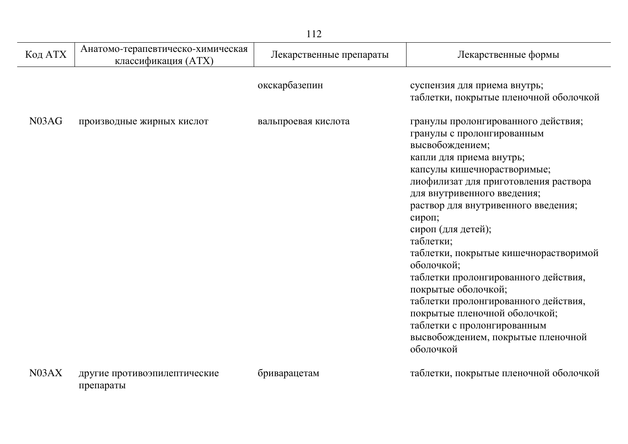|                                |                                                          | 112                     |                                                                                                                                                                                                                                                                                                                                                                                                                                                                                                                                                                                              |
|--------------------------------|----------------------------------------------------------|-------------------------|----------------------------------------------------------------------------------------------------------------------------------------------------------------------------------------------------------------------------------------------------------------------------------------------------------------------------------------------------------------------------------------------------------------------------------------------------------------------------------------------------------------------------------------------------------------------------------------------|
| Код АТХ                        | Анатомо-терапевтическо-химическая<br>классификация (ATX) | Лекарственные препараты | Лекарственные формы                                                                                                                                                                                                                                                                                                                                                                                                                                                                                                                                                                          |
|                                |                                                          | окскарбазепин           | суспензия для приема внутрь;<br>таблетки, покрытые пленочной оболочкой                                                                                                                                                                                                                                                                                                                                                                                                                                                                                                                       |
| N <sub>0</sub> 3A <sub>G</sub> | производные жирных кислот                                | вальпроевая кислота     | гранулы пролонгированного действия;<br>гранулы с пролонгированным<br>высвобождением;<br>капли для приема внутрь;<br>капсулы кишечнорастворимые;<br>лиофилизат для приготовления раствора<br>для внутривенного введения;<br>раствор для внутривенного введения;<br>сироп;<br>сироп (для детей);<br>таблетки;<br>таблетки, покрытые кишечнорастворимой<br>оболочкой;<br>таблетки пролонгированного действия,<br>покрытые оболочкой;<br>таблетки пролонгированного действия,<br>покрытые пленочной оболочкой;<br>таблетки с пролонгированным<br>высвобождением, покрытые пленочной<br>оболочкой |
| N03AX                          | другие противоэпилептические<br>препараты                | бриварацетам            | таблетки, покрытые пленочной оболочкой                                                                                                                                                                                                                                                                                                                                                                                                                                                                                                                                                       |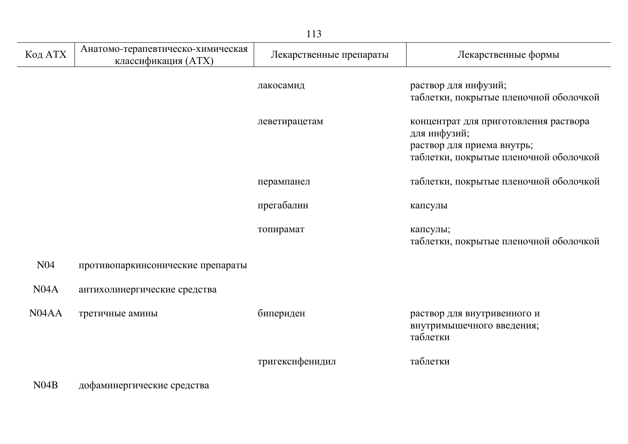|                                |                                                          | 113                     |                                                                                                                               |
|--------------------------------|----------------------------------------------------------|-------------------------|-------------------------------------------------------------------------------------------------------------------------------|
| Код АТХ                        | Анатомо-терапевтическо-химическая<br>классификация (ATX) | Лекарственные препараты | Лекарственные формы                                                                                                           |
|                                |                                                          | лакосамид               | раствор для инфузий;<br>таблетки, покрытые пленочной оболочкой                                                                |
|                                |                                                          | леветирацетам           | концентрат для приготовления раствора<br>для инфузий;<br>раствор для приема внутрь;<br>таблетки, покрытые пленочной оболочкой |
|                                |                                                          | перампанел              | таблетки, покрытые пленочной оболочкой                                                                                        |
|                                |                                                          | прегабалин              | капсулы                                                                                                                       |
|                                |                                                          | топирамат               | капсулы;<br>таблетки, покрытые пленочной оболочкой                                                                            |
| N <sub>04</sub>                | противопаркинсонические препараты                        |                         |                                                                                                                               |
| N04A                           | антихолинергические средства                             |                         |                                                                                                                               |
| N <sub>04</sub> A <sub>A</sub> | третичные амины                                          | бипериден               | раствор для внутривенного и<br>внутримышечного введения;<br>таблетки                                                          |
|                                |                                                          | тригексифенидил         | таблетки                                                                                                                      |
| N04B                           | дофаминергические средства                               |                         |                                                                                                                               |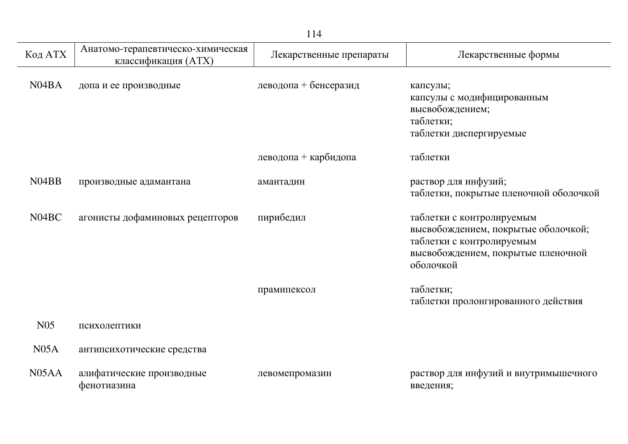|                    |                                                          | 114                     |                                                                                                                                                  |
|--------------------|----------------------------------------------------------|-------------------------|--------------------------------------------------------------------------------------------------------------------------------------------------|
| Код АТХ            | Анатомо-терапевтическо-химическая<br>классификация (ATX) | Лекарственные препараты | Лекарственные формы                                                                                                                              |
| N <sub>04</sub> BA | допа и ее производные                                    | леводопа + бенсеразид   | капсулы;<br>капсулы с модифицированным<br>высвобождением;<br>таблетки;<br>таблетки диспергируемые                                                |
|                    |                                                          | леводопа + карбидопа    | таблетки                                                                                                                                         |
| N <sub>04</sub> BB | производные адамантана                                   | амантадин               | раствор для инфузий;<br>таблетки, покрытые пленочной оболочкой                                                                                   |
| N <sub>04</sub> BC | агонисты дофаминовых рецепторов                          | пирибедил               | таблетки с контролируемым<br>высвобождением, покрытые оболочкой;<br>таблетки с контролируемым<br>высвобождением, покрытые пленочной<br>оболочкой |
|                    |                                                          | прамипексол             | таблетки;<br>таблетки пролонгированного действия                                                                                                 |
| N <sub>05</sub>    | психолептики                                             |                         |                                                                                                                                                  |
| N05A               | антипсихотические средства                               |                         |                                                                                                                                                  |
| N <sub>05</sub> AA | алифатические производные<br>фенотиазина                 | левомепромазин          | раствор для инфузий и внутримышечного<br>введения;                                                                                               |

j.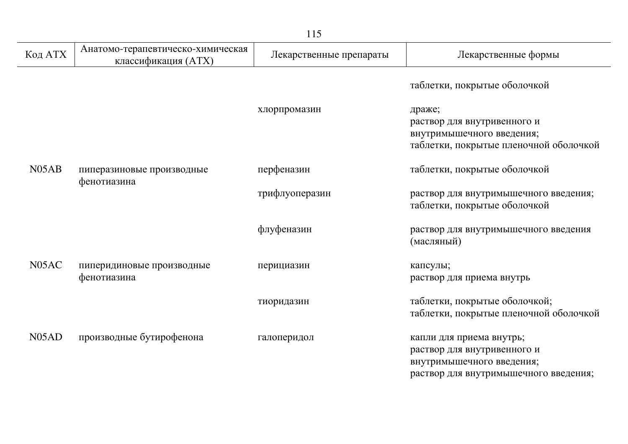| Код АТХ            | Анатомо-терапевтическо-химическая<br>классификация (ATX) | Лекарственные препараты | Лекарственные формы                                                                                                           |
|--------------------|----------------------------------------------------------|-------------------------|-------------------------------------------------------------------------------------------------------------------------------|
|                    |                                                          |                         | таблетки, покрытые оболочкой                                                                                                  |
|                    |                                                          | хлорпромазин            | драже;<br>раствор для внутривенного и<br>внутримышечного введения;<br>таблетки, покрытые пленочной оболочкой                  |
| N <sub>05</sub> AB | пиперазиновые производные                                | перфеназин              | таблетки, покрытые оболочкой                                                                                                  |
| фенотиазина        |                                                          | трифлуоперазин          | раствор для внутримышечного введения;<br>таблетки, покрытые оболочкой                                                         |
|                    |                                                          | флуфеназин              | раствор для внутримышечного введения<br>(масляный)                                                                            |
| N05AC              | пиперидиновые производные<br>фенотиазина                 | перициазин              | капсулы;<br>раствор для приема внутрь                                                                                         |
|                    |                                                          | тиоридазин              | таблетки, покрытые оболочкой;<br>таблетки, покрытые пленочной оболочкой                                                       |
| N <sub>05</sub> AD | производные бутирофенона                                 | галоперидол             | капли для приема внутрь;<br>раствор для внутривенного и<br>внутримышечного введения;<br>раствор для внутримышечного введения; |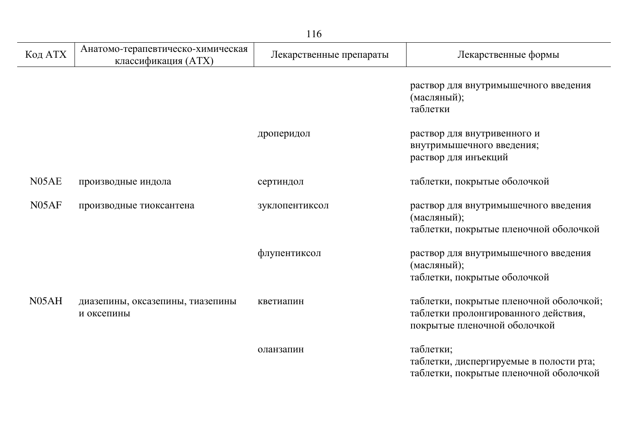|                    |                                                          | 116                     |                                                                                                                 |
|--------------------|----------------------------------------------------------|-------------------------|-----------------------------------------------------------------------------------------------------------------|
| Код АТХ            | Анатомо-терапевтическо-химическая<br>классификация (ATX) | Лекарственные препараты | Лекарственные формы                                                                                             |
|                    |                                                          |                         | раствор для внутримышечного введения<br>(масляный);<br>таблетки                                                 |
|                    |                                                          | дроперидол              | раствор для внутривенного и<br>внутримышечного введения;<br>раствор для инъекций                                |
| N05AE              | производные индола                                       | сертиндол               | таблетки, покрытые оболочкой                                                                                    |
| N05AF              | производные тиоксантена                                  | зуклопентиксол          | раствор для внутримышечного введения<br>(масляный);<br>таблетки, покрытые пленочной оболочкой                   |
|                    |                                                          | флупентиксол            | раствор для внутримышечного введения<br>(масляный);<br>таблетки, покрытые оболочкой                             |
| N <sub>05</sub> AH | диазепины, оксазепины, тиазепины<br>и оксепины           | кветиапин               | таблетки, покрытые пленочной оболочкой;<br>таблетки пролонгированного действия,<br>покрытые пленочной оболочкой |
|                    |                                                          | оланзапин               | таблетки;<br>таблетки, диспергируемые в полости рта;<br>таблетки, покрытые пленочной оболочкой                  |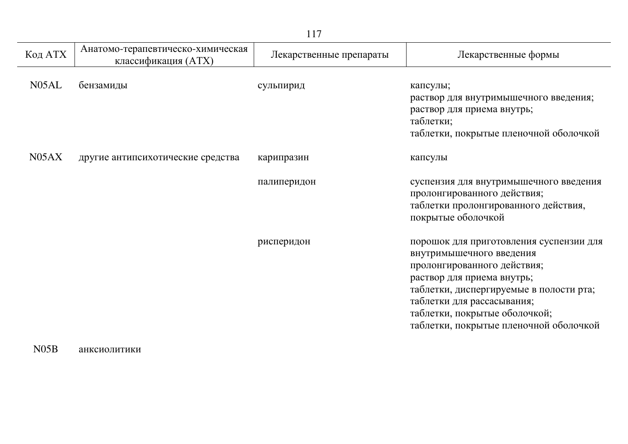| Код АТХ | Анатомо-терапевтическо-химическая<br>классификация (ATX) | Лекарственные препараты | Лекарственные формы                                                                                                                                                                                                                                                                  |
|---------|----------------------------------------------------------|-------------------------|--------------------------------------------------------------------------------------------------------------------------------------------------------------------------------------------------------------------------------------------------------------------------------------|
| N05AL   | бензамиды                                                | сульпирид               | капсулы;<br>раствор для внутримышечного введения;<br>раствор для приема внутрь;<br>таблетки;<br>таблетки, покрытые пленочной оболочкой                                                                                                                                               |
| N05AX   | другие антипсихотические средства                        | карипразин              | капсулы                                                                                                                                                                                                                                                                              |
|         |                                                          | палиперидон             | суспензия для внутримышечного введения<br>пролонгированного действия;<br>таблетки пролонгированного действия,<br>покрытые оболочкой                                                                                                                                                  |
|         |                                                          | рисперидон              | порошок для приготовления суспензии для<br>внутримышечного введения<br>пролонгированного действия;<br>раствор для приема внутрь;<br>таблетки, диспергируемые в полости рта;<br>таблетки для рассасывания;<br>таблетки, покрытые оболочкой;<br>таблетки, покрытые пленочной оболочкой |

## N05B анксиолитики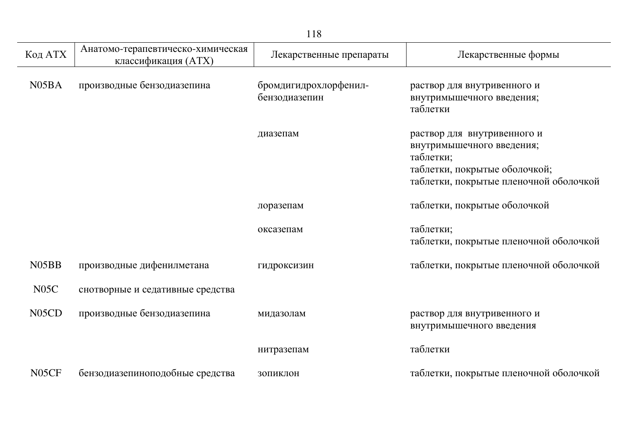| Код АТХ            | Анатомо-терапевтическо-химическая<br>классификация (ATX) | Лекарственные препараты                | Лекарственные формы                                                                                                                              |
|--------------------|----------------------------------------------------------|----------------------------------------|--------------------------------------------------------------------------------------------------------------------------------------------------|
| N <sub>05</sub> BA | производные бензодиазепина                               | бромдигидрохлорфенил-<br>бензодиазепин | раствор для внутривенного и<br>внутримышечного введения;<br>таблетки                                                                             |
|                    |                                                          | диазепам                               | раствор для внутривенного и<br>внутримышечного введения;<br>таблетки;<br>таблетки, покрытые оболочкой;<br>таблетки, покрытые пленочной оболочкой |
|                    |                                                          | лоразепам                              | таблетки, покрытые оболочкой                                                                                                                     |
|                    |                                                          | оксазепам                              | таблетки;<br>таблетки, покрытые пленочной оболочкой                                                                                              |
| N <sub>05</sub> BB | производные дифенилметана                                | гидроксизин                            | таблетки, покрытые пленочной оболочкой                                                                                                           |
| N05C               | снотворные и седативные средства                         |                                        |                                                                                                                                                  |
| N <sub>05</sub> CD | производные бензодиазепина                               | мидазолам                              | раствор для внутривенного и<br>внутримышечного введения                                                                                          |
|                    |                                                          | нитразепам                             | таблетки                                                                                                                                         |
| N <sub>05</sub> CF | бензодиазепиноподобные средства                          | ЗОПИКЛОН                               | таблетки, покрытые пленочной оболочкой                                                                                                           |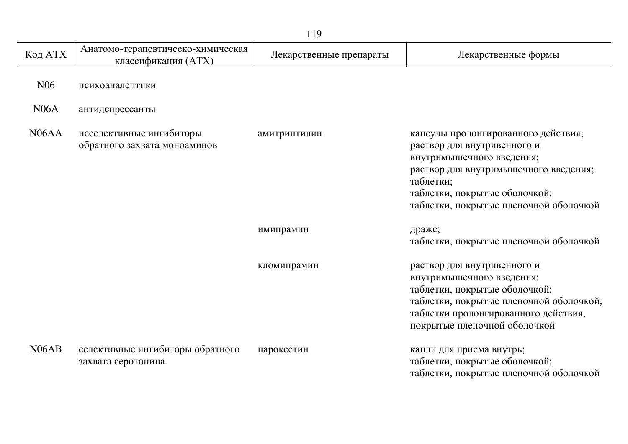| Код АТХ            | Анатомо-терапевтическо-химическая<br>классификация (ATX) | Лекарственные препараты | Лекарственные формы                                                                                                                                                                                                              |
|--------------------|----------------------------------------------------------|-------------------------|----------------------------------------------------------------------------------------------------------------------------------------------------------------------------------------------------------------------------------|
| N <sub>06</sub>    | психоаналептики                                          |                         |                                                                                                                                                                                                                                  |
| N06A               | антидепрессанты                                          |                         |                                                                                                                                                                                                                                  |
| N <sub>06</sub> AA | неселективные ингибиторы<br>обратного захвата моноаминов | амитриптилин            | капсулы пролонгированного действия;<br>раствор для внутривенного и<br>внутримышечного введения;<br>раствор для внутримышечного введения;<br>таблетки;<br>таблетки, покрытые оболочкой;<br>таблетки, покрытые пленочной оболочкой |
|                    |                                                          | имипрамин               | драже;<br>таблетки, покрытые пленочной оболочкой                                                                                                                                                                                 |
|                    |                                                          | кломипрамин             | раствор для внутривенного и<br>внутримышечного введения;<br>таблетки, покрытые оболочкой;<br>таблетки, покрытые пленочной оболочкой;<br>таблетки пролонгированного действия,<br>покрытые пленочной оболочкой                     |
| N <sub>06</sub> AB | селективные ингибиторы обратного<br>захвата серотонина   | пароксетин              | капли для приема внутрь;<br>таблетки, покрытые оболочкой;<br>таблетки, покрытые пленочной оболочкой                                                                                                                              |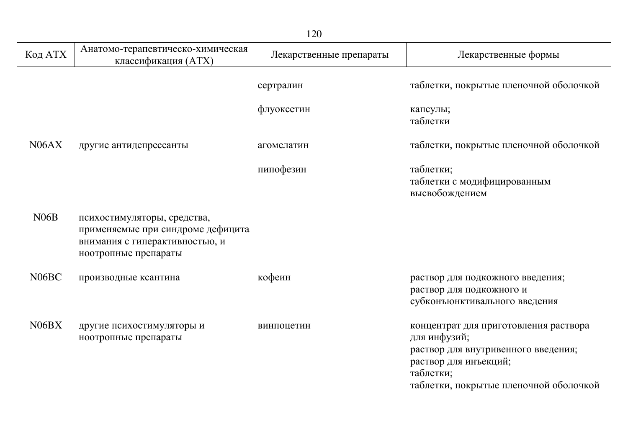|                    |                                                                                                                            | 120                     |                                                                                                                                                                              |
|--------------------|----------------------------------------------------------------------------------------------------------------------------|-------------------------|------------------------------------------------------------------------------------------------------------------------------------------------------------------------------|
| Код АТХ            | Анатомо-терапевтическо-химическая<br>классификация (ATX)                                                                   | Лекарственные препараты | Лекарственные формы                                                                                                                                                          |
|                    |                                                                                                                            | сертралин               | таблетки, покрытые пленочной оболочкой                                                                                                                                       |
|                    |                                                                                                                            | флуоксетин              | капсулы;<br>таблетки                                                                                                                                                         |
| N <sub>06</sub> AX | другие антидепрессанты                                                                                                     | агомелатин              | таблетки, покрытые пленочной оболочкой                                                                                                                                       |
|                    |                                                                                                                            | пипофезин               | таблетки;<br>таблетки с модифицированным<br>высвобождением                                                                                                                   |
| N06B               | психостимуляторы, средства,<br>применяемые при синдроме дефицита<br>внимания с гиперактивностью, и<br>ноотропные препараты |                         |                                                                                                                                                                              |
| N <sub>06</sub> BC | производные ксантина                                                                                                       | кофеин                  | раствор для подкожного введения;<br>раствор для подкожного и<br>субконъюнктивального введения                                                                                |
| N06BX              | другие психостимуляторы и<br>ноотропные препараты                                                                          | винпоцетин              | концентрат для приготовления раствора<br>для инфузий;<br>раствор для внутривенного введения;<br>раствор для инъекций;<br>таблетки;<br>таблетки, покрытые пленочной оболочкой |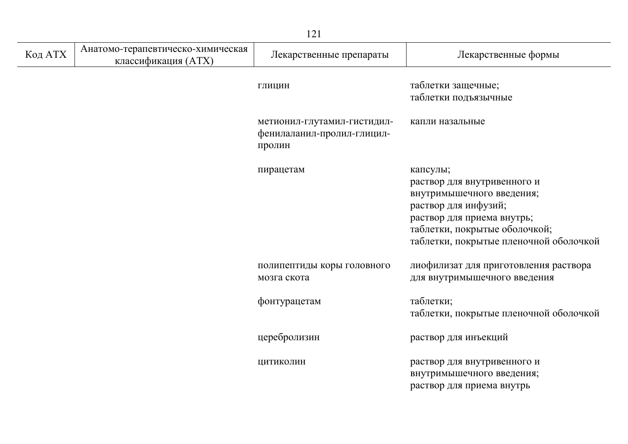| Код АТХ | Анатомо-терапевтическо-химическая<br>классификация (ATX) | Лекарственные препараты                                             | Лекарственные формы                                                                                                                                                                                   |
|---------|----------------------------------------------------------|---------------------------------------------------------------------|-------------------------------------------------------------------------------------------------------------------------------------------------------------------------------------------------------|
|         |                                                          | ГЛИЦИН                                                              | таблетки защечные;<br>таблетки подъязычные                                                                                                                                                            |
|         |                                                          | метионил-глутамил-гистидил-<br>фенилаланил-пролил-глицил-<br>пролин | капли назальные                                                                                                                                                                                       |
|         |                                                          | пирацетам                                                           | капсулы;<br>раствор для внутривенного и<br>внутримышечного введения;<br>раствор для инфузий;<br>раствор для приема внутрь;<br>таблетки, покрытые оболочкой;<br>таблетки, покрытые пленочной оболочкой |
|         |                                                          | полипептиды коры головного<br>мозга скота                           | лиофилизат для приготовления раствора<br>для внутримышечного введения                                                                                                                                 |
|         |                                                          | фонтурацетам                                                        | таблетки;<br>таблетки, покрытые пленочной оболочкой                                                                                                                                                   |
|         |                                                          | церебролизин                                                        | раствор для инъекций                                                                                                                                                                                  |
|         |                                                          | ЦИТИКОЛИН                                                           | раствор для внутривенного и<br>внутримышечного введения;<br>раствор для приема внутрь                                                                                                                 |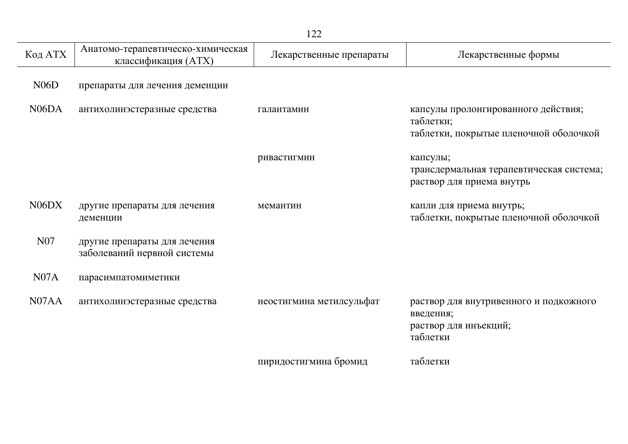| Код АТХ                        | Анатомо-терапевтическо-химическая<br>классификация (ATX)    | Лекарственные препараты  | Лекарственные формы                                                                        |
|--------------------------------|-------------------------------------------------------------|--------------------------|--------------------------------------------------------------------------------------------|
| N06D                           | препараты для лечения деменции                              |                          |                                                                                            |
| N <sub>06</sub> D <sub>A</sub> | антихолинэстеразные средства                                | галантамин               | капсулы пролонгированного действия;<br>таблетки;<br>таблетки, покрытые пленочной оболочкой |
|                                |                                                             | ривастигмин              | капсулы;<br>трансдермальная терапевтическая система;<br>раствор для приема внутрь          |
| N <sub>06</sub> D <sub>X</sub> | другие препараты для лечения<br>деменции                    | мемантин                 | капли для приема внутрь;<br>таблетки, покрытые пленочной оболочкой                         |
| N <sub>07</sub>                | другие препараты для лечения<br>заболеваний нервной системы |                          |                                                                                            |
| N07A                           | парасимпатомиметики                                         |                          |                                                                                            |
| N07AA                          | антихолинэстеразные средства                                | неостигмина метилсульфат | раствор для внутривенного и подкожного<br>введения;<br>раствор для инъекций;<br>таблетки   |
|                                |                                                             | пиридостигмина бромид    | таблетки                                                                                   |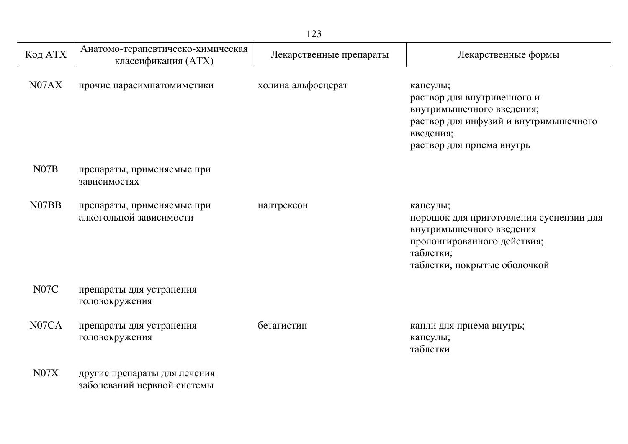| Код АТХ           | Анатомо-терапевтическо-химическая<br>классификация (ATX)    | Лекарственные препараты | Лекарственные формы                                                                                                                                         |
|-------------------|-------------------------------------------------------------|-------------------------|-------------------------------------------------------------------------------------------------------------------------------------------------------------|
| N07AX             | прочие парасимпатомиметики                                  | холина альфосцерат      | капсулы;<br>раствор для внутривенного и<br>внутримышечного введения;<br>раствор для инфузий и внутримышечного<br>введения;<br>раствор для приема внутрь     |
| N07B              | препараты, применяемые при<br>зависимостях                  |                         |                                                                                                                                                             |
| N07BB             | препараты, применяемые при<br>алкогольной зависимости       | налтрексон              | капсулы;<br>порошок для приготовления суспензии для<br>внутримышечного введения<br>пролонгированного действия;<br>таблетки;<br>таблетки, покрытые оболочкой |
| N <sub>0</sub> 7C | препараты для устранения<br>головокружения                  |                         |                                                                                                                                                             |
| N07CA             | препараты для устранения<br>головокружения                  | бетагистин              | капли для приема внутрь;<br>капсулы;<br>таблетки                                                                                                            |
| N07X              | другие препараты для лечения<br>заболеваний нервной системы |                         |                                                                                                                                                             |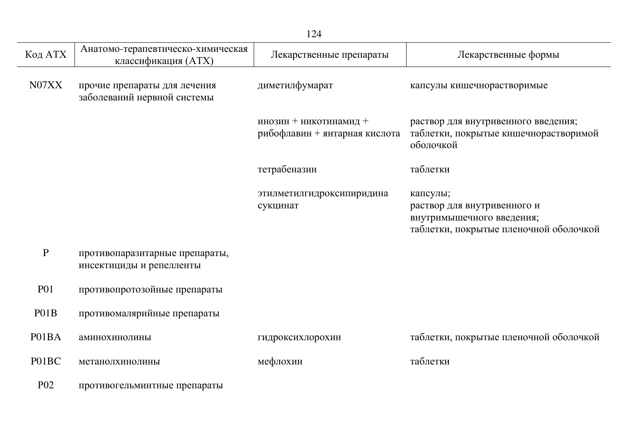|                 |                                                             | 124                                                     |                                                                                                                |
|-----------------|-------------------------------------------------------------|---------------------------------------------------------|----------------------------------------------------------------------------------------------------------------|
| Код АТХ         | Анатомо-терапевтическо-химическая<br>классификация (ATX)    | Лекарственные препараты                                 | Лекарственные формы                                                                                            |
| N07XX           | прочие препараты для лечения<br>заболеваний нервной системы | диметилфумарат                                          | капсулы кишечнорастворимые                                                                                     |
|                 |                                                             | инозин + никотинамид +<br>рибофлавин + янтарная кислота | раствор для внутривенного введения;<br>таблетки, покрытые кишечнорастворимой<br>оболочкой                      |
|                 |                                                             | тетрабеназин                                            | таблетки                                                                                                       |
|                 |                                                             | этилметилгидроксипиридина<br>сукцинат                   | капсулы;<br>раствор для внутривенного и<br>внутримышечного введения;<br>таблетки, покрытые пленочной оболочкой |
| $\mathbf P$     | противопаразитарные препараты,<br>инсектициды и репелленты  |                                                         |                                                                                                                |
| <b>P01</b>      | противопротозойные препараты                                |                                                         |                                                                                                                |
| P01B            | противомалярийные препараты                                 |                                                         |                                                                                                                |
| P01BA           | аминохинолины                                               | гидроксихлорохин                                        | таблетки, покрытые пленочной оболочкой                                                                         |
| P01BC           | метанолхинолины                                             | мефлохин                                                | таблетки                                                                                                       |
| P <sub>02</sub> | противогельминтные препараты                                |                                                         |                                                                                                                |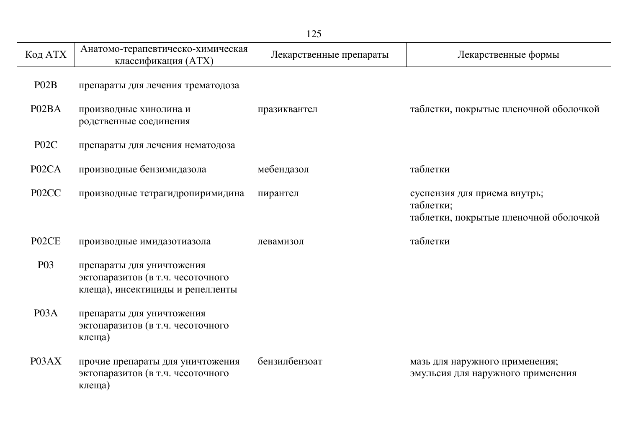| 125                |                                                                                                    |                         |                                                                                     |
|--------------------|----------------------------------------------------------------------------------------------------|-------------------------|-------------------------------------------------------------------------------------|
| Код АТХ            | Анатомо-терапевтическо-химическая<br>классификация (АТХ)                                           | Лекарственные препараты | Лекарственные формы                                                                 |
| PO2B               | препараты для лечения трематодоза                                                                  |                         |                                                                                     |
| P02BA              | производные хинолина и<br>родственные соединения                                                   | празиквантел            | таблетки, покрытые пленочной оболочкой                                              |
| P <sub>02</sub> C  | препараты для лечения нематодоза                                                                   |                         |                                                                                     |
| P <sub>02</sub> CA | производные бензимидазола                                                                          | мебендазол              | таблетки                                                                            |
| P <sub>02</sub> CC | производные тетрагидропиримидина                                                                   | пирантел                | суспензия для приема внутрь;<br>таблетки;<br>таблетки, покрытые пленочной оболочкой |
| P02CE              | производные имидазотиазола                                                                         | левамизол               | таблетки                                                                            |
| <b>P03</b>         | препараты для уничтожения<br>эктопаразитов (в т.ч. чесоточного<br>клеща), инсектициды и репелленты |                         |                                                                                     |
| P03A               | препараты для уничтожения<br>эктопаразитов (в т.ч. чесоточного<br>клеща)                           |                         |                                                                                     |
| P03AX              | прочие препараты для уничтожения<br>эктопаразитов (в т.ч. чесоточного<br>клеща)                    | бензилбензоат           | мазь для наружного применения;<br>эмульсия для наружного применения                 |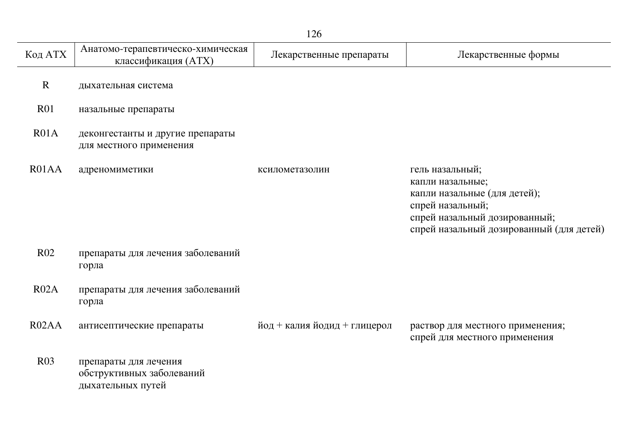| 126                |                                                                         |                              |                                                                                                                                                                      |
|--------------------|-------------------------------------------------------------------------|------------------------------|----------------------------------------------------------------------------------------------------------------------------------------------------------------------|
| Код АТХ            | Анатомо-терапевтическо-химическая<br>классификация (ATX)                | Лекарственные препараты      | Лекарственные формы                                                                                                                                                  |
| $\mathbf R$        | дыхательная система                                                     |                              |                                                                                                                                                                      |
| R01                | назальные препараты                                                     |                              |                                                                                                                                                                      |
| R01A               | деконгестанты и другие препараты<br>для местного применения             |                              |                                                                                                                                                                      |
| R01AA              | адреномиметики                                                          | ксилометазолин               | гель назальный;<br>капли назальные;<br>капли назальные (для детей);<br>спрей назальный;<br>спрей назальный дозированный;<br>спрей назальный дозированный (для детей) |
| <b>R02</b>         | препараты для лечения заболеваний<br>горла                              |                              |                                                                                                                                                                      |
| R02A               | препараты для лечения заболеваний<br>горла                              |                              |                                                                                                                                                                      |
| R <sub>02</sub> AA | антисептические препараты                                               | йод + калия йодид + глицерол | раствор для местного применения;<br>спрей для местного применения                                                                                                    |
| R03                | препараты для лечения<br>обструктивных заболеваний<br>дыхательных путей |                              |                                                                                                                                                                      |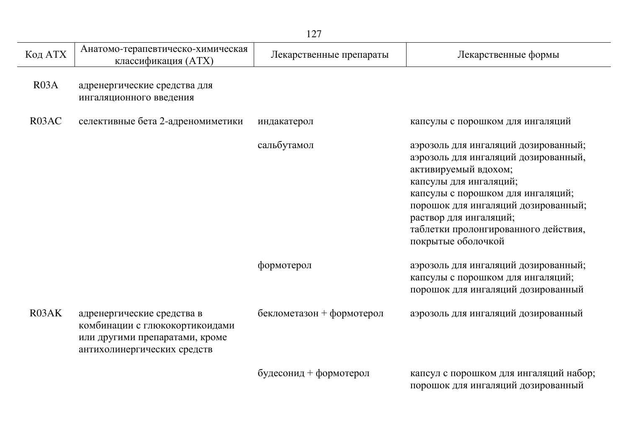|                    | 127                                                                                                                           |                           |                                                                                                                                                                                                                                                                                                    |  |
|--------------------|-------------------------------------------------------------------------------------------------------------------------------|---------------------------|----------------------------------------------------------------------------------------------------------------------------------------------------------------------------------------------------------------------------------------------------------------------------------------------------|--|
| Код АТХ            | Анатомо-терапевтическо-химическая<br>классификация (ATX)                                                                      | Лекарственные препараты   | Лекарственные формы                                                                                                                                                                                                                                                                                |  |
| R03A               | адренергические средства для<br>ингаляционного введения                                                                       |                           |                                                                                                                                                                                                                                                                                                    |  |
| R <sub>03</sub> AC | селективные бета 2-адреномиметики                                                                                             | индакатерол               | капсулы с порошком для ингаляций                                                                                                                                                                                                                                                                   |  |
|                    |                                                                                                                               | сальбутамол               | аэрозоль для ингаляций дозированный;<br>аэрозоль для ингаляций дозированный,<br>активируемый вдохом;<br>капсулы для ингаляций;<br>капсулы с порошком для ингаляций;<br>порошок для ингаляций дозированный;<br>раствор для ингаляций;<br>таблетки пролонгированного действия,<br>покрытые оболочкой |  |
|                    |                                                                                                                               | формотерол                | аэрозоль для ингаляций дозированный;<br>капсулы с порошком для ингаляций;<br>порошок для ингаляций дозированный                                                                                                                                                                                    |  |
| R03AK              | адренергические средства в<br>комбинации с глюкокортикоидами<br>или другими препаратами, кроме<br>антихолинергических средств | беклометазон + формотерол | аэрозоль для ингаляций дозированный                                                                                                                                                                                                                                                                |  |
|                    |                                                                                                                               | будесонид + формотерол    | капсул с порошком для ингаляций набор;<br>порошок для ингаляций дозированный                                                                                                                                                                                                                       |  |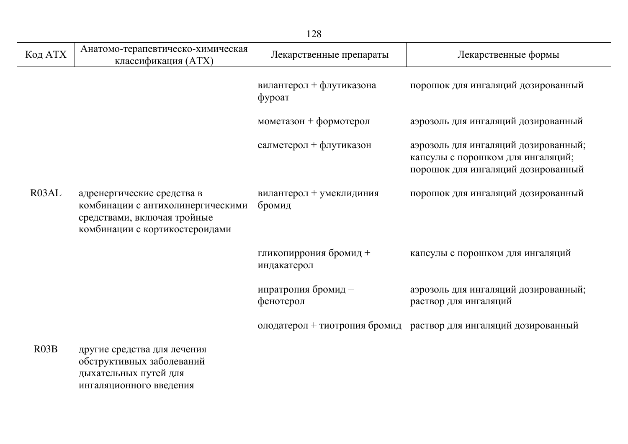|         |                                                                                                                                  | 128                                   |                                                                                                                 |
|---------|----------------------------------------------------------------------------------------------------------------------------------|---------------------------------------|-----------------------------------------------------------------------------------------------------------------|
| Код АТХ | Анатомо-терапевтическо-химическая<br>классификация (ATX)                                                                         | Лекарственные препараты               | Лекарственные формы                                                                                             |
|         |                                                                                                                                  | вилантерол + флутиказона<br>фуроат    | порошок для ингаляций дозированный                                                                              |
|         |                                                                                                                                  | мометазон + формотерол                | аэрозоль для ингаляций дозированный                                                                             |
|         |                                                                                                                                  | салметерол + флутиказон               | аэрозоль для ингаляций дозированный;<br>капсулы с порошком для ингаляций;<br>порошок для ингаляций дозированный |
| R03AL   | адренергические средства в<br>комбинации с антихолинергическими<br>средствами, включая тройные<br>комбинации с кортикостероидами | вилантерол + умеклидиния<br>бромид    | порошок для ингаляций дозированный                                                                              |
|         |                                                                                                                                  | гликопиррония бромид +<br>индакатерол | капсулы с порошком для ингаляций                                                                                |
|         |                                                                                                                                  | ипратропия бромид +<br>фенотерол      | аэрозоль для ингаляций дозированный;<br>раствор для ингаляций                                                   |
|         |                                                                                                                                  |                                       | олодатерол + тиотропия бромид раствор для ингаляций дозированный                                                |
| R03B    | другие средства для лечения<br>обструктивных заболеваний<br>дыхательных путей для<br>ингаляционного введения                     |                                       |                                                                                                                 |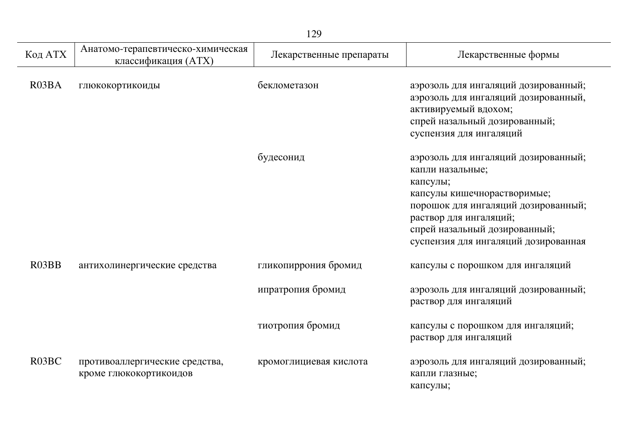| 129                |                                                          |                         |                                                                                                                                                                                                                                               |
|--------------------|----------------------------------------------------------|-------------------------|-----------------------------------------------------------------------------------------------------------------------------------------------------------------------------------------------------------------------------------------------|
| Код АТХ            | Анатомо-терапевтическо-химическая<br>классификация (ATX) | Лекарственные препараты | Лекарственные формы                                                                                                                                                                                                                           |
| R <sub>03</sub> BA | глюкокортикоиды                                          | беклометазон            | аэрозоль для ингаляций дозированный;<br>аэрозоль для ингаляций дозированный,<br>активируемый вдохом;<br>спрей назальный дозированный;<br>суспензия для ингаляций                                                                              |
|                    |                                                          | будесонид               | аэрозоль для ингаляций дозированный;<br>капли назальные;<br>капсулы;<br>капсулы кишечнорастворимые;<br>порошок для ингаляций дозированный;<br>раствор для ингаляций;<br>спрей назальный дозированный;<br>суспензия для ингаляций дозированная |
| R <sub>03</sub> BB | антихолинергические средства                             | гликопиррония бромид    | капсулы с порошком для ингаляций                                                                                                                                                                                                              |
|                    |                                                          | ипратропия бромид       | аэрозоль для ингаляций дозированный;<br>раствор для ингаляций                                                                                                                                                                                 |
|                    |                                                          | тиотропия бромид        | капсулы с порошком для ингаляций;<br>раствор для ингаляций                                                                                                                                                                                    |
| R <sub>03</sub> BC | противоаллергические средства,<br>кроме глюкокортикоидов | кромоглициевая кислота  | аэрозоль для ингаляций дозированный;<br>капли глазные;<br>капсулы;                                                                                                                                                                            |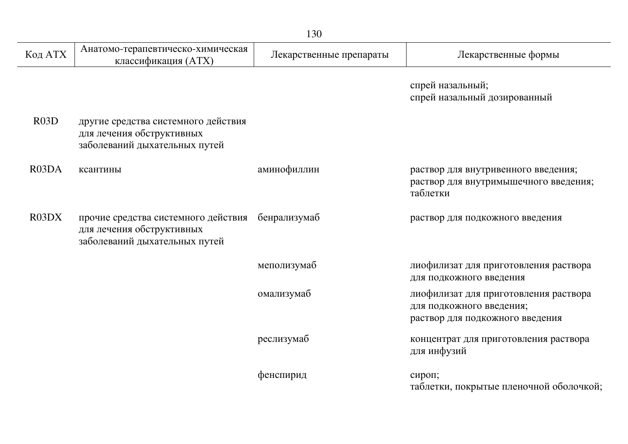|                                |                                                                                                   | 130                     |                                                                                                      |
|--------------------------------|---------------------------------------------------------------------------------------------------|-------------------------|------------------------------------------------------------------------------------------------------|
| Код АТХ                        | Анатомо-терапевтическо-химическая<br>классификация (ATX)                                          | Лекарственные препараты | Лекарственные формы                                                                                  |
|                                |                                                                                                   |                         | спрей назальный;<br>спрей назальный дозированный                                                     |
| R <sub>03</sub> D              | другие средства системного действия<br>для лечения обструктивных<br>заболеваний дыхательных путей |                         |                                                                                                      |
| R <sub>03</sub> D <sub>A</sub> | ксантины                                                                                          | аминофиллин             | раствор для внутривенного введения;<br>раствор для внутримышечного введения;<br>таблетки             |
| R03DX                          | прочие средства системного действия<br>для лечения обструктивных<br>заболеваний дыхательных путей | бенрализумаб            | раствор для подкожного введения                                                                      |
|                                |                                                                                                   | меполизумаб             | лиофилизат для приготовления раствора<br>для подкожного введения                                     |
|                                |                                                                                                   | омализумаб              | лиофилизат для приготовления раствора<br>для подкожного введения;<br>раствор для подкожного введения |
|                                |                                                                                                   | реслизумаб              | концентрат для приготовления раствора<br>для инфузий                                                 |
|                                |                                                                                                   | фенспирид               | сироп;<br>таблетки, покрытые пленочной оболочкой;                                                    |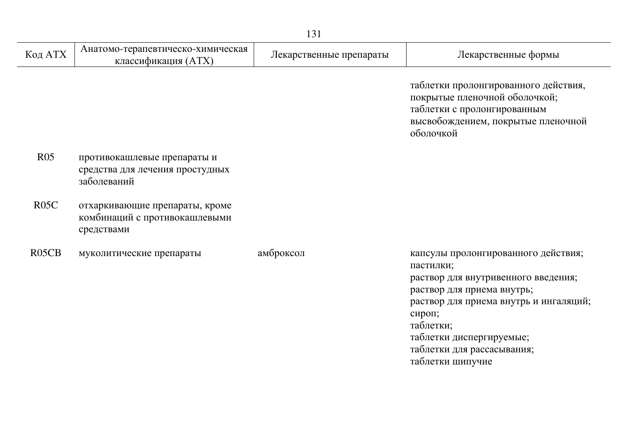|                                |                                                                               | 131                     |                                                                                                                                                                                                                                                                      |
|--------------------------------|-------------------------------------------------------------------------------|-------------------------|----------------------------------------------------------------------------------------------------------------------------------------------------------------------------------------------------------------------------------------------------------------------|
| Код АТХ                        | Анатомо-терапевтическо-химическая<br>классификация (ATX)                      | Лекарственные препараты | Лекарственные формы                                                                                                                                                                                                                                                  |
|                                |                                                                               |                         | таблетки пролонгированного действия,<br>покрытые пленочной оболочкой;<br>таблетки с пролонгированным<br>высвобождением, покрытые пленочной<br>оболочкой                                                                                                              |
| R <sub>05</sub>                | противокашлевые препараты и<br>средства для лечения простудных<br>заболеваний |                         |                                                                                                                                                                                                                                                                      |
| R05C                           | отхаркивающие препараты, кроме<br>комбинаций с противокашлевыми<br>средствами |                         |                                                                                                                                                                                                                                                                      |
| R <sub>05</sub> C <sub>B</sub> | муколитические препараты                                                      | амброксол               | капсулы пролонгированного действия;<br>пастилки;<br>раствор для внутривенного введения;<br>раствор для приема внутрь;<br>раствор для приема внутрь и ингаляций;<br>сироп;<br>таблетки;<br>таблетки диспергируемые;<br>таблетки для рассасывания;<br>таблетки шипучие |

j.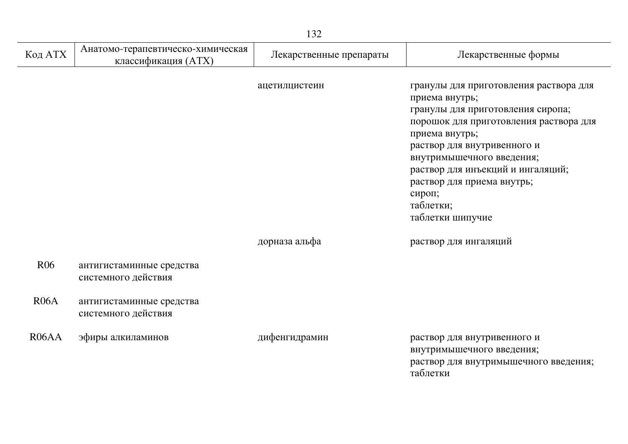| Код АТХ                        | Анатомо-терапевтическо-химическая<br>классификация (ATX) | Лекарственные препараты | Лекарственные формы                                                                                                                                                                                                                                                                                                                 |
|--------------------------------|----------------------------------------------------------|-------------------------|-------------------------------------------------------------------------------------------------------------------------------------------------------------------------------------------------------------------------------------------------------------------------------------------------------------------------------------|
|                                |                                                          | ацетилцистеин           | гранулы для приготовления раствора для<br>приема внутрь;<br>гранулы для приготовления сиропа;<br>порошок для приготовления раствора для<br>приема внутрь;<br>раствор для внутривенного и<br>внутримышечного введения;<br>раствор для инъекций и ингаляций;<br>раствор для приема внутрь;<br>сироп;<br>таблетки;<br>таблетки шипучие |
|                                |                                                          | дорназа альфа           | раствор для ингаляций                                                                                                                                                                                                                                                                                                               |
| R <sub>06</sub>                | антигистаминные средства<br>системного действия          |                         |                                                                                                                                                                                                                                                                                                                                     |
| R06A                           | антигистаминные средства<br>системного действия          |                         |                                                                                                                                                                                                                                                                                                                                     |
| R <sub>06</sub> A <sub>A</sub> | эфиры алкиламинов                                        | дифенгидрамин           | раствор для внутривенного и<br>внутримышечного введения;<br>раствор для внутримышечного введения;                                                                                                                                                                                                                                   |

таблетки

132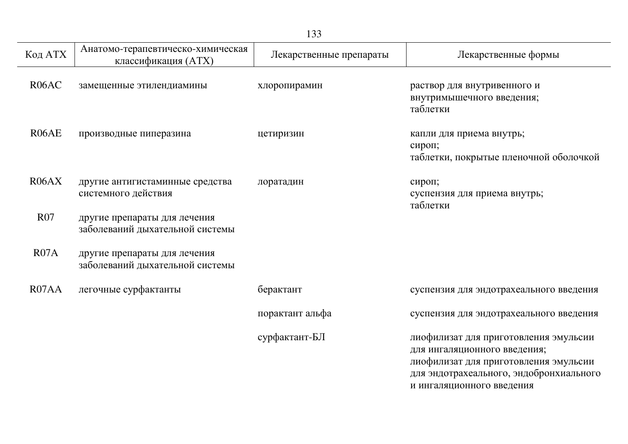| Код АТХ    | Анатомо-терапевтическо-химическая<br>классификация (ATX)        | Лекарственные препараты | Лекарственные формы                                                                                                                                       |
|------------|-----------------------------------------------------------------|-------------------------|-----------------------------------------------------------------------------------------------------------------------------------------------------------|
| R06AC      | замещенные этилендиамины                                        | хлоропирамин            | раствор для внутривенного и<br>внутримышечного введения;<br>таблетки                                                                                      |
| R06AE      | производные пиперазина                                          | цетиризин               | капли для приема внутрь;<br>сироп;<br>таблетки, покрытые пленочной оболочкой                                                                              |
| R06AX      | другие антигистаминные средства<br>системного действия          | лоратадин               | сироп;<br>суспензия для приема внутрь;<br>таблетки                                                                                                        |
| <b>R07</b> | другие препараты для лечения<br>заболеваний дыхательной системы |                         |                                                                                                                                                           |
| R07A       | другие препараты для лечения<br>заболеваний дыхательной системы |                         |                                                                                                                                                           |
| R07AA      | легочные сурфактанты                                            | берактант               | суспензия для эндотрахеального введения                                                                                                                   |
|            |                                                                 | порактант альфа         | суспензия для эндотрахеального введения                                                                                                                   |
|            |                                                                 | сурфактант-БЛ           | лиофилизат для приготовления эмульсии<br>для ингаляционного введения;<br>лиофилизат для приготовления эмульсии<br>для эндотрахеального, эндобронхиального |

и ингаляционного введения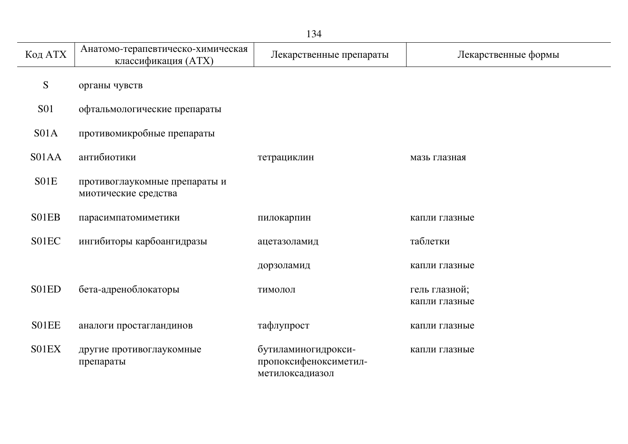| Код АТХ          | Анатомо-терапевтическо-химическая<br>классификация (ATX) | Лекарственные препараты                                         | Лекарственные формы            |
|------------------|----------------------------------------------------------|-----------------------------------------------------------------|--------------------------------|
| S                | органы чувств                                            |                                                                 |                                |
| <b>S01</b>       | офтальмологические препараты                             |                                                                 |                                |
| S <sub>01A</sub> | противомикробные препараты                               |                                                                 |                                |
| S01AA            | антибиотики                                              | тетрациклин                                                     | мазь глазная                   |
| S01E             | противоглаукомные препараты и<br>миотические средства    |                                                                 |                                |
| S01EB            | парасимпатомиметики                                      | пилокарпин                                                      | капли глазные                  |
| S01EC            | ингибиторы карбоангидразы                                | ацетазоламид                                                    | таблетки                       |
|                  |                                                          | дорзоламид                                                      | капли глазные                  |
| S01ED            | бета-адреноблокаторы                                     | тимолол                                                         | гель глазной;<br>капли глазные |
| S01EE            | аналоги простагландинов                                  | тафлупрост                                                      | капли глазные                  |
| S01EX            | другие противоглаукомные<br>препараты                    | бутиламиногидрокси-<br>пропоксифеноксиметил-<br>метилоксадиазол | капли глазные                  |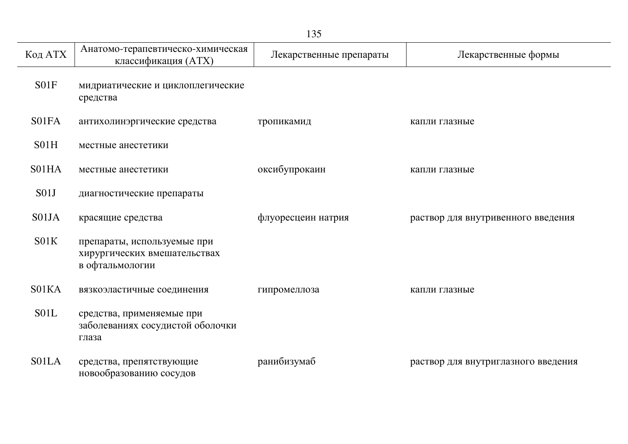| 135     |                                                                                |                         |                                     |  |
|---------|--------------------------------------------------------------------------------|-------------------------|-------------------------------------|--|
| Код АТХ | Анатомо-терапевтическо-химическая<br>классификация (ATX)                       | Лекарственные препараты | Лекарственные формы                 |  |
| S01F    | мидриатические и циклоплегические<br>средства                                  |                         |                                     |  |
| S01FA   | антихолинэргические средства                                                   | тропикамид              | капли глазные                       |  |
| S01H    | местные анестетики                                                             |                         |                                     |  |
| S01HA   | местные анестетики                                                             | оксибупрокаин           | капли глазные                       |  |
| S01J    | диагностические препараты                                                      |                         |                                     |  |
| S01JA   | красящие средства                                                              | флуоресцеин натрия      | раствор для внутривенного введения  |  |
| S01K    | препараты, используемые при<br>хирургических вмешательствах<br>в офтальмологии |                         |                                     |  |
| S01KA   | вязкоэластичные соединения                                                     | гипромеллоза            | капли глазные                       |  |
| S01L    | средства, применяемые при<br>заболеваниях сосудистой оболочки<br>глаза         |                         |                                     |  |
| S01LA   | средства, препятствующие<br>новообразованию сосудов                            | ранибизумаб             | раствор для внутриглазного введения |  |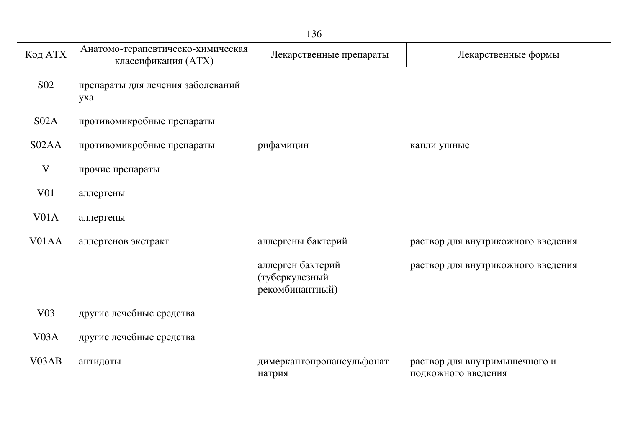| 136                |                                                          |                                                        |                                                      |  |
|--------------------|----------------------------------------------------------|--------------------------------------------------------|------------------------------------------------------|--|
| Код АТХ            | Анатомо-терапевтическо-химическая<br>классификация (ATX) | Лекарственные препараты                                | Лекарственные формы                                  |  |
| S <sub>02</sub>    | препараты для лечения заболеваний<br>yxa                 |                                                        |                                                      |  |
| S <sub>02A</sub>   | противомикробные препараты                               |                                                        |                                                      |  |
| S02AA              | противомикробные препараты                               | рифамицин                                              | капли ушные                                          |  |
| V                  | прочие препараты                                         |                                                        |                                                      |  |
| V <sub>01</sub>    | аллергены                                                |                                                        |                                                      |  |
| V <sub>01</sub> A  | аллергены                                                |                                                        |                                                      |  |
| V <sub>01</sub> AA | аллергенов экстракт                                      | аллергены бактерий                                     | раствор для внутрикожного введения                   |  |
|                    |                                                          | аллерген бактерий<br>(туберкулезный<br>рекомбинантный) | раствор для внутрикожного введения                   |  |
| V03                | другие лечебные средства                                 |                                                        |                                                      |  |
| V <sub>0</sub> 3A  | другие лечебные средства                                 |                                                        |                                                      |  |
| V <sub>03</sub> AB | антидоты                                                 | димеркаптопропансульфонат<br>натрия                    | раствор для внутримышечного и<br>подкожного введения |  |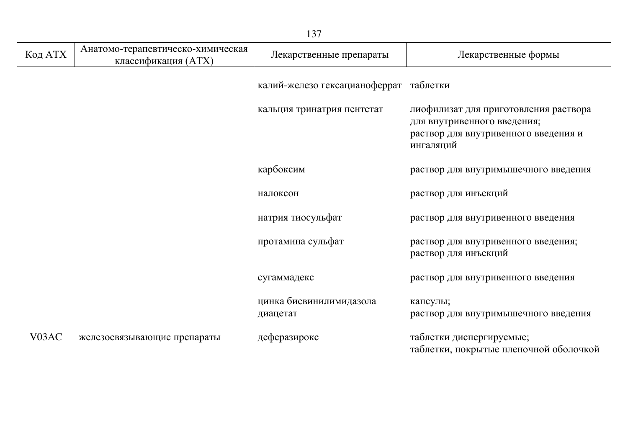| Код АТХ            | Анатомо-терапевтическо-химическая<br>классификация (ATX) | Лекарственные препараты             | Лекарственные формы                                                                                                       |
|--------------------|----------------------------------------------------------|-------------------------------------|---------------------------------------------------------------------------------------------------------------------------|
|                    |                                                          | калий-железо гексацианоферрат       | таблетки                                                                                                                  |
|                    |                                                          | кальция тринатрия пентетат          | лиофилизат для приготовления раствора<br>для внутривенного введения;<br>раствор для внутривенного введения и<br>ингаляций |
|                    |                                                          | карбоксим                           | раствор для внутримышечного введения                                                                                      |
|                    |                                                          | налоксон                            | раствор для инъекций                                                                                                      |
|                    |                                                          | натрия тиосульфат                   | раствор для внутривенного введения                                                                                        |
|                    |                                                          | протамина сульфат                   | раствор для внутривенного введения;<br>раствор для инъекций                                                               |
|                    |                                                          | сугаммадекс                         | раствор для внутривенного введения                                                                                        |
|                    |                                                          | цинка бисвинилимидазола<br>диацетат | капсулы;<br>раствор для внутримышечного введения                                                                          |
| V <sub>03</sub> AC | железосвязывающие препараты                              | деферазирокс                        | таблетки диспергируемые;<br>таблетки, покрытые пленочной оболочкой                                                        |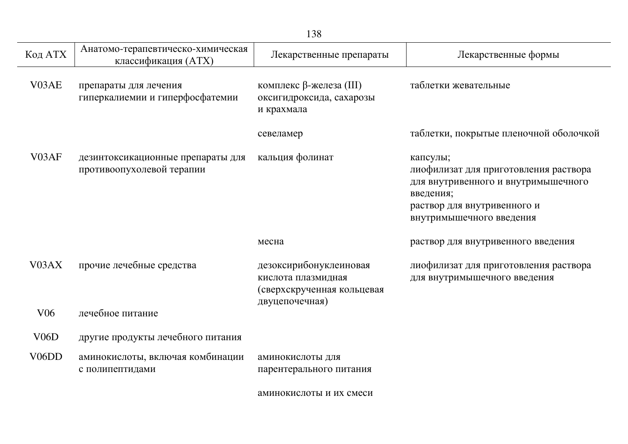|                    | 138                                                            |                                                                                              |                                                                                                                                                                  |  |  |
|--------------------|----------------------------------------------------------------|----------------------------------------------------------------------------------------------|------------------------------------------------------------------------------------------------------------------------------------------------------------------|--|--|
| Код АТХ            | Анатомо-терапевтическо-химическая<br>классификация (АТХ)       | Лекарственные препараты                                                                      | Лекарственные формы                                                                                                                                              |  |  |
| V03AE              | препараты для лечения<br>гиперкалиемии и гиперфосфатемии       | комплекс β-железа (III)<br>оксигидроксида, сахарозы<br>и крахмала                            | таблетки жевательные                                                                                                                                             |  |  |
|                    |                                                                | севеламер                                                                                    | таблетки, покрытые пленочной оболочкой                                                                                                                           |  |  |
| V03AF              | дезинтоксикационные препараты для<br>противоопухолевой терапии | кальция фолинат                                                                              | капсулы;<br>лиофилизат для приготовления раствора<br>для внутривенного и внутримышечного<br>введения;<br>раствор для внутривенного и<br>внутримышечного введения |  |  |
|                    |                                                                | месна                                                                                        | раствор для внутривенного введения                                                                                                                               |  |  |
| V <sub>03</sub> AX | прочие лечебные средства                                       | дезоксирибонуклеиновая<br>кислота плазмидная<br>(сверхскрученная кольцевая<br>двуцепочечная) | лиофилизат для приготовления раствора<br>для внутримышечного введения                                                                                            |  |  |
| V <sub>06</sub>    | лечебное питание                                               |                                                                                              |                                                                                                                                                                  |  |  |
| V06D               | другие продукты лечебного питания                              |                                                                                              |                                                                                                                                                                  |  |  |
| V <sub>06</sub> DD | аминокислоты, включая комбинации<br>с полипептидами            | аминокислоты для<br>парентерального питания                                                  |                                                                                                                                                                  |  |  |
|                    |                                                                | аминокислоты и их смеси                                                                      |                                                                                                                                                                  |  |  |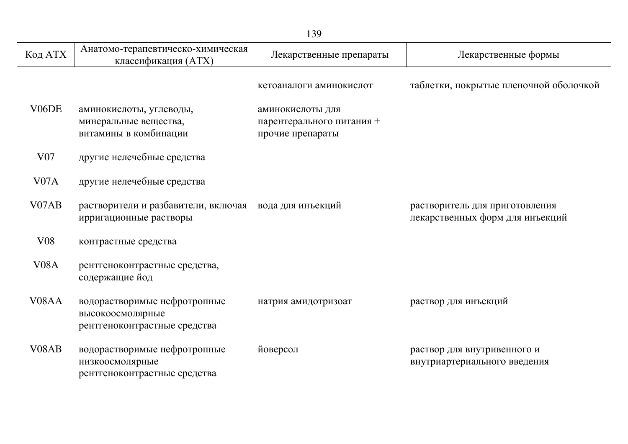|                    | 139                                                                              |                                                                   |                                                                   |  |  |
|--------------------|----------------------------------------------------------------------------------|-------------------------------------------------------------------|-------------------------------------------------------------------|--|--|
| Код АТХ            | Анатомо-терапевтическо-химическая<br>классификация (ATX)                         | Лекарственные препараты                                           | Лекарственные формы                                               |  |  |
|                    |                                                                                  | кетоаналоги аминокислот                                           | таблетки, покрытые пленочной оболочкой                            |  |  |
| V <sub>06</sub> DE | аминокислоты, углеводы,<br>минеральные вещества,<br>витамины в комбинации        | аминокислоты для<br>парентерального питания +<br>прочие препараты |                                                                   |  |  |
| V <sub>07</sub>    | другие нелечебные средства                                                       |                                                                   |                                                                   |  |  |
| V <sub>07</sub> A  | другие нелечебные средства                                                       |                                                                   |                                                                   |  |  |
| V07AB              | растворители и разбавители, включая<br>ирригационные растворы                    | вода для инъекций                                                 | растворитель для приготовления<br>лекарственных форм для инъекций |  |  |
| <b>V08</b>         | контрастные средства                                                             |                                                                   |                                                                   |  |  |
| V <sub>0</sub> 8A  | рентгеноконтрастные средства,<br>содержащие йод                                  |                                                                   |                                                                   |  |  |
| V <sub>08</sub> AA | водорастворимые нефротропные<br>высокоосмолярные<br>рентгеноконтрастные средства | натрия амидотризоат                                               | раствор для инъекций                                              |  |  |
| V <sub>08</sub> AB | водорастворимые нефротропные<br>низкоосмолярные<br>рентгеноконтрастные средства  | йоверсол                                                          | раствор для внутривенного и<br>внутриартериального введения       |  |  |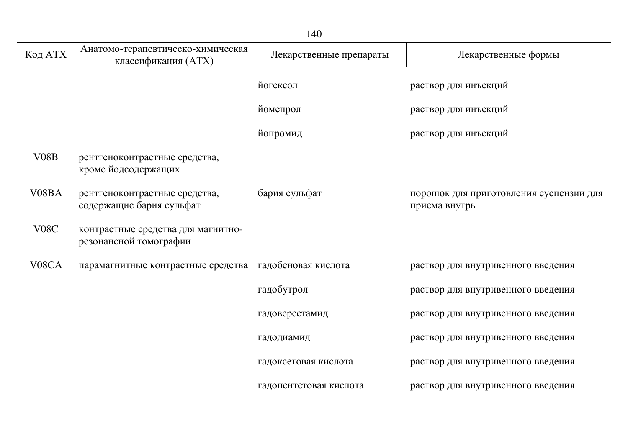| 140                |                                                              |                         |                                                          |
|--------------------|--------------------------------------------------------------|-------------------------|----------------------------------------------------------|
| Код АТХ            | Анатомо-терапевтическо-химическая<br>классификация (ATX)     | Лекарственные препараты | Лекарственные формы                                      |
|                    |                                                              | йогексол                | раствор для инъекций                                     |
|                    |                                                              | йомепрол                | раствор для инъекций                                     |
|                    |                                                              | йопромид                | раствор для инъекций                                     |
| V08B               | рентгеноконтрастные средства,<br>кроме йодсодержащих         |                         |                                                          |
| V08BA              | рентгеноконтрастные средства,<br>содержащие бария сульфат    | бария сульфат           | порошок для приготовления суспензии для<br>приема внутрь |
| V <sub>0</sub> 8C  | контрастные средства для магнитно-<br>резонансной томографии |                         |                                                          |
| V <sub>08</sub> CA | парамагнитные контрастные средства                           | гадобеновая кислота     | раствор для внутривенного введения                       |
|                    |                                                              | гадобутрол              | раствор для внутривенного введения                       |
|                    |                                                              | гадоверсетамид          | раствор для внутривенного введения                       |
|                    |                                                              | гадодиамид              | раствор для внутривенного введения                       |
|                    |                                                              | гадоксетовая кислота    | раствор для внутривенного введения                       |
|                    |                                                              | гадопентетовая кислота  | раствор для внутривенного введения                       |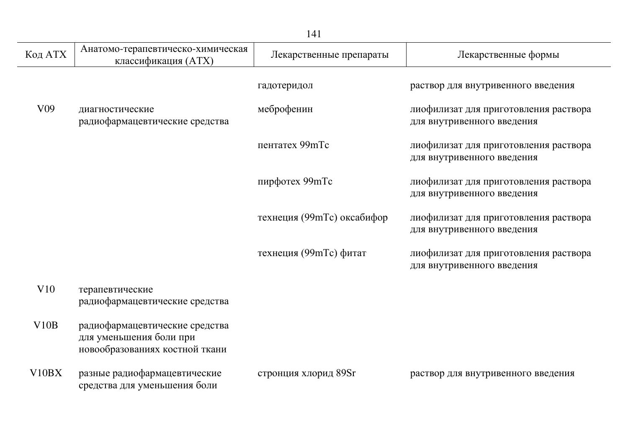|                    |                                                                                             | 141                        |                                                                     |
|--------------------|---------------------------------------------------------------------------------------------|----------------------------|---------------------------------------------------------------------|
| Код АТХ            | Анатомо-терапевтическо-химическая<br>классификация (ATX)                                    | Лекарственные препараты    | Лекарственные формы                                                 |
|                    |                                                                                             | гадотеридол                | раствор для внутривенного введения                                  |
| V <sub>09</sub>    | диагностические<br>радиофармацевтические средства                                           | меброфенин                 | лиофилизат для приготовления раствора<br>для внутривенного введения |
|                    |                                                                                             | пентатех 99mTc             | лиофилизат для приготовления раствора<br>для внутривенного введения |
|                    |                                                                                             | пирфотех 99mTc             | лиофилизат для приготовления раствора<br>для внутривенного введения |
|                    |                                                                                             | технеция (99mTc) оксабифор | лиофилизат для приготовления раствора<br>для внутривенного введения |
|                    |                                                                                             | технеция (99mTc) фитат     | лиофилизат для приготовления раствора<br>для внутривенного введения |
| V10                | терапевтические<br>радиофармацевтические средства                                           |                            |                                                                     |
| V10B               | радиофармацевтические средства<br>для уменьшения боли при<br>новообразованиях костной ткани |                            |                                                                     |
| V <sub>10</sub> BX | разные радиофармацевтические<br>средства для уменьшения боли                                | стронция хлорид 89Sr       | раствор для внутривенного введения                                  |